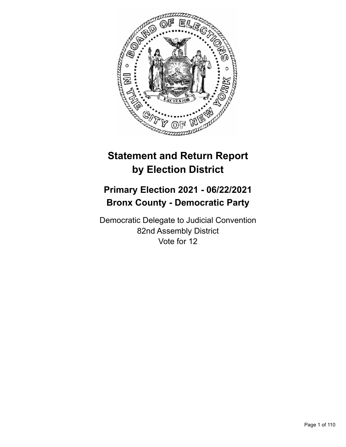

# **Statement and Return Report by Election District**

## **Primary Election 2021 - 06/22/2021 Bronx County - Democratic Party**

Democratic Delegate to Judicial Convention 82nd Assembly District Vote for 12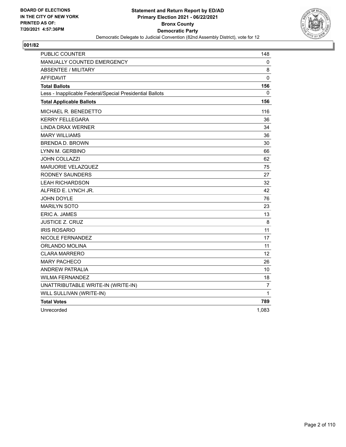

| <b>PUBLIC COUNTER</b>                                    | 148               |
|----------------------------------------------------------|-------------------|
| MANUALLY COUNTED EMERGENCY                               | 0                 |
| <b>ABSENTEE / MILITARY</b>                               | 8                 |
| AFFIDAVIT                                                | $\pmb{0}$         |
| <b>Total Ballots</b>                                     | 156               |
| Less - Inapplicable Federal/Special Presidential Ballots | 0                 |
| <b>Total Applicable Ballots</b>                          | 156               |
| <b>MICHAEL R. BENEDETTO</b>                              | 116               |
| <b>KERRY FELLEGARA</b>                                   | 36                |
| <b>LINDA DRAX WERNER</b>                                 | 34                |
| <b>MARY WILLIAMS</b>                                     | 36                |
| <b>BRENDA D. BROWN</b>                                   | 30                |
| LYNN M. GERBINO                                          | 66                |
| JOHN COLLAZZI                                            | 62                |
| <b>MARJORIE VELAZQUEZ</b>                                | 75                |
| RODNEY SAUNDERS                                          | 27                |
| <b>LEAH RICHARDSON</b>                                   | 32                |
| ALFRED E. LYNCH JR.                                      | 42                |
| <b>JOHN DOYLE</b>                                        | 76                |
| <b>MARILYN SOTO</b>                                      | 23                |
| ERIC A. JAMES                                            | 13                |
| JUSTICE Z. CRUZ                                          | 8                 |
| <b>IRIS ROSARIO</b>                                      | 11                |
| NICOLE FERNANDEZ                                         | 17                |
| ORLANDO MOLINA                                           | 11                |
| <b>CLARA MARRERO</b>                                     | $12 \overline{ }$ |
| <b>MARY PACHECO</b>                                      | 26                |
| <b>ANDREW PATRALIA</b>                                   | 10                |
| <b>WILMA FERNANDEZ</b>                                   | 18                |
| UNATTRIBUTABLE WRITE-IN (WRITE-IN)                       | 7                 |
| WILL SULLIVAN (WRITE-IN)                                 | 1                 |
| <b>Total Votes</b>                                       | 789               |
| Unrecorded                                               | 1,083             |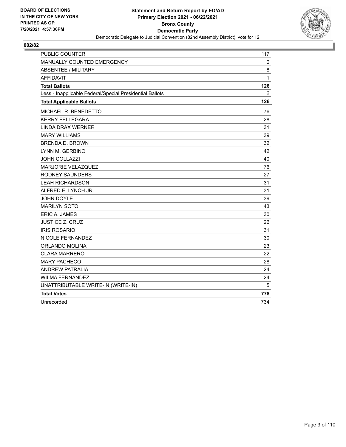

| <b>PUBLIC COUNTER</b>                                    | 117 |
|----------------------------------------------------------|-----|
| MANUALLY COUNTED EMERGENCY                               | 0   |
| ABSENTEE / MILITARY                                      | 8   |
| <b>AFFIDAVIT</b>                                         | 1   |
| <b>Total Ballots</b>                                     | 126 |
| Less - Inapplicable Federal/Special Presidential Ballots | 0   |
| <b>Total Applicable Ballots</b>                          | 126 |
| MICHAEL R. BENEDETTO                                     | 76  |
| <b>KERRY FELLEGARA</b>                                   | 28  |
| <b>LINDA DRAX WERNER</b>                                 | 31  |
| <b>MARY WILLIAMS</b>                                     | 39  |
| <b>BRENDA D. BROWN</b>                                   | 32  |
| LYNN M. GERBINO                                          | 42  |
| <b>JOHN COLLAZZI</b>                                     | 40  |
| MARJORIE VELAZQUEZ                                       | 76  |
| <b>RODNEY SAUNDERS</b>                                   | 27  |
| <b>LEAH RICHARDSON</b>                                   | 31  |
| ALFRED E. LYNCH JR.                                      | 31  |
| <b>JOHN DOYLE</b>                                        | 39  |
| <b>MARILYN SOTO</b>                                      | 43  |
| <b>ERIC A. JAMES</b>                                     | 30  |
| <b>JUSTICE Z. CRUZ</b>                                   | 26  |
| <b>IRIS ROSARIO</b>                                      | 31  |
| NICOLE FERNANDEZ                                         | 30  |
| ORLANDO MOLINA                                           | 23  |
| <b>CLARA MARRERO</b>                                     | 22  |
| <b>MARY PACHECO</b>                                      | 28  |
| <b>ANDREW PATRALIA</b>                                   | 24  |
| <b>WILMA FERNANDEZ</b>                                   | 24  |
| UNATTRIBUTABLE WRITE-IN (WRITE-IN)                       | 5   |
| <b>Total Votes</b>                                       | 778 |
| Unrecorded                                               | 734 |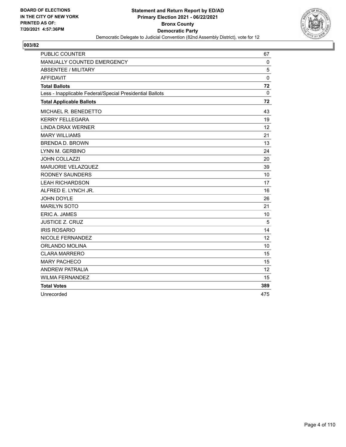

| <b>PUBLIC COUNTER</b>                                    | 67       |
|----------------------------------------------------------|----------|
| MANUALLY COUNTED EMERGENCY                               | $\Omega$ |
| <b>ABSENTEE / MILITARY</b>                               | 5        |
| <b>AFFIDAVIT</b>                                         | 0        |
| <b>Total Ballots</b>                                     | 72       |
| Less - Inapplicable Federal/Special Presidential Ballots | 0        |
| <b>Total Applicable Ballots</b>                          | 72       |
| MICHAEL R. BENEDETTO                                     | 43       |
| <b>KERRY FELLEGARA</b>                                   | 19       |
| <b>LINDA DRAX WERNER</b>                                 | 12       |
| <b>MARY WILLIAMS</b>                                     | 21       |
| <b>BRENDA D. BROWN</b>                                   | 13       |
| LYNN M. GERBINO                                          | 24       |
| <b>JOHN COLLAZZI</b>                                     | 20       |
| <b>MARJORIE VELAZQUEZ</b>                                | 39       |
| <b>RODNEY SAUNDERS</b>                                   | 10       |
| <b>LEAH RICHARDSON</b>                                   | 17       |
| ALFRED E. LYNCH JR.                                      | 16       |
| JOHN DOYLE                                               | 26       |
| <b>MARILYN SOTO</b>                                      | 21       |
| ERIC A. JAMES                                            | 10       |
| <b>JUSTICE Z. CRUZ</b>                                   | 5        |
| <b>IRIS ROSARIO</b>                                      | 14       |
| NICOLE FERNANDEZ                                         | 12       |
| ORLANDO MOLINA                                           | 10       |
| <b>CLARA MARRERO</b>                                     | 15       |
| <b>MARY PACHECO</b>                                      | 15       |
| <b>ANDREW PATRALIA</b>                                   | 12       |
| <b>WILMA FERNANDEZ</b>                                   | 15       |
| <b>Total Votes</b>                                       | 389      |
| Unrecorded                                               | 475      |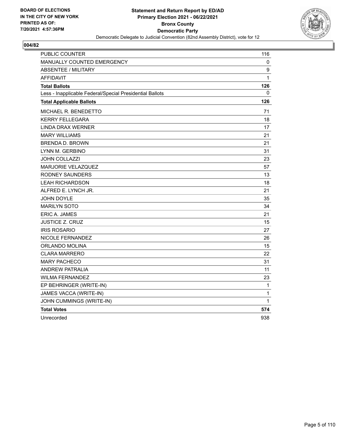

| PUBLIC COUNTER                                           | 116              |
|----------------------------------------------------------|------------------|
| <b>MANUALLY COUNTED EMERGENCY</b>                        | 0                |
| <b>ABSENTEE / MILITARY</b>                               | $\boldsymbol{9}$ |
| <b>AFFIDAVIT</b>                                         | 1                |
| <b>Total Ballots</b>                                     | 126              |
| Less - Inapplicable Federal/Special Presidential Ballots | 0                |
| <b>Total Applicable Ballots</b>                          | 126              |
| MICHAEL R. BENEDETTO                                     | 71               |
| KERRY FELLEGARA                                          | 18               |
| <b>LINDA DRAX WERNER</b>                                 | 17               |
| <b>MARY WILLIAMS</b>                                     | 21               |
| <b>BRENDA D. BROWN</b>                                   | 21               |
| LYNN M. GERBINO                                          | 31               |
| <b>JOHN COLLAZZI</b>                                     | 23               |
| MARJORIE VELAZQUEZ                                       | 57               |
| <b>RODNEY SAUNDERS</b>                                   | 13               |
| <b>LEAH RICHARDSON</b>                                   | 18               |
| ALFRED E. LYNCH JR.                                      | 21               |
| <b>JOHN DOYLE</b>                                        | 35               |
| <b>MARILYN SOTO</b>                                      | 34               |
| ERIC A. JAMES                                            | 21               |
| <b>JUSTICE Z. CRUZ</b>                                   | 15               |
| <b>IRIS ROSARIO</b>                                      | 27               |
| NICOLE FERNANDEZ                                         | 26               |
| ORLANDO MOLINA                                           | 15               |
| <b>CLARA MARRERO</b>                                     | 22               |
| <b>MARY PACHECO</b>                                      | 31               |
| <b>ANDREW PATRALIA</b>                                   | 11               |
| <b>WILMA FERNANDEZ</b>                                   | 23               |
| EP BEHRINGER (WRITE-IN)                                  | 1                |
| JAMES VACCA (WRITE-IN)                                   | 1                |
| JOHN CUMMINGS (WRITE-IN)                                 | 1                |
| <b>Total Votes</b>                                       | 574              |
| Unrecorded                                               | 938              |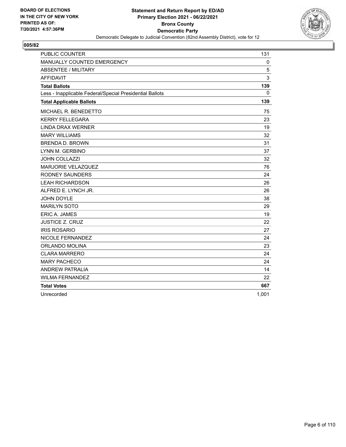

| <b>PUBLIC COUNTER</b>                                    | 131   |
|----------------------------------------------------------|-------|
| MANUALLY COUNTED EMERGENCY                               | 0     |
| <b>ABSENTEE / MILITARY</b>                               | 5     |
| <b>AFFIDAVIT</b>                                         | 3     |
| <b>Total Ballots</b>                                     | 139   |
| Less - Inapplicable Federal/Special Presidential Ballots | 0     |
| <b>Total Applicable Ballots</b>                          | 139   |
| MICHAEL R. BENEDETTO                                     | 75    |
| <b>KERRY FELLEGARA</b>                                   | 23    |
| LINDA DRAX WERNER                                        | 19    |
| <b>MARY WILLIAMS</b>                                     | 32    |
| <b>BRENDA D. BROWN</b>                                   | 31    |
| LYNN M. GERBINO                                          | 37    |
| <b>JOHN COLLAZZI</b>                                     | 32    |
| MARJORIE VELAZQUEZ                                       | 76    |
| RODNEY SAUNDERS                                          | 24    |
| <b>LEAH RICHARDSON</b>                                   | 26    |
| ALFRED E. LYNCH JR.                                      | 26    |
| JOHN DOYLE                                               | 38    |
| <b>MARILYN SOTO</b>                                      | 29    |
| <b>ERIC A. JAMES</b>                                     | 19    |
| <b>JUSTICE Z. CRUZ</b>                                   | 22    |
| <b>IRIS ROSARIO</b>                                      | 27    |
| NICOLE FERNANDEZ                                         | 24    |
| ORLANDO MOLINA                                           | 23    |
| <b>CLARA MARRERO</b>                                     | 24    |
| <b>MARY PACHECO</b>                                      | 24    |
| <b>ANDREW PATRALIA</b>                                   | 14    |
| <b>WILMA FERNANDEZ</b>                                   | 22    |
| <b>Total Votes</b>                                       | 667   |
| Unrecorded                                               | 1,001 |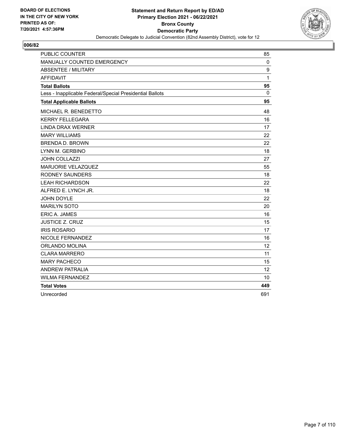

| <b>PUBLIC COUNTER</b>                                    | 85          |
|----------------------------------------------------------|-------------|
| MANUALLY COUNTED EMERGENCY                               | $\mathbf 0$ |
| <b>ABSENTEE / MILITARY</b>                               | 9           |
| <b>AFFIDAVIT</b>                                         | 1           |
| <b>Total Ballots</b>                                     | 95          |
| Less - Inapplicable Federal/Special Presidential Ballots | 0           |
| <b>Total Applicable Ballots</b>                          | 95          |
| MICHAEL R. BENEDETTO                                     | 48          |
| <b>KERRY FELLEGARA</b>                                   | 16          |
| <b>LINDA DRAX WERNER</b>                                 | 17          |
| <b>MARY WILLIAMS</b>                                     | 22          |
| <b>BRENDA D. BROWN</b>                                   | 22          |
| LYNN M. GERBINO                                          | 18          |
| JOHN COLLAZZI                                            | 27          |
| MARJORIE VELAZQUEZ                                       | 55          |
| <b>RODNEY SAUNDERS</b>                                   | 18          |
| <b>LEAH RICHARDSON</b>                                   | 22          |
| ALFRED E. LYNCH JR.                                      | 18          |
| <b>JOHN DOYLE</b>                                        | 22          |
| <b>MARILYN SOTO</b>                                      | 20          |
| ERIC A. JAMES                                            | 16          |
| <b>JUSTICE Z. CRUZ</b>                                   | 15          |
| <b>IRIS ROSARIO</b>                                      | 17          |
| NICOLE FERNANDEZ                                         | 16          |
| ORLANDO MOLINA                                           | 12          |
| <b>CLARA MARRERO</b>                                     | 11          |
| <b>MARY PACHECO</b>                                      | 15          |
| <b>ANDREW PATRALIA</b>                                   | 12          |
| <b>WILMA FERNANDEZ</b>                                   | 10          |
| <b>Total Votes</b>                                       | 449         |
| Unrecorded                                               | 691         |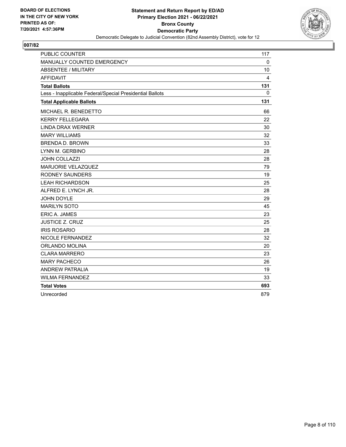

| <b>PUBLIC COUNTER</b>                                    | 117 |
|----------------------------------------------------------|-----|
| MANUALLY COUNTED EMERGENCY                               | 0   |
| <b>ABSENTEE / MILITARY</b>                               | 10  |
| <b>AFFIDAVIT</b>                                         | 4   |
| <b>Total Ballots</b>                                     | 131 |
| Less - Inapplicable Federal/Special Presidential Ballots | 0   |
| <b>Total Applicable Ballots</b>                          | 131 |
| MICHAEL R. BENEDETTO                                     | 66  |
| <b>KERRY FELLEGARA</b>                                   | 22  |
| <b>LINDA DRAX WERNER</b>                                 | 30  |
| <b>MARY WILLIAMS</b>                                     | 32  |
| <b>BRENDA D. BROWN</b>                                   | 33  |
| LYNN M. GERBINO                                          | 28  |
| <b>JOHN COLLAZZI</b>                                     | 28  |
| MARJORIE VELAZQUEZ                                       | 79  |
| <b>RODNEY SAUNDERS</b>                                   | 19  |
| <b>LEAH RICHARDSON</b>                                   | 25  |
| ALFRED E. LYNCH JR.                                      | 28  |
| JOHN DOYLE                                               | 29  |
| <b>MARILYN SOTO</b>                                      | 45  |
| ERIC A. JAMES                                            | 23  |
| <b>JUSTICE Z. CRUZ</b>                                   | 25  |
| <b>IRIS ROSARIO</b>                                      | 28  |
| NICOLE FERNANDEZ                                         | 32  |
| ORLANDO MOLINA                                           | 20  |
| <b>CLARA MARRERO</b>                                     | 23  |
| <b>MARY PACHECO</b>                                      | 26  |
| <b>ANDREW PATRALIA</b>                                   | 19  |
| <b>WILMA FERNANDEZ</b>                                   | 33  |
| <b>Total Votes</b>                                       | 693 |
| Unrecorded                                               | 879 |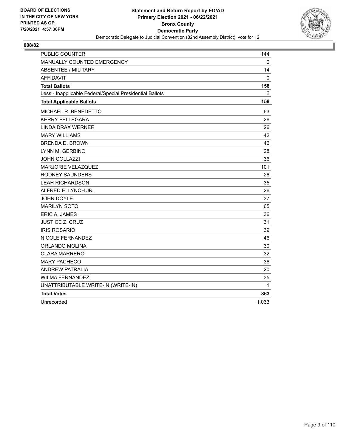

| <b>PUBLIC COUNTER</b>                                    | 144          |
|----------------------------------------------------------|--------------|
| MANUALLY COUNTED EMERGENCY                               | $\mathbf{0}$ |
| <b>ABSENTEE / MILITARY</b>                               | 14           |
| <b>AFFIDAVIT</b>                                         | 0            |
| <b>Total Ballots</b>                                     | 158          |
| Less - Inapplicable Federal/Special Presidential Ballots | $\mathbf{0}$ |
| <b>Total Applicable Ballots</b>                          | 158          |
| MICHAEL R. BENEDETTO                                     | 63           |
| <b>KERRY FELLEGARA</b>                                   | 26           |
| <b>LINDA DRAX WERNER</b>                                 | 26           |
| <b>MARY WILLIAMS</b>                                     | 42           |
| <b>BRENDA D. BROWN</b>                                   | 46           |
| LYNN M. GERBINO                                          | 28           |
| <b>JOHN COLLAZZI</b>                                     | 36           |
| MARJORIE VELAZQUEZ                                       | 101          |
| <b>RODNEY SAUNDERS</b>                                   | 26           |
| <b>LEAH RICHARDSON</b>                                   | 35           |
| ALFRED E. LYNCH JR.                                      | 26           |
| <b>JOHN DOYLE</b>                                        | 37           |
| <b>MARILYN SOTO</b>                                      | 65           |
| ERIC A. JAMES                                            | 36           |
| <b>JUSTICE Z. CRUZ</b>                                   | 31           |
| <b>IRIS ROSARIO</b>                                      | 39           |
| NICOLE FERNANDEZ                                         | 46           |
| ORLANDO MOLINA                                           | 30           |
| <b>CLARA MARRERO</b>                                     | 32           |
| <b>MARY PACHECO</b>                                      | 36           |
| <b>ANDREW PATRALIA</b>                                   | 20           |
| <b>WILMA FERNANDEZ</b>                                   | 35           |
| UNATTRIBUTABLE WRITE-IN (WRITE-IN)                       | 1            |
| <b>Total Votes</b>                                       | 863          |
| Unrecorded                                               | 1.033        |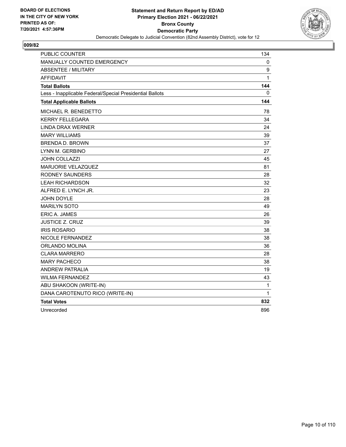

| <b>PUBLIC COUNTER</b>                                    | 134          |
|----------------------------------------------------------|--------------|
| <b>MANUALLY COUNTED EMERGENCY</b>                        | 0            |
| <b>ABSENTEE / MILITARY</b>                               | 9            |
| AFFIDAVIT                                                | $\mathbf{1}$ |
| <b>Total Ballots</b>                                     | 144          |
| Less - Inapplicable Federal/Special Presidential Ballots | 0            |
| <b>Total Applicable Ballots</b>                          | 144          |
| MICHAEL R. BENEDETTO                                     | 78           |
| <b>KERRY FELLEGARA</b>                                   | 34           |
| <b>LINDA DRAX WERNER</b>                                 | 24           |
| <b>MARY WILLIAMS</b>                                     | 39           |
| <b>BRENDA D. BROWN</b>                                   | 37           |
| LYNN M. GERBINO                                          | 27           |
| <b>JOHN COLLAZZI</b>                                     | 45           |
| MARJORIE VELAZQUEZ                                       | 81           |
| RODNEY SAUNDERS                                          | 28           |
| <b>LEAH RICHARDSON</b>                                   | 32           |
| ALFRED E. LYNCH JR.                                      | 23           |
| <b>JOHN DOYLE</b>                                        | 28           |
| <b>MARILYN SOTO</b>                                      | 49           |
| <b>ERIC A. JAMES</b>                                     | 26           |
| <b>JUSTICE Z. CRUZ</b>                                   | 39           |
| <b>IRIS ROSARIO</b>                                      | 38           |
| NICOLE FERNANDEZ                                         | 38           |
| ORLANDO MOLINA                                           | 36           |
| <b>CLARA MARRERO</b>                                     | 28           |
| <b>MARY PACHECO</b>                                      | 38           |
| <b>ANDREW PATRALIA</b>                                   | 19           |
| <b>WILMA FERNANDEZ</b>                                   | 43           |
| ABU SHAKOON (WRITE-IN)                                   | $\mathbf{1}$ |
| DANA CAROTENUTO RICO (WRITE-IN)                          | 1            |
| <b>Total Votes</b>                                       | 832          |
| Unrecorded                                               | 896          |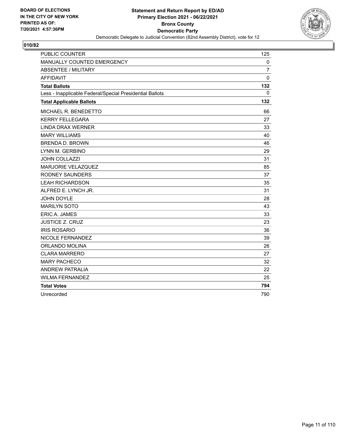

| <b>PUBLIC COUNTER</b>                                    | 125            |
|----------------------------------------------------------|----------------|
| MANUALLY COUNTED EMERGENCY                               | 0              |
| <b>ABSENTEE / MILITARY</b>                               | $\overline{7}$ |
| <b>AFFIDAVIT</b>                                         | $\mathbf 0$    |
| <b>Total Ballots</b>                                     | 132            |
| Less - Inapplicable Federal/Special Presidential Ballots | 0              |
| <b>Total Applicable Ballots</b>                          | 132            |
| MICHAEL R. BENEDETTO                                     | 66             |
| <b>KERRY FELLEGARA</b>                                   | 27             |
| <b>LINDA DRAX WERNER</b>                                 | 33             |
| <b>MARY WILLIAMS</b>                                     | 40             |
| <b>BRENDA D. BROWN</b>                                   | 46             |
| LYNN M. GERBINO                                          | 29             |
| <b>JOHN COLLAZZI</b>                                     | 31             |
| MARJORIE VELAZQUEZ                                       | 85             |
| RODNEY SAUNDERS                                          | 37             |
| <b>LEAH RICHARDSON</b>                                   | 35             |
| ALFRED E. LYNCH JR.                                      | 31             |
| <b>JOHN DOYLE</b>                                        | 28             |
| <b>MARILYN SOTO</b>                                      | 43             |
| ERIC A. JAMES                                            | 33             |
| <b>JUSTICE Z. CRUZ</b>                                   | 23             |
| <b>IRIS ROSARIO</b>                                      | 36             |
| NICOLE FERNANDEZ                                         | 39             |
| ORLANDO MOLINA                                           | 26             |
| <b>CLARA MARRERO</b>                                     | 27             |
| <b>MARY PACHECO</b>                                      | 32             |
| <b>ANDREW PATRALIA</b>                                   | 22             |
| <b>WILMA FERNANDEZ</b>                                   | 25             |
| <b>Total Votes</b>                                       | 794            |
| Unrecorded                                               | 790            |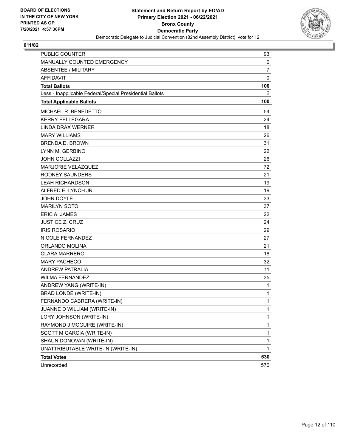

| <b>PUBLIC COUNTER</b>                                    | 93             |
|----------------------------------------------------------|----------------|
| MANUALLY COUNTED EMERGENCY                               | 0              |
| ABSENTEE / MILITARY                                      | $\overline{7}$ |
| <b>AFFIDAVIT</b>                                         | 0              |
| <b>Total Ballots</b>                                     | 100            |
| Less - Inapplicable Federal/Special Presidential Ballots | 0              |
| <b>Total Applicable Ballots</b>                          | 100            |
| MICHAEL R. BENEDETTO                                     | 54             |
| <b>KERRY FELLEGARA</b>                                   | 24             |
| <b>LINDA DRAX WERNER</b>                                 | 18             |
| <b>MARY WILLIAMS</b>                                     | 26             |
| <b>BRENDA D. BROWN</b>                                   | 31             |
| LYNN M. GERBINO                                          | 22             |
| <b>JOHN COLLAZZI</b>                                     | 26             |
| MARJORIE VELAZQUEZ                                       | 72             |
| <b>RODNEY SAUNDERS</b>                                   | 21             |
| <b>LEAH RICHARDSON</b>                                   | 19             |
| ALFRED E. LYNCH JR.                                      | 19             |
| JOHN DOYLE                                               | 33             |
| <b>MARILYN SOTO</b>                                      | 37             |
| <b>ERIC A. JAMES</b>                                     | 22             |
| <b>JUSTICE Z. CRUZ</b>                                   | 24             |
| <b>IRIS ROSARIO</b>                                      | 29             |
| NICOLE FERNANDEZ                                         | 27             |
| ORLANDO MOLINA                                           | 21             |
| <b>CLARA MARRERO</b>                                     | 18             |
| <b>MARY PACHECO</b>                                      | 32             |
| ANDREW PATRALIA                                          | 11             |
| <b>WILMA FERNANDEZ</b>                                   | 35             |
| ANDREW YANG (WRITE-IN)                                   | 1              |
| <b>BRAD LONDE (WRITE-IN)</b>                             | $\mathbf{1}$   |
| FERNANDO CABRERA (WRITE-IN)                              | 1              |
| JUANNE D WILLIAM (WRITE-IN)                              | 1              |
| LORY JOHNSON (WRITE-IN)                                  | $\mathbf{1}$   |
| RAYMOND J MCGUIRE (WRITE-IN)                             | 1              |
| SCOTT M GARCIA (WRITE-IN)                                | $\mathbf 1$    |
| SHAUN DONOVAN (WRITE-IN)                                 | $\mathbf{1}$   |
| UNATTRIBUTABLE WRITE-IN (WRITE-IN)                       | 1              |
| <b>Total Votes</b>                                       | 630            |
| Unrecorded                                               | 570            |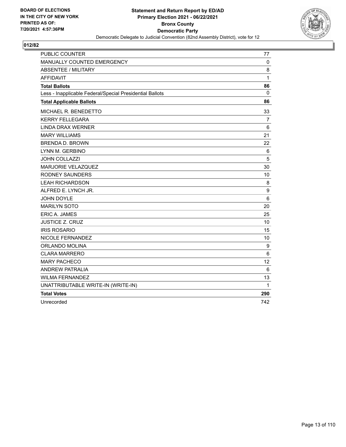

| <b>PUBLIC COUNTER</b>                                    | 77             |
|----------------------------------------------------------|----------------|
| MANUALLY COUNTED EMERGENCY                               | $\mathbf 0$    |
| <b>ABSENTEE / MILITARY</b>                               | 8              |
| <b>AFFIDAVIT</b>                                         | 1              |
| <b>Total Ballots</b>                                     | 86             |
| Less - Inapplicable Federal/Special Presidential Ballots | $\mathbf{0}$   |
| <b>Total Applicable Ballots</b>                          | 86             |
| MICHAEL R. BENEDETTO                                     | 33             |
| <b>KERRY FELLEGARA</b>                                   | $\overline{7}$ |
| <b>LINDA DRAX WERNER</b>                                 | 6              |
| <b>MARY WILLIAMS</b>                                     | 21             |
| <b>BRENDA D. BROWN</b>                                   | 22             |
| LYNN M. GERBINO                                          | 6              |
| <b>JOHN COLLAZZI</b>                                     | 5              |
| MARJORIE VELAZQUEZ                                       | 30             |
| <b>RODNEY SAUNDERS</b>                                   | 10             |
| <b>LEAH RICHARDSON</b>                                   | 8              |
| ALFRED E. LYNCH JR.                                      | 9              |
| <b>JOHN DOYLE</b>                                        | 6              |
| <b>MARILYN SOTO</b>                                      | 20             |
| <b>ERIC A. JAMES</b>                                     | 25             |
| <b>JUSTICE Z. CRUZ</b>                                   | 10             |
| <b>IRIS ROSARIO</b>                                      | 15             |
| NICOLE FERNANDEZ                                         | 10             |
| <b>ORLANDO MOLINA</b>                                    | 9              |
| <b>CLARA MARRERO</b>                                     | 6              |
| <b>MARY PACHECO</b>                                      | 12             |
| <b>ANDREW PATRALIA</b>                                   | 6              |
| <b>WILMA FERNANDEZ</b>                                   | 13             |
| UNATTRIBUTABLE WRITE-IN (WRITE-IN)                       | 1              |
| <b>Total Votes</b>                                       | 290            |
| Unrecorded                                               | 742            |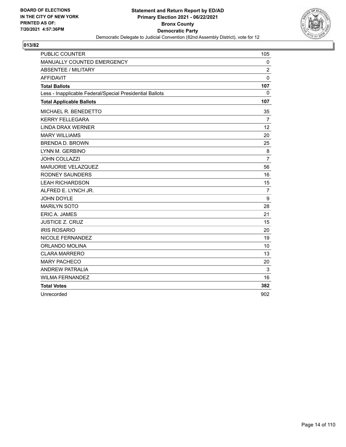

| <b>PUBLIC COUNTER</b>                                    | 105            |
|----------------------------------------------------------|----------------|
| MANUALLY COUNTED EMERGENCY                               | 0              |
| <b>ABSENTEE / MILITARY</b>                               | $\overline{2}$ |
| <b>AFFIDAVIT</b>                                         | 0              |
| <b>Total Ballots</b>                                     | 107            |
| Less - Inapplicable Federal/Special Presidential Ballots | 0              |
| <b>Total Applicable Ballots</b>                          | 107            |
| MICHAEL R. BENEDETTO                                     | 35             |
| <b>KERRY FELLEGARA</b>                                   | 7              |
| <b>LINDA DRAX WERNER</b>                                 | 12             |
| <b>MARY WILLIAMS</b>                                     | 20             |
| <b>BRENDA D. BROWN</b>                                   | 25             |
| LYNN M. GERBINO                                          | 8              |
| <b>JOHN COLLAZZI</b>                                     | $\overline{7}$ |
| MARJORIE VELAZQUEZ                                       | 56             |
| <b>RODNEY SAUNDERS</b>                                   | 16             |
| <b>LEAH RICHARDSON</b>                                   | 15             |
| ALFRED E. LYNCH JR.                                      | $\overline{7}$ |
| <b>JOHN DOYLE</b>                                        | 9              |
| <b>MARILYN SOTO</b>                                      | 28             |
| <b>ERIC A. JAMES</b>                                     | 21             |
| <b>JUSTICE Z. CRUZ</b>                                   | 15             |
| <b>IRIS ROSARIO</b>                                      | 20             |
| NICOLE FERNANDEZ                                         | 19             |
| ORLANDO MOLINA                                           | 10             |
| <b>CLARA MARRERO</b>                                     | 13             |
| <b>MARY PACHECO</b>                                      | 20             |
| <b>ANDREW PATRALIA</b>                                   | 3              |
| <b>WILMA FERNANDEZ</b>                                   | 16             |
| <b>Total Votes</b>                                       | 382            |
| Unrecorded                                               | 902            |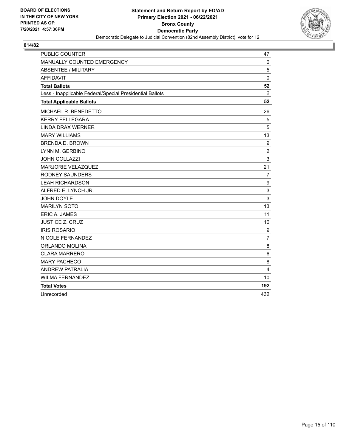

| <b>PUBLIC COUNTER</b>                                    | 47             |
|----------------------------------------------------------|----------------|
| MANUALLY COUNTED EMERGENCY                               | 0              |
| <b>ABSENTEE / MILITARY</b>                               | 5              |
| <b>AFFIDAVIT</b>                                         | $\mathbf 0$    |
| <b>Total Ballots</b>                                     | 52             |
| Less - Inapplicable Federal/Special Presidential Ballots | $\mathbf{0}$   |
| <b>Total Applicable Ballots</b>                          | 52             |
| MICHAEL R. BENEDETTO                                     | 26             |
| <b>KERRY FELLEGARA</b>                                   | 5              |
| <b>LINDA DRAX WERNER</b>                                 | 5              |
| <b>MARY WILLIAMS</b>                                     | 13             |
| <b>BRENDA D. BROWN</b>                                   | 9              |
| LYNN M. GERBINO                                          | $\overline{c}$ |
| <b>JOHN COLLAZZI</b>                                     | 3              |
| MARJORIE VELAZQUEZ                                       | 21             |
| <b>RODNEY SAUNDERS</b>                                   | $\overline{7}$ |
| <b>LEAH RICHARDSON</b>                                   | 9              |
| ALFRED E. LYNCH JR.                                      | 3              |
| <b>JOHN DOYLE</b>                                        | 3              |
| <b>MARILYN SOTO</b>                                      | 13             |
| ERIC A. JAMES                                            | 11             |
| <b>JUSTICE Z. CRUZ</b>                                   | 10             |
| <b>IRIS ROSARIO</b>                                      | 9              |
| NICOLE FERNANDEZ                                         | $\overline{7}$ |
| ORLANDO MOLINA                                           | 8              |
| <b>CLARA MARRERO</b>                                     | 6              |
| <b>MARY PACHECO</b>                                      | 8              |
| <b>ANDREW PATRALIA</b>                                   | $\overline{4}$ |
| <b>WILMA FERNANDEZ</b>                                   | 10             |
| <b>Total Votes</b>                                       | 192            |
| Unrecorded                                               | 432            |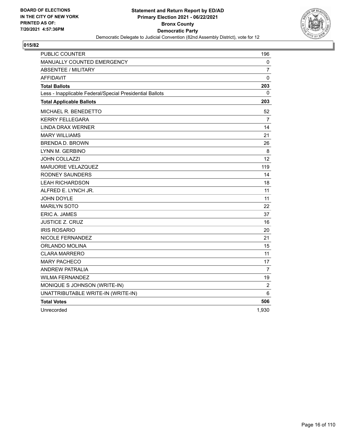

| <b>PUBLIC COUNTER</b>                                    | 196               |
|----------------------------------------------------------|-------------------|
| MANUALLY COUNTED EMERGENCY                               | 0                 |
| <b>ABSENTEE / MILITARY</b>                               | 7                 |
| <b>AFFIDAVIT</b>                                         | 0                 |
| <b>Total Ballots</b>                                     | 203               |
| Less - Inapplicable Federal/Special Presidential Ballots | 0                 |
| <b>Total Applicable Ballots</b>                          | 203               |
| MICHAEL R. BENEDETTO                                     | 52                |
| <b>KERRY FELLEGARA</b>                                   | 7                 |
| <b>LINDA DRAX WERNER</b>                                 | 14                |
| <b>MARY WILLIAMS</b>                                     | 21                |
| <b>BRENDA D. BROWN</b>                                   | 26                |
| LYNN M. GERBINO                                          | 8                 |
| <b>JOHN COLLAZZI</b>                                     | $12 \overline{ }$ |
| <b>MARJORIE VELAZQUEZ</b>                                | 119               |
| <b>RODNEY SAUNDERS</b>                                   | 14                |
| <b>LEAH RICHARDSON</b>                                   | 18                |
| ALFRED E. LYNCH JR.                                      | 11                |
| <b>JOHN DOYLE</b>                                        | 11                |
| <b>MARILYN SOTO</b>                                      | 22                |
| ERIC A. JAMES                                            | 37                |
| JUSTICE Z. CRUZ                                          | 16                |
| <b>IRIS ROSARIO</b>                                      | 20                |
| NICOLE FERNANDEZ                                         | 21                |
| ORLANDO MOLINA                                           | 15                |
| <b>CLARA MARRERO</b>                                     | 11                |
| <b>MARY PACHECO</b>                                      | 17                |
| <b>ANDREW PATRALIA</b>                                   | 7                 |
| <b>WILMA FERNANDEZ</b>                                   | 19                |
| MONIQUE S JOHNSON (WRITE-IN)                             | $\overline{c}$    |
| UNATTRIBUTABLE WRITE-IN (WRITE-IN)                       | 6                 |
| <b>Total Votes</b>                                       | 506               |
| Unrecorded                                               | 1,930             |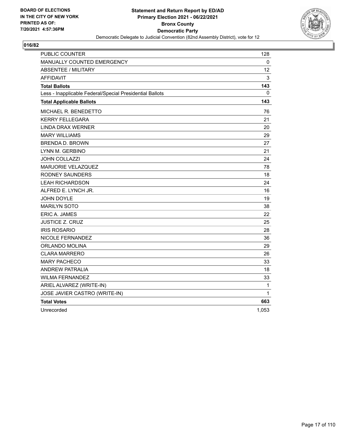

| PUBLIC COUNTER                                           | 128   |
|----------------------------------------------------------|-------|
| MANUALLY COUNTED EMERGENCY                               | 0     |
| <b>ABSENTEE / MILITARY</b>                               | 12    |
| <b>AFFIDAVIT</b>                                         | 3     |
| <b>Total Ballots</b>                                     | 143   |
| Less - Inapplicable Federal/Special Presidential Ballots | 0     |
| <b>Total Applicable Ballots</b>                          | 143   |
| MICHAEL R. BENEDETTO                                     | 76    |
| <b>KERRY FELLEGARA</b>                                   | 21    |
| <b>LINDA DRAX WERNER</b>                                 | 20    |
| <b>MARY WILLIAMS</b>                                     | 29    |
| <b>BRENDA D. BROWN</b>                                   | 27    |
| LYNN M. GERBINO                                          | 21    |
| JOHN COLLAZZI                                            | 24    |
| <b>MARJORIE VELAZQUEZ</b>                                | 78    |
| <b>RODNEY SAUNDERS</b>                                   | 18    |
| <b>LEAH RICHARDSON</b>                                   | 24    |
| ALFRED E. LYNCH JR.                                      | 16    |
| <b>JOHN DOYLE</b>                                        | 19    |
| <b>MARILYN SOTO</b>                                      | 38    |
| ERIC A. JAMES                                            | 22    |
| <b>JUSTICE Z. CRUZ</b>                                   | 25    |
| <b>IRIS ROSARIO</b>                                      | 28    |
| NICOLE FERNANDEZ                                         | 36    |
| ORLANDO MOLINA                                           | 29    |
| <b>CLARA MARRERO</b>                                     | 26    |
| <b>MARY PACHECO</b>                                      | 33    |
| <b>ANDREW PATRALIA</b>                                   | 18    |
| <b>WILMA FERNANDEZ</b>                                   | 33    |
| ARIEL ALVAREZ (WRITE-IN)                                 | 1     |
| JOSE JAVIER CASTRO (WRITE-IN)                            | 1     |
| <b>Total Votes</b>                                       | 663   |
| Unrecorded                                               | 1,053 |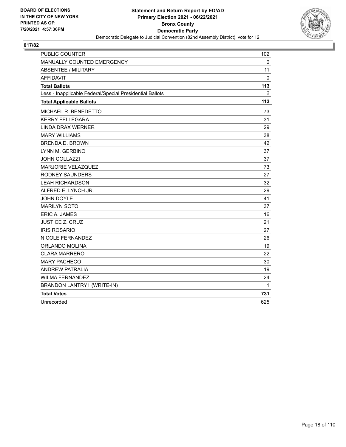

| <b>PUBLIC COUNTER</b>                                    | 102 |
|----------------------------------------------------------|-----|
| MANUALLY COUNTED EMERGENCY                               | 0   |
| <b>ABSENTEE / MILITARY</b>                               | 11  |
| <b>AFFIDAVIT</b>                                         | 0   |
| <b>Total Ballots</b>                                     | 113 |
| Less - Inapplicable Federal/Special Presidential Ballots | 0   |
| <b>Total Applicable Ballots</b>                          | 113 |
| MICHAEL R. BENEDETTO                                     | 73  |
| <b>KERRY FELLEGARA</b>                                   | 31  |
| <b>LINDA DRAX WERNER</b>                                 | 29  |
| <b>MARY WILLIAMS</b>                                     | 38  |
| <b>BRENDA D. BROWN</b>                                   | 42  |
| LYNN M. GERBINO                                          | 37  |
| <b>JOHN COLLAZZI</b>                                     | 37  |
| MARJORIE VELAZQUEZ                                       | 73  |
| <b>RODNEY SAUNDERS</b>                                   | 27  |
| <b>LEAH RICHARDSON</b>                                   | 32  |
| ALFRED E. LYNCH JR.                                      | 29  |
| JOHN DOYLE                                               | 41  |
| <b>MARILYN SOTO</b>                                      | 37  |
| <b>ERIC A. JAMES</b>                                     | 16  |
| <b>JUSTICE Z. CRUZ</b>                                   | 21  |
| <b>IRIS ROSARIO</b>                                      | 27  |
| NICOLE FERNANDEZ                                         | 26  |
| <b>ORLANDO MOLINA</b>                                    | 19  |
| <b>CLARA MARRERO</b>                                     | 22  |
| <b>MARY PACHECO</b>                                      | 30  |
| <b>ANDREW PATRALIA</b>                                   | 19  |
| <b>WILMA FERNANDEZ</b>                                   | 24  |
| BRANDON LANTRY1 (WRITE-IN)                               | 1   |
| <b>Total Votes</b>                                       | 731 |
| Unrecorded                                               | 625 |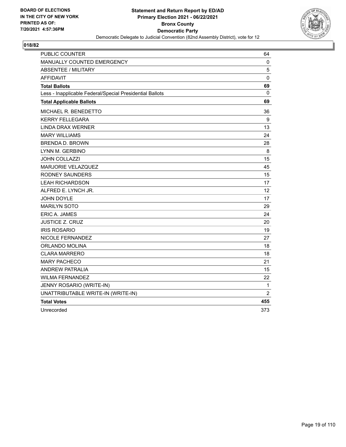

| <b>PUBLIC COUNTER</b>                                    | 64             |
|----------------------------------------------------------|----------------|
| <b>MANUALLY COUNTED EMERGENCY</b>                        | 0              |
| <b>ABSENTEE / MILITARY</b>                               | 5              |
| AFFIDAVIT                                                | $\mathbf 0$    |
| <b>Total Ballots</b>                                     | 69             |
| Less - Inapplicable Federal/Special Presidential Ballots | 0              |
| <b>Total Applicable Ballots</b>                          | 69             |
| <b>MICHAEL R. BENEDETTO</b>                              | 36             |
| <b>KERRY FELLEGARA</b>                                   | 9              |
| LINDA DRAX WERNER                                        | 13             |
| <b>MARY WILLIAMS</b>                                     | 24             |
| <b>BRENDA D. BROWN</b>                                   | 28             |
| LYNN M. GERBINO                                          | 8              |
| <b>JOHN COLLAZZI</b>                                     | 15             |
| MARJORIE VELAZQUEZ                                       | 45             |
| RODNEY SAUNDERS                                          | 15             |
| <b>LEAH RICHARDSON</b>                                   | 17             |
| ALFRED E. LYNCH JR.                                      | 12             |
| <b>JOHN DOYLE</b>                                        | 17             |
| <b>MARILYN SOTO</b>                                      | 29             |
| <b>ERIC A. JAMES</b>                                     | 24             |
| <b>JUSTICE Z. CRUZ</b>                                   | 20             |
| <b>IRIS ROSARIO</b>                                      | 19             |
| NICOLE FERNANDEZ                                         | 27             |
| ORLANDO MOLINA                                           | 18             |
| <b>CLARA MARRERO</b>                                     | 18             |
| <b>MARY PACHECO</b>                                      | 21             |
| <b>ANDREW PATRALIA</b>                                   | 15             |
| <b>WILMA FERNANDEZ</b>                                   | 22             |
| JENNY ROSARIO (WRITE-IN)                                 | $\mathbf{1}$   |
| UNATTRIBUTABLE WRITE-IN (WRITE-IN)                       | $\overline{2}$ |
| <b>Total Votes</b>                                       | 455            |
| Unrecorded                                               | 373            |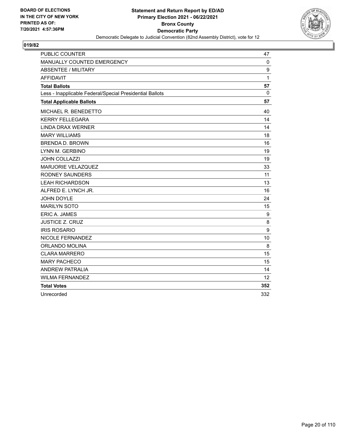

| <b>PUBLIC COUNTER</b>                                    | 47  |
|----------------------------------------------------------|-----|
| MANUALLY COUNTED EMERGENCY                               | 0   |
| <b>ABSENTEE / MILITARY</b>                               | 9   |
| <b>AFFIDAVIT</b>                                         | 1   |
| <b>Total Ballots</b>                                     | 57  |
| Less - Inapplicable Federal/Special Presidential Ballots | 0   |
| <b>Total Applicable Ballots</b>                          | 57  |
| MICHAEL R. BENEDETTO                                     | 40  |
| <b>KERRY FELLEGARA</b>                                   | 14  |
| <b>LINDA DRAX WERNER</b>                                 | 14  |
| <b>MARY WILLIAMS</b>                                     | 18  |
| <b>BRENDA D. BROWN</b>                                   | 16  |
| LYNN M. GERBINO                                          | 19  |
| <b>JOHN COLLAZZI</b>                                     | 19  |
| MARJORIE VELAZQUEZ                                       | 33  |
| <b>RODNEY SAUNDERS</b>                                   | 11  |
| <b>LEAH RICHARDSON</b>                                   | 13  |
| ALFRED E. LYNCH JR.                                      | 16  |
| JOHN DOYLE                                               | 24  |
| <b>MARILYN SOTO</b>                                      | 15  |
| ERIC A. JAMES                                            | 9   |
| <b>JUSTICE Z. CRUZ</b>                                   | 8   |
| <b>IRIS ROSARIO</b>                                      | 9   |
| NICOLE FERNANDEZ                                         | 10  |
| ORLANDO MOLINA                                           | 8   |
| <b>CLARA MARRERO</b>                                     | 15  |
| <b>MARY PACHECO</b>                                      | 15  |
| <b>ANDREW PATRALIA</b>                                   | 14  |
| <b>WILMA FERNANDEZ</b>                                   | 12  |
| <b>Total Votes</b>                                       | 352 |
| Unrecorded                                               | 332 |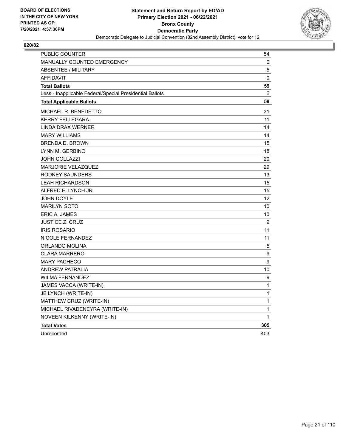

| PUBLIC COUNTER                                           | 54  |
|----------------------------------------------------------|-----|
| MANUALLY COUNTED EMERGENCY                               | 0   |
| <b>ABSENTEE / MILITARY</b>                               | 5   |
| <b>AFFIDAVIT</b>                                         | 0   |
| <b>Total Ballots</b>                                     | 59  |
| Less - Inapplicable Federal/Special Presidential Ballots | 0   |
| <b>Total Applicable Ballots</b>                          | 59  |
| MICHAEL R. BENEDETTO                                     | 31  |
| <b>KERRY FELLEGARA</b>                                   | 11  |
| LINDA DRAX WERNER                                        | 14  |
| <b>MARY WILLIAMS</b>                                     | 14  |
| <b>BRENDA D. BROWN</b>                                   | 15  |
| LYNN M. GERBINO                                          | 18  |
| JOHN COLLAZZI                                            | 20  |
| <b>MARJORIE VELAZQUEZ</b>                                | 29  |
| RODNEY SAUNDERS                                          | 13  |
| <b>LEAH RICHARDSON</b>                                   | 15  |
| ALFRED E. LYNCH JR.                                      | 15  |
| <b>JOHN DOYLE</b>                                        | 12  |
| <b>MARILYN SOTO</b>                                      | 10  |
| <b>ERIC A. JAMES</b>                                     | 10  |
| JUSTICE Z. CRUZ                                          | 9   |
| <b>IRIS ROSARIO</b>                                      | 11  |
| NICOLE FERNANDEZ                                         | 11  |
| ORLANDO MOLINA                                           | 5   |
| <b>CLARA MARRERO</b>                                     | 9   |
| <b>MARY PACHECO</b>                                      | 9   |
| ANDREW PATRALIA                                          | 10  |
| <b>WILMA FERNANDEZ</b>                                   | 9   |
| JAMES VACCA (WRITE-IN)                                   | 1   |
| JE LYNCH (WRITE-IN)                                      | 1   |
| MATTHEW CRUZ (WRITE-IN)                                  | 1   |
| MICHAEL RIVADENEYRA (WRITE-IN)                           | 1   |
| NOVEEN KILKENNY (WRITE-IN)                               | 1   |
| <b>Total Votes</b>                                       | 305 |
| Unrecorded                                               | 403 |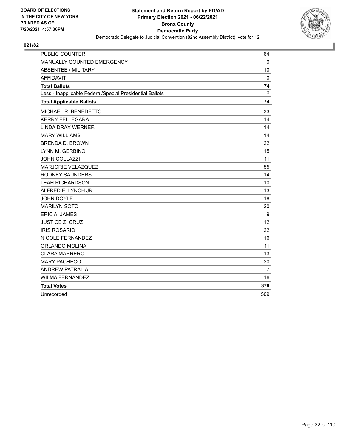

| <b>PUBLIC COUNTER</b>                                    | 64          |
|----------------------------------------------------------|-------------|
| MANUALLY COUNTED EMERGENCY                               | $\Omega$    |
| <b>ABSENTEE / MILITARY</b>                               | 10          |
| <b>AFFIDAVIT</b>                                         | $\mathbf 0$ |
| <b>Total Ballots</b>                                     | 74          |
| Less - Inapplicable Federal/Special Presidential Ballots | 0           |
| <b>Total Applicable Ballots</b>                          | 74          |
| MICHAEL R. BENEDETTO                                     | 33          |
| <b>KERRY FELLEGARA</b>                                   | 14          |
| <b>LINDA DRAX WERNER</b>                                 | 14          |
| <b>MARY WILLIAMS</b>                                     | 14          |
| <b>BRENDA D. BROWN</b>                                   | 22          |
| LYNN M. GERBINO                                          | 15          |
| <b>JOHN COLLAZZI</b>                                     | 11          |
| <b>MARJORIE VELAZQUEZ</b>                                | 55          |
| <b>RODNEY SAUNDERS</b>                                   | 14          |
| <b>LEAH RICHARDSON</b>                                   | 10          |
| ALFRED E. LYNCH JR.                                      | 13          |
| JOHN DOYLE                                               | 18          |
| <b>MARILYN SOTO</b>                                      | 20          |
| ERIC A. JAMES                                            | 9           |
| <b>JUSTICE Z. CRUZ</b>                                   | 12          |
| <b>IRIS ROSARIO</b>                                      | 22          |
| NICOLE FERNANDEZ                                         | 16          |
| ORLANDO MOLINA                                           | 11          |
| <b>CLARA MARRERO</b>                                     | 13          |
| <b>MARY PACHECO</b>                                      | 20          |
| <b>ANDREW PATRALIA</b>                                   | 7           |
| <b>WILMA FERNANDEZ</b>                                   | 16          |
| <b>Total Votes</b>                                       | 379         |
| Unrecorded                                               | 509         |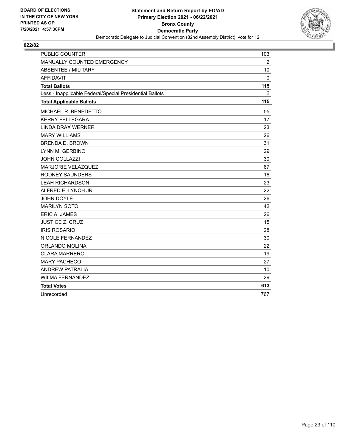

| <b>PUBLIC COUNTER</b>                                    | 103          |
|----------------------------------------------------------|--------------|
| MANUALLY COUNTED EMERGENCY                               | 2            |
| <b>ABSENTEE / MILITARY</b>                               | 10           |
| <b>AFFIDAVIT</b>                                         | $\mathbf{0}$ |
| <b>Total Ballots</b>                                     | 115          |
| Less - Inapplicable Federal/Special Presidential Ballots | 0            |
| <b>Total Applicable Ballots</b>                          | 115          |
| MICHAEL R. BENEDETTO                                     | 55           |
| <b>KERRY FELLEGARA</b>                                   | 17           |
| <b>LINDA DRAX WERNER</b>                                 | 23           |
| <b>MARY WILLIAMS</b>                                     | 26           |
| <b>BRENDA D. BROWN</b>                                   | 31           |
| LYNN M. GERBINO                                          | 29           |
| <b>JOHN COLLAZZI</b>                                     | 30           |
| MARJORIE VELAZQUEZ                                       | 67           |
| <b>RODNEY SAUNDERS</b>                                   | 16           |
| <b>LEAH RICHARDSON</b>                                   | 23           |
| ALFRED E. LYNCH JR.                                      | 22           |
| JOHN DOYLE                                               | 26           |
| <b>MARILYN SOTO</b>                                      | 42           |
| ERIC A. JAMES                                            | 26           |
| <b>JUSTICE Z. CRUZ</b>                                   | 15           |
| <b>IRIS ROSARIO</b>                                      | 28           |
| NICOLE FERNANDEZ                                         | 30           |
| ORLANDO MOLINA                                           | 22           |
| <b>CLARA MARRERO</b>                                     | 19           |
| <b>MARY PACHECO</b>                                      | 27           |
| <b>ANDREW PATRALIA</b>                                   | 10           |
| <b>WILMA FERNANDEZ</b>                                   | 29           |
| <b>Total Votes</b>                                       | 613          |
| Unrecorded                                               | 767          |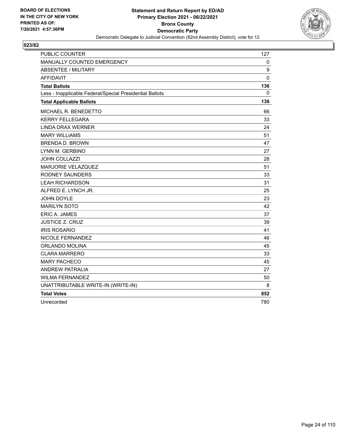

| <b>PUBLIC COUNTER</b>                                    | 127         |
|----------------------------------------------------------|-------------|
| MANUALLY COUNTED EMERGENCY                               | 0           |
| <b>ABSENTEE / MILITARY</b>                               | 9           |
| <b>AFFIDAVIT</b>                                         | $\mathbf 0$ |
| <b>Total Ballots</b>                                     | 136         |
| Less - Inapplicable Federal/Special Presidential Ballots | 0           |
| <b>Total Applicable Ballots</b>                          | 136         |
| MICHAEL R. BENEDETTO                                     | 66          |
| <b>KERRY FELLEGARA</b>                                   | 33          |
| <b>LINDA DRAX WERNER</b>                                 | 24          |
| <b>MARY WILLIAMS</b>                                     | 51          |
| <b>BRENDA D. BROWN</b>                                   | 47          |
| LYNN M. GERBINO                                          | 27          |
| <b>JOHN COLLAZZI</b>                                     | 28          |
| MARJORIE VELAZQUEZ                                       | 51          |
| <b>RODNEY SAUNDERS</b>                                   | 33          |
| <b>LEAH RICHARDSON</b>                                   | 31          |
| ALFRED E. LYNCH JR.                                      | 25          |
| JOHN DOYLE                                               | 23          |
| <b>MARILYN SOTO</b>                                      | 42          |
| <b>ERIC A. JAMES</b>                                     | 37          |
| <b>JUSTICE Z. CRUZ</b>                                   | 39          |
| <b>IRIS ROSARIO</b>                                      | 41          |
| NICOLE FERNANDEZ                                         | 46          |
| ORLANDO MOLINA                                           | 45          |
| <b>CLARA MARRERO</b>                                     | 33          |
| <b>MARY PACHECO</b>                                      | 45          |
| <b>ANDREW PATRALIA</b>                                   | 27          |
| <b>WILMA FERNANDEZ</b>                                   | 50          |
| UNATTRIBUTABLE WRITE-IN (WRITE-IN)                       | 8           |
| <b>Total Votes</b>                                       | 852         |
| Unrecorded                                               | 780         |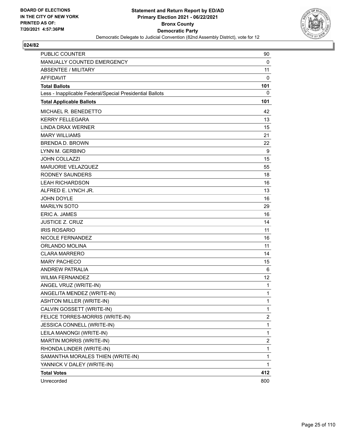

| <b>PUBLIC COUNTER</b>                                    | 90                      |
|----------------------------------------------------------|-------------------------|
| MANUALLY COUNTED EMERGENCY                               | 0                       |
| ABSENTEE / MILITARY                                      | 11                      |
| <b>AFFIDAVIT</b>                                         | 0                       |
| <b>Total Ballots</b>                                     | 101                     |
| Less - Inapplicable Federal/Special Presidential Ballots | 0                       |
| <b>Total Applicable Ballots</b>                          | 101                     |
| MICHAEL R. BENEDETTO                                     | 42                      |
| <b>KERRY FELLEGARA</b>                                   | 13                      |
| <b>LINDA DRAX WERNER</b>                                 | 15                      |
| <b>MARY WILLIAMS</b>                                     | 21                      |
| <b>BRENDA D. BROWN</b>                                   | 22                      |
| LYNN M. GERBINO                                          | 9                       |
| <b>JOHN COLLAZZI</b>                                     | 15                      |
| MARJORIE VELAZQUEZ                                       | 55                      |
| <b>RODNEY SAUNDERS</b>                                   | 18                      |
| <b>LEAH RICHARDSON</b>                                   | 16                      |
| ALFRED E. LYNCH JR.                                      | 13                      |
| <b>JOHN DOYLE</b>                                        | 16                      |
| <b>MARILYN SOTO</b>                                      | 29                      |
| <b>ERIC A. JAMES</b>                                     | 16                      |
| <b>JUSTICE Z. CRUZ</b>                                   | 14                      |
| <b>IRIS ROSARIO</b>                                      | 11                      |
| NICOLE FERNANDEZ                                         | 16                      |
| <b>ORLANDO MOLINA</b>                                    | 11                      |
| <b>CLARA MARRERO</b>                                     | 14                      |
| <b>MARY PACHECO</b>                                      | 15                      |
| ANDREW PATRALIA                                          | 6                       |
| <b>WILMA FERNANDEZ</b>                                   | 12                      |
| ANGEL VRUZ (WRITE-IN)                                    | 1                       |
| ANGELITA MENDEZ (WRITE-IN)                               | 1                       |
| <b>ASHTON MILLER (WRITE-IN)</b>                          | 1                       |
| CALVIN GOSSETT (WRITE-IN)                                | 1                       |
| FELICE TORRES-MORRIS (WRITE-IN)                          | $\overline{c}$          |
| JESSICA CONNELL (WRITE-IN)                               | 1                       |
| LEILA MANONGI (WRITE-IN)                                 | 1                       |
| <b>MARTIN MORRIS (WRITE-IN)</b>                          | $\overline{\mathbf{c}}$ |
| RHONDA LINDER (WRITE-IN)                                 | 1                       |
| SAMANTHA MORALES THIEN (WRITE-IN)                        | 1                       |
| YANNICK V DALEY (WRITE-IN)                               | 1                       |
| <b>Total Votes</b>                                       | 412                     |
| Unrecorded                                               | 800                     |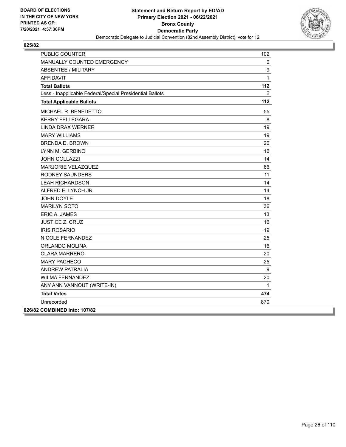

| <b>PUBLIC COUNTER</b>                                    | 102          |
|----------------------------------------------------------|--------------|
| MANUALLY COUNTED EMERGENCY                               | 0            |
| <b>ABSENTEE / MILITARY</b>                               | 9            |
| <b>AFFIDAVIT</b>                                         | $\mathbf{1}$ |
| <b>Total Ballots</b>                                     | 112          |
| Less - Inapplicable Federal/Special Presidential Ballots | 0            |
| <b>Total Applicable Ballots</b>                          | 112          |
| MICHAEL R. BENEDETTO                                     | 55           |
| <b>KERRY FELLEGARA</b>                                   | 8            |
| LINDA DRAX WERNER                                        | 19           |
| <b>MARY WILLIAMS</b>                                     | 19           |
| <b>BRENDA D. BROWN</b>                                   | 20           |
| LYNN M. GERBINO                                          | 16           |
| <b>JOHN COLLAZZI</b>                                     | 14           |
| MARJORIE VELAZQUEZ                                       | 66           |
| <b>RODNEY SAUNDERS</b>                                   | 11           |
| <b>LEAH RICHARDSON</b>                                   | 14           |
| ALFRED E. LYNCH JR.                                      | 14           |
| JOHN DOYLE                                               | 18           |
| <b>MARILYN SOTO</b>                                      | 36           |
| <b>ERIC A. JAMES</b>                                     | 13           |
| <b>JUSTICE Z. CRUZ</b>                                   | 16           |
| <b>IRIS ROSARIO</b>                                      | 19           |
| NICOLE FERNANDEZ                                         | 25           |
| <b>ORLANDO MOLINA</b>                                    | 16           |
| <b>CLARA MARRERO</b>                                     | 20           |
| <b>MARY PACHECO</b>                                      | 25           |
| <b>ANDREW PATRALIA</b>                                   | 9            |
| <b>WILMA FERNANDEZ</b>                                   | 20           |
| ANY ANN VANNOUT (WRITE-IN)                               | $\mathbf{1}$ |
| <b>Total Votes</b>                                       | 474          |
| Unrecorded                                               | 870          |
| 026/82 COMBINED into: 107/82                             |              |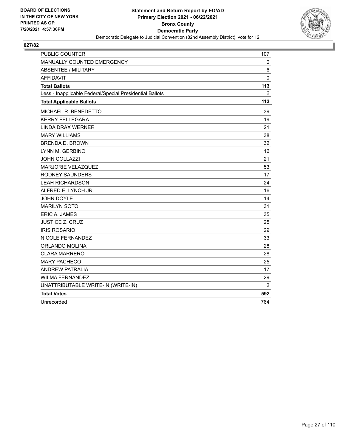

| <b>PUBLIC COUNTER</b>                                    | 107 |
|----------------------------------------------------------|-----|
| MANUALLY COUNTED EMERGENCY                               | 0   |
| <b>ABSENTEE / MILITARY</b>                               | 6   |
| <b>AFFIDAVIT</b>                                         | 0   |
| <b>Total Ballots</b>                                     | 113 |
| Less - Inapplicable Federal/Special Presidential Ballots | 0   |
| <b>Total Applicable Ballots</b>                          | 113 |
| MICHAEL R. BENEDETTO                                     | 39  |
| <b>KERRY FELLEGARA</b>                                   | 19  |
| <b>LINDA DRAX WERNER</b>                                 | 21  |
| <b>MARY WILLIAMS</b>                                     | 38  |
| <b>BRENDA D. BROWN</b>                                   | 32  |
| LYNN M. GERBINO                                          | 16  |
| <b>JOHN COLLAZZI</b>                                     | 21  |
| MARJORIE VELAZQUEZ                                       | 53  |
| <b>RODNEY SAUNDERS</b>                                   | 17  |
| <b>LEAH RICHARDSON</b>                                   | 24  |
| ALFRED E. LYNCH JR.                                      | 16  |
| <b>JOHN DOYLE</b>                                        | 14  |
| <b>MARILYN SOTO</b>                                      | 31  |
| <b>ERIC A. JAMES</b>                                     | 35  |
| <b>JUSTICE Z. CRUZ</b>                                   | 25  |
| <b>IRIS ROSARIO</b>                                      | 29  |
| NICOLE FERNANDEZ                                         | 33  |
| ORLANDO MOLINA                                           | 28  |
| <b>CLARA MARRERO</b>                                     | 28  |
| <b>MARY PACHECO</b>                                      | 25  |
| <b>ANDREW PATRALIA</b>                                   | 17  |
| <b>WILMA FERNANDEZ</b>                                   | 29  |
| UNATTRIBUTABLE WRITE-IN (WRITE-IN)                       | 2   |
| <b>Total Votes</b>                                       | 592 |
| Unrecorded                                               | 764 |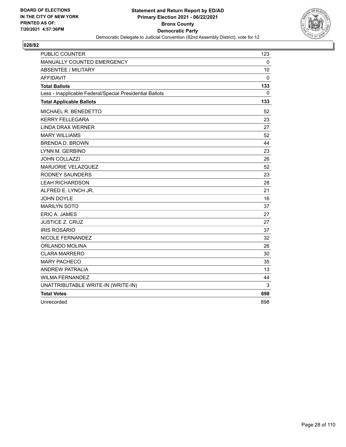

| <b>PUBLIC COUNTER</b>                                    | 123 |
|----------------------------------------------------------|-----|
| MANUALLY COUNTED EMERGENCY                               | 0   |
| ABSENTEE / MILITARY                                      | 10  |
| <b>AFFIDAVIT</b>                                         | 0   |
| <b>Total Ballots</b>                                     | 133 |
| Less - Inapplicable Federal/Special Presidential Ballots | 0   |
| <b>Total Applicable Ballots</b>                          | 133 |
| MICHAEL R. BENEDETTO                                     | 52  |
| <b>KERRY FELLEGARA</b>                                   | 23  |
| <b>LINDA DRAX WERNER</b>                                 | 27  |
| <b>MARY WILLIAMS</b>                                     | 52  |
| <b>BRENDA D. BROWN</b>                                   | 44  |
| LYNN M. GERBINO                                          | 23  |
| <b>JOHN COLLAZZI</b>                                     | 26  |
| MARJORIE VELAZQUEZ                                       | 52  |
| <b>RODNEY SAUNDERS</b>                                   | 23  |
| <b>LEAH RICHARDSON</b>                                   | 28  |
| ALFRED E. LYNCH JR.                                      | 21  |
| <b>JOHN DOYLE</b>                                        | 16  |
| <b>MARILYN SOTO</b>                                      | 37  |
| ERIC A. JAMES                                            | 27  |
| <b>JUSTICE Z. CRUZ</b>                                   | 27  |
| <b>IRIS ROSARIO</b>                                      | 37  |
| NICOLE FERNANDEZ                                         | 32  |
| ORLANDO MOLINA                                           | 26  |
| <b>CLARA MARRERO</b>                                     | 30  |
| <b>MARY PACHECO</b>                                      | 35  |
| <b>ANDREW PATRALIA</b>                                   | 13  |
| <b>WILMA FERNANDEZ</b>                                   | 44  |
| UNATTRIBUTABLE WRITE-IN (WRITE-IN)                       | 3   |
| <b>Total Votes</b>                                       | 698 |
| Unrecorded                                               | 898 |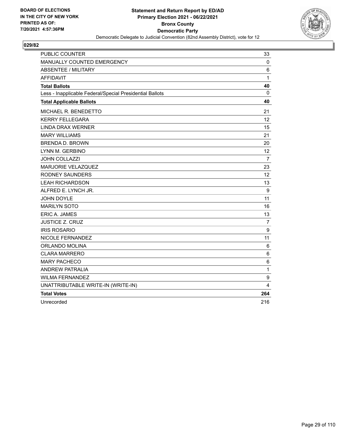

| <b>PUBLIC COUNTER</b>                                    | 33             |
|----------------------------------------------------------|----------------|
| MANUALLY COUNTED EMERGENCY                               | 0              |
| <b>ABSENTEE / MILITARY</b>                               | 6              |
| <b>AFFIDAVIT</b>                                         | $\mathbf{1}$   |
| <b>Total Ballots</b>                                     | 40             |
| Less - Inapplicable Federal/Special Presidential Ballots | $\mathbf{0}$   |
| <b>Total Applicable Ballots</b>                          | 40             |
| MICHAEL R. BENEDETTO                                     | 21             |
| <b>KERRY FELLEGARA</b>                                   | 12             |
| <b>LINDA DRAX WERNER</b>                                 | 15             |
| <b>MARY WILLIAMS</b>                                     | 21             |
| <b>BRENDA D. BROWN</b>                                   | 20             |
| LYNN M. GERBINO                                          | 12             |
| <b>JOHN COLLAZZI</b>                                     | $\overline{7}$ |
| MARJORIE VELAZQUEZ                                       | 23             |
| <b>RODNEY SAUNDERS</b>                                   | 12             |
| <b>LEAH RICHARDSON</b>                                   | 13             |
| ALFRED E. LYNCH JR.                                      | 9              |
| <b>JOHN DOYLE</b>                                        | 11             |
| <b>MARILYN SOTO</b>                                      | 16             |
| <b>ERIC A. JAMES</b>                                     | 13             |
| <b>JUSTICE Z. CRUZ</b>                                   | 7              |
| <b>IRIS ROSARIO</b>                                      | 9              |
| NICOLE FERNANDEZ                                         | 11             |
| ORLANDO MOLINA                                           | 6              |
| <b>CLARA MARRERO</b>                                     | 6              |
| <b>MARY PACHECO</b>                                      | 6              |
| <b>ANDREW PATRALIA</b>                                   | $\mathbf{1}$   |
| <b>WILMA FERNANDEZ</b>                                   | 9              |
| UNATTRIBUTABLE WRITE-IN (WRITE-IN)                       | 4              |
| <b>Total Votes</b>                                       | 264            |
| Unrecorded                                               | 216            |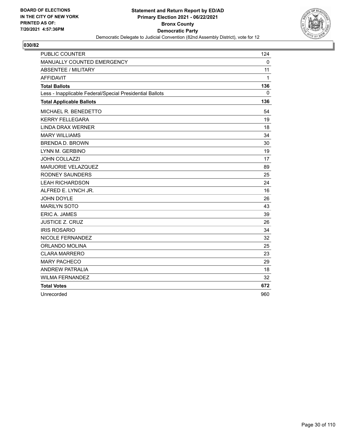

| <b>PUBLIC COUNTER</b>                                    | 124 |
|----------------------------------------------------------|-----|
| MANUALLY COUNTED EMERGENCY                               | 0   |
| <b>ABSENTEE / MILITARY</b>                               | 11  |
| <b>AFFIDAVIT</b>                                         | 1   |
| <b>Total Ballots</b>                                     | 136 |
| Less - Inapplicable Federal/Special Presidential Ballots | 0   |
| <b>Total Applicable Ballots</b>                          | 136 |
| MICHAEL R. BENEDETTO                                     | 54  |
| <b>KERRY FELLEGARA</b>                                   | 19  |
| <b>LINDA DRAX WERNER</b>                                 | 18  |
| <b>MARY WILLIAMS</b>                                     | 34  |
| <b>BRENDA D. BROWN</b>                                   | 30  |
| LYNN M. GERBINO                                          | 19  |
| <b>JOHN COLLAZZI</b>                                     | 17  |
| MARJORIE VELAZQUEZ                                       | 89  |
| <b>RODNEY SAUNDERS</b>                                   | 25  |
| <b>LEAH RICHARDSON</b>                                   | 24  |
| ALFRED E. LYNCH JR.                                      | 16  |
| <b>JOHN DOYLE</b>                                        | 26  |
| <b>MARILYN SOTO</b>                                      | 43  |
| ERIC A. JAMES                                            | 39  |
| <b>JUSTICE Z. CRUZ</b>                                   | 26  |
| <b>IRIS ROSARIO</b>                                      | 34  |
| NICOLE FERNANDEZ                                         | 32  |
| ORLANDO MOLINA                                           | 25  |
| <b>CLARA MARRERO</b>                                     | 23  |
| <b>MARY PACHECO</b>                                      | 29  |
| <b>ANDREW PATRALIA</b>                                   | 18  |
| <b>WILMA FERNANDEZ</b>                                   | 32  |
| <b>Total Votes</b>                                       | 672 |
| Unrecorded                                               | 960 |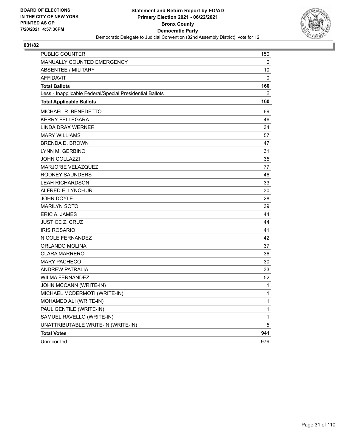

| <b>PUBLIC COUNTER</b>                                    | 150          |
|----------------------------------------------------------|--------------|
| <b>MANUALLY COUNTED EMERGENCY</b>                        | 0            |
| <b>ABSENTEE / MILITARY</b>                               | 10           |
| <b>AFFIDAVIT</b>                                         | 0            |
| <b>Total Ballots</b>                                     | 160          |
| Less - Inapplicable Federal/Special Presidential Ballots | 0            |
| <b>Total Applicable Ballots</b>                          | 160          |
| MICHAEL R. BENEDETTO                                     | 69           |
| <b>KERRY FELLEGARA</b>                                   | 46           |
| LINDA DRAX WERNER                                        | 34           |
| <b>MARY WILLIAMS</b>                                     | 57           |
| <b>BRENDA D. BROWN</b>                                   | 47           |
| LYNN M. GERBINO                                          | 31           |
| JOHN COLLAZZI                                            | 35           |
| MARJORIE VELAZQUEZ                                       | 77           |
| RODNEY SAUNDERS                                          | 46           |
| <b>LEAH RICHARDSON</b>                                   | 33           |
| ALFRED E. LYNCH JR.                                      | 30           |
| JOHN DOYLE                                               | 28           |
| <b>MARILYN SOTO</b>                                      | 39           |
| ERIC A. JAMES                                            | 44           |
| <b>JUSTICE Z. CRUZ</b>                                   | 44           |
| <b>IRIS ROSARIO</b>                                      | 41           |
| NICOLE FERNANDEZ                                         | 42           |
| ORLANDO MOLINA                                           | 37           |
| <b>CLARA MARRERO</b>                                     | 36           |
| <b>MARY PACHECO</b>                                      | 30           |
| <b>ANDREW PATRALIA</b>                                   | 33           |
| <b>WILMA FERNANDEZ</b>                                   | 52           |
| JOHN MCCANN (WRITE-IN)                                   | $\mathbf{1}$ |
| MICHAEL MCDERMOTI (WRITE-IN)                             | 1            |
| MOHAMED ALI (WRITE-IN)                                   | 1            |
| PAUL GENTILE (WRITE-IN)                                  | 1            |
| SAMUEL RAVELLO (WRITE-IN)                                | 1            |
| UNATTRIBUTABLE WRITE-IN (WRITE-IN)                       | 5            |
| <b>Total Votes</b>                                       | 941          |
| Unrecorded                                               | 979          |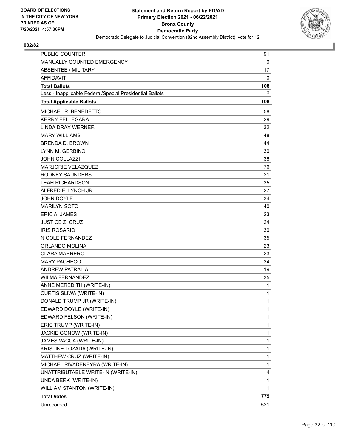

| PUBLIC COUNTER                                           | 91           |
|----------------------------------------------------------|--------------|
| MANUALLY COUNTED EMERGENCY                               | $\mathbf 0$  |
| ABSENTEE / MILITARY                                      | 17           |
| <b>AFFIDAVIT</b>                                         | 0            |
| <b>Total Ballots</b>                                     | 108          |
| Less - Inapplicable Federal/Special Presidential Ballots | 0            |
| <b>Total Applicable Ballots</b>                          | 108          |
| MICHAEL R. BENEDETTO                                     | 58           |
| <b>KERRY FELLEGARA</b>                                   | 29           |
| LINDA DRAX WERNER                                        | 32           |
| <b>MARY WILLIAMS</b>                                     | 48           |
| <b>BRENDA D. BROWN</b>                                   | 44           |
| LYNN M. GERBINO                                          | 30           |
| <b>JOHN COLLAZZI</b>                                     | 38           |
| MARJORIE VELAZQUEZ                                       | 76           |
| <b>RODNEY SAUNDERS</b>                                   | 21           |
| <b>LEAH RICHARDSON</b>                                   | 35           |
| ALFRED E. LYNCH JR.                                      | 27           |
| <b>JOHN DOYLE</b>                                        | 34           |
| <b>MARILYN SOTO</b>                                      | 40           |
| <b>ERIC A. JAMES</b>                                     | 23           |
| <b>JUSTICE Z. CRUZ</b>                                   | 24           |
| <b>IRIS ROSARIO</b>                                      | 30           |
| NICOLE FERNANDEZ                                         | 35           |
| ORLANDO MOLINA                                           | 23           |
| <b>CLARA MARRERO</b>                                     | 23           |
| <b>MARY PACHECO</b>                                      | 34           |
| ANDREW PATRALIA                                          | 19           |
| <b>WILMA FERNANDEZ</b>                                   | 35           |
| ANNE MEREDITH (WRITE-IN)                                 | 1            |
| CURTIS SLIWA (WRITE-IN)                                  | $\mathbf{1}$ |
| DONALD TRUMP JR (WRITE-IN)                               | 1            |
| EDWARD DOYLE (WRITE-IN)                                  | $\mathbf{1}$ |
| EDWARD FELSON (WRITE-IN)                                 | 1            |
| ERIC TRUMP (WRITE-IN)                                    | 1            |
| JACKIE GONOW (WRITE-IN)                                  | 1            |
| JAMES VACCA (WRITE-IN)                                   | $\mathbf{1}$ |
| KRISTINE LOZADA (WRITE-IN)                               | 1            |
| MATTHEW CRUZ (WRITE-IN)                                  | $\mathbf{1}$ |
| MICHAEL RIVADENEYRA (WRITE-IN)                           | 1            |
| UNATTRIBUTABLE WRITE-IN (WRITE-IN)                       | 4            |
| UNDA BERK (WRITE-IN)                                     | 1            |
| <b>WILLIAM STANTON (WRITE-IN)</b>                        | 1            |
| <b>Total Votes</b>                                       | 775          |
| Unrecorded                                               | 521          |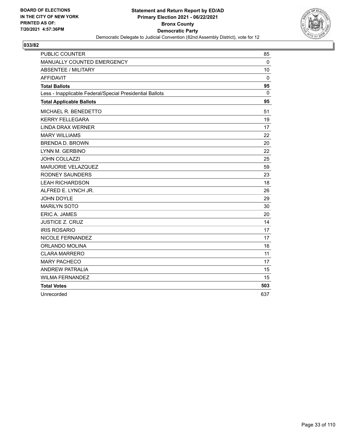

| <b>PUBLIC COUNTER</b>                                    | 85          |
|----------------------------------------------------------|-------------|
| MANUALLY COUNTED EMERGENCY                               | $\Omega$    |
| <b>ABSENTEE / MILITARY</b>                               | 10          |
| <b>AFFIDAVIT</b>                                         | $\mathbf 0$ |
| <b>Total Ballots</b>                                     | 95          |
| Less - Inapplicable Federal/Special Presidential Ballots | 0           |
| <b>Total Applicable Ballots</b>                          | 95          |
| MICHAEL R. BENEDETTO                                     | 51          |
| <b>KERRY FELLEGARA</b>                                   | 19          |
| <b>LINDA DRAX WERNER</b>                                 | 17          |
| <b>MARY WILLIAMS</b>                                     | 22          |
| <b>BRENDA D. BROWN</b>                                   | 20          |
| LYNN M. GERBINO                                          | 22          |
| <b>JOHN COLLAZZI</b>                                     | 25          |
| <b>MARJORIE VELAZQUEZ</b>                                | 59          |
| <b>RODNEY SAUNDERS</b>                                   | 23          |
| <b>LEAH RICHARDSON</b>                                   | 18          |
| ALFRED E. LYNCH JR.                                      | 26          |
| JOHN DOYLE                                               | 29          |
| <b>MARILYN SOTO</b>                                      | 30          |
| ERIC A. JAMES                                            | 20          |
| <b>JUSTICE Z. CRUZ</b>                                   | 14          |
| <b>IRIS ROSARIO</b>                                      | 17          |
| NICOLE FERNANDEZ                                         | 17          |
| ORLANDO MOLINA                                           | 16          |
| <b>CLARA MARRERO</b>                                     | 11          |
| <b>MARY PACHECO</b>                                      | 17          |
| <b>ANDREW PATRALIA</b>                                   | 15          |
| <b>WILMA FERNANDEZ</b>                                   | 15          |
| <b>Total Votes</b>                                       | 503         |
| Unrecorded                                               | 637         |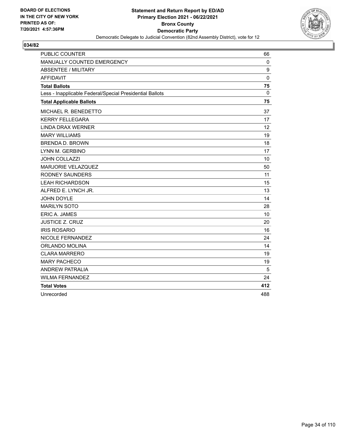

| <b>PUBLIC COUNTER</b>                                    | 66          |
|----------------------------------------------------------|-------------|
| MANUALLY COUNTED EMERGENCY                               | 0           |
| <b>ABSENTEE / MILITARY</b>                               | 9           |
| <b>AFFIDAVIT</b>                                         | $\mathbf 0$ |
| <b>Total Ballots</b>                                     | 75          |
| Less - Inapplicable Federal/Special Presidential Ballots | 0           |
| <b>Total Applicable Ballots</b>                          | 75          |
| MICHAEL R. BENEDETTO                                     | 37          |
| <b>KERRY FELLEGARA</b>                                   | 17          |
| <b>LINDA DRAX WERNER</b>                                 | 12          |
| <b>MARY WILLIAMS</b>                                     | 19          |
| <b>BRENDA D. BROWN</b>                                   | 18          |
| LYNN M. GERBINO                                          | 17          |
| JOHN COLLAZZI                                            | 10          |
| MARJORIE VELAZQUEZ                                       | 50          |
| <b>RODNEY SAUNDERS</b>                                   | 11          |
| <b>LEAH RICHARDSON</b>                                   | 15          |
| ALFRED E. LYNCH JR.                                      | 13          |
| <b>JOHN DOYLE</b>                                        | 14          |
| <b>MARILYN SOTO</b>                                      | 28          |
| <b>ERIC A. JAMES</b>                                     | 10          |
| <b>JUSTICE Z. CRUZ</b>                                   | 20          |
| <b>IRIS ROSARIO</b>                                      | 16          |
| NICOLE FERNANDEZ                                         | 24          |
| ORLANDO MOLINA                                           | 14          |
| <b>CLARA MARRERO</b>                                     | 19          |
| <b>MARY PACHECO</b>                                      | 19          |
| <b>ANDREW PATRALIA</b>                                   | 5           |
| <b>WILMA FERNANDEZ</b>                                   | 24          |
| <b>Total Votes</b>                                       | 412         |
| Unrecorded                                               | 488         |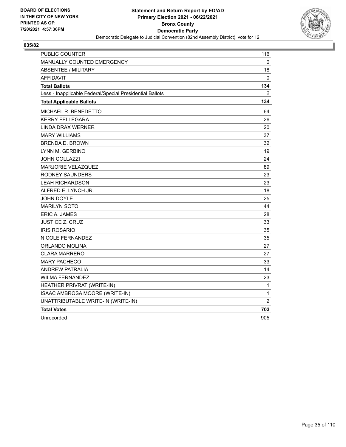

| PUBLIC COUNTER                                           | 116         |
|----------------------------------------------------------|-------------|
| <b>MANUALLY COUNTED EMERGENCY</b>                        | 0           |
| <b>ABSENTEE / MILITARY</b>                               | 18          |
| <b>AFFIDAVIT</b>                                         | 0           |
| <b>Total Ballots</b>                                     | 134         |
| Less - Inapplicable Federal/Special Presidential Ballots | 0           |
| <b>Total Applicable Ballots</b>                          | 134         |
| MICHAEL R. BENEDETTO                                     | 64          |
| <b>KERRY FELLEGARA</b>                                   | 26          |
| LINDA DRAX WERNER                                        | 20          |
| <b>MARY WILLIAMS</b>                                     | 37          |
| <b>BRENDA D. BROWN</b>                                   | 32          |
| LYNN M. GERBINO                                          | 19          |
| <b>JOHN COLLAZZI</b>                                     | 24          |
| MARJORIE VELAZQUEZ                                       | 89          |
| RODNEY SAUNDERS                                          | 23          |
| <b>LEAH RICHARDSON</b>                                   | 23          |
| ALFRED E. LYNCH JR.                                      | 18          |
| <b>JOHN DOYLE</b>                                        | 25          |
| <b>MARILYN SOTO</b>                                      | 44          |
| ERIC A. JAMES                                            | 28          |
| <b>JUSTICE Z. CRUZ</b>                                   | 33          |
| <b>IRIS ROSARIO</b>                                      | 35          |
| NICOLE FERNANDEZ                                         | 35          |
| ORLANDO MOLINA                                           | 27          |
| <b>CLARA MARRERO</b>                                     | 27          |
| <b>MARY PACHECO</b>                                      | 33          |
| <b>ANDREW PATRALIA</b>                                   | 14          |
| <b>WILMA FERNANDEZ</b>                                   | 23          |
| HEATHER PRIVRAT (WRITE-IN)                               | 1           |
| ISAAC AMBROSA MOORE (WRITE-IN)                           | $\mathbf 1$ |
| UNATTRIBUTABLE WRITE-IN (WRITE-IN)                       | 2           |
| <b>Total Votes</b>                                       | 703         |
| Unrecorded                                               | 905         |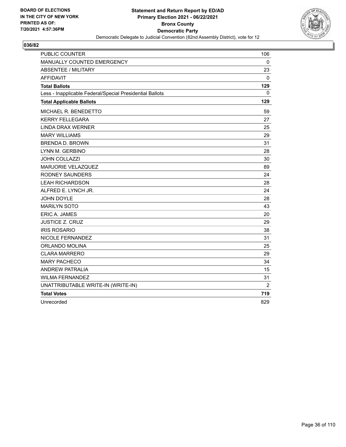

| <b>PUBLIC COUNTER</b>                                    | 106          |
|----------------------------------------------------------|--------------|
| MANUALLY COUNTED EMERGENCY                               | $\mathbf{0}$ |
| <b>ABSENTEE / MILITARY</b>                               | 23           |
| <b>AFFIDAVIT</b>                                         | 0            |
| <b>Total Ballots</b>                                     | 129          |
| Less - Inapplicable Federal/Special Presidential Ballots | 0            |
| <b>Total Applicable Ballots</b>                          | 129          |
| MICHAEL R. BENEDETTO                                     | 59           |
| <b>KERRY FELLEGARA</b>                                   | 27           |
| <b>LINDA DRAX WERNER</b>                                 | 25           |
| <b>MARY WILLIAMS</b>                                     | 29           |
| <b>BRENDA D. BROWN</b>                                   | 31           |
| LYNN M. GERBINO                                          | 28           |
| <b>JOHN COLLAZZI</b>                                     | 30           |
| MARJORIE VELAZQUEZ                                       | 89           |
| <b>RODNEY SAUNDERS</b>                                   | 24           |
| <b>LEAH RICHARDSON</b>                                   | 28           |
| ALFRED E. LYNCH JR.                                      | 24           |
| JOHN DOYLE                                               | 28           |
| <b>MARILYN SOTO</b>                                      | 43           |
| <b>ERIC A. JAMES</b>                                     | 20           |
| <b>JUSTICE Z. CRUZ</b>                                   | 29           |
| <b>IRIS ROSARIO</b>                                      | 38           |
| NICOLE FERNANDEZ                                         | 31           |
| ORLANDO MOLINA                                           | 25           |
| <b>CLARA MARRERO</b>                                     | 29           |
| <b>MARY PACHECO</b>                                      | 34           |
| <b>ANDREW PATRALIA</b>                                   | 15           |
| <b>WILMA FERNANDEZ</b>                                   | 31           |
| UNATTRIBUTABLE WRITE-IN (WRITE-IN)                       | 2            |
| <b>Total Votes</b>                                       | 719          |
| Unrecorded                                               | 829          |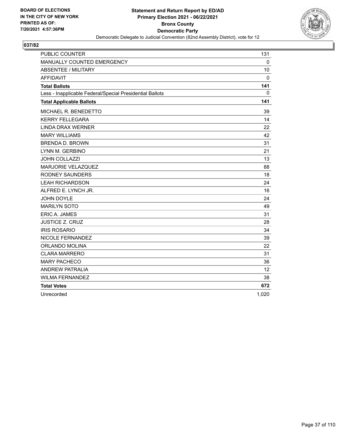

| <b>PUBLIC COUNTER</b>                                    | 131         |
|----------------------------------------------------------|-------------|
| MANUALLY COUNTED EMERGENCY                               | $\Omega$    |
| <b>ABSENTEE / MILITARY</b>                               | 10          |
| <b>AFFIDAVIT</b>                                         | $\mathbf 0$ |
| <b>Total Ballots</b>                                     | 141         |
| Less - Inapplicable Federal/Special Presidential Ballots | 0           |
| <b>Total Applicable Ballots</b>                          | 141         |
| MICHAEL R. BENEDETTO                                     | 39          |
| <b>KERRY FELLEGARA</b>                                   | 14          |
| <b>LINDA DRAX WERNER</b>                                 | 22          |
| <b>MARY WILLIAMS</b>                                     | 42          |
| <b>BRENDA D. BROWN</b>                                   | 31          |
| LYNN M. GERBINO                                          | 21          |
| JOHN COLLAZZI                                            | 13          |
| MARJORIE VELAZQUEZ                                       | 88          |
| <b>RODNEY SAUNDERS</b>                                   | 18          |
| <b>LEAH RICHARDSON</b>                                   | 24          |
| ALFRED E. LYNCH JR.                                      | 16          |
| <b>JOHN DOYLE</b>                                        | 24          |
| <b>MARILYN SOTO</b>                                      | 49          |
| ERIC A. JAMES                                            | 31          |
| <b>JUSTICE Z. CRUZ</b>                                   | 28          |
| <b>IRIS ROSARIO</b>                                      | 34          |
| NICOLE FERNANDEZ                                         | 39          |
| ORLANDO MOLINA                                           | 22          |
| <b>CLARA MARRERO</b>                                     | 31          |
| <b>MARY PACHECO</b>                                      | 36          |
| <b>ANDREW PATRALIA</b>                                   | 12          |
| <b>WILMA FERNANDEZ</b>                                   | 38          |
| <b>Total Votes</b>                                       | 672         |
| Unrecorded                                               | 1,020       |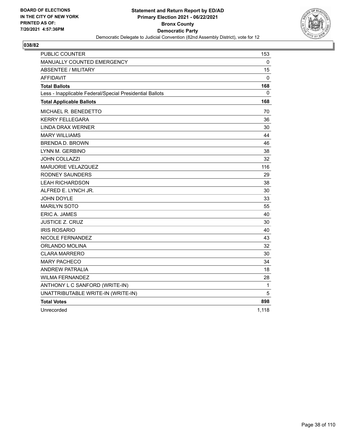

| <b>PUBLIC COUNTER</b>                                    | 153          |
|----------------------------------------------------------|--------------|
| <b>MANUALLY COUNTED EMERGENCY</b>                        | 0            |
| <b>ABSENTEE / MILITARY</b>                               | 15           |
| <b>AFFIDAVIT</b>                                         | 0            |
| <b>Total Ballots</b>                                     | 168          |
| Less - Inapplicable Federal/Special Presidential Ballots | 0            |
| <b>Total Applicable Ballots</b>                          | 168          |
| MICHAEL R. BENEDETTO                                     | 70           |
| <b>KERRY FELLEGARA</b>                                   | 36           |
| <b>LINDA DRAX WERNER</b>                                 | 30           |
| <b>MARY WILLIAMS</b>                                     | 44           |
| <b>BRENDA D. BROWN</b>                                   | 46           |
| LYNN M. GERBINO                                          | 38           |
| <b>JOHN COLLAZZI</b>                                     | 32           |
| <b>MARJORIE VELAZQUEZ</b>                                | 116          |
| RODNEY SAUNDERS                                          | 29           |
| <b>LEAH RICHARDSON</b>                                   | 38           |
| ALFRED E. LYNCH JR.                                      | 30           |
| <b>JOHN DOYLE</b>                                        | 33           |
| <b>MARILYN SOTO</b>                                      | 55           |
| <b>ERIC A. JAMES</b>                                     | 40           |
| JUSTICE Z. CRUZ                                          | 30           |
| <b>IRIS ROSARIO</b>                                      | 40           |
| NICOLE FERNANDEZ                                         | 43           |
| ORLANDO MOLINA                                           | 32           |
| <b>CLARA MARRERO</b>                                     | 30           |
| <b>MARY PACHECO</b>                                      | 34           |
| <b>ANDREW PATRALIA</b>                                   | 18           |
| <b>WILMA FERNANDEZ</b>                                   | 28           |
| ANTHONY L C SANFORD (WRITE-IN)                           | $\mathbf{1}$ |
| UNATTRIBUTABLE WRITE-IN (WRITE-IN)                       | 5            |
| <b>Total Votes</b>                                       | 898          |
| Unrecorded                                               | 1,118        |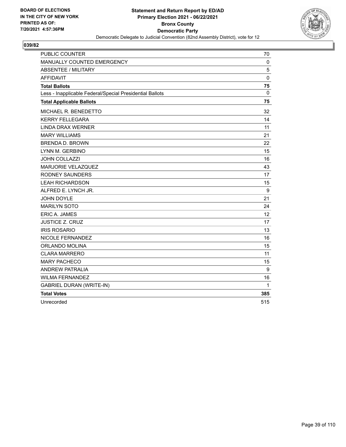

| <b>PUBLIC COUNTER</b>                                    | 70          |
|----------------------------------------------------------|-------------|
| MANUALLY COUNTED EMERGENCY                               | $\mathbf 0$ |
| <b>ABSENTEE / MILITARY</b>                               | 5           |
| <b>AFFIDAVIT</b>                                         | 0           |
| <b>Total Ballots</b>                                     | 75          |
| Less - Inapplicable Federal/Special Presidential Ballots | $\Omega$    |
| <b>Total Applicable Ballots</b>                          | 75          |
| MICHAEL R. BENEDETTO                                     | 32          |
| <b>KERRY FELLEGARA</b>                                   | 14          |
| <b>LINDA DRAX WERNER</b>                                 | 11          |
| <b>MARY WILLIAMS</b>                                     | 21          |
| <b>BRENDA D. BROWN</b>                                   | 22          |
| LYNN M. GERBINO                                          | 15          |
| JOHN COLLAZZI                                            | 16          |
| MARJORIE VELAZQUEZ                                       | 43          |
| <b>RODNEY SAUNDERS</b>                                   | 17          |
| <b>LEAH RICHARDSON</b>                                   | 15          |
| ALFRED E. LYNCH JR.                                      | 9           |
| <b>JOHN DOYLE</b>                                        | 21          |
| <b>MARILYN SOTO</b>                                      | 24          |
| <b>ERIC A. JAMES</b>                                     | 12          |
| <b>JUSTICE Z. CRUZ</b>                                   | 17          |
| <b>IRIS ROSARIO</b>                                      | 13          |
| <b>NICOLE FERNANDEZ</b>                                  | 16          |
| <b>ORLANDO MOLINA</b>                                    | 15          |
| <b>CLARA MARRERO</b>                                     | 11          |
| <b>MARY PACHECO</b>                                      | 15          |
| <b>ANDREW PATRALIA</b>                                   | 9           |
| <b>WILMA FERNANDEZ</b>                                   | 16          |
| <b>GABRIEL DURAN (WRITE-IN)</b>                          | 1           |
| <b>Total Votes</b>                                       | 385         |
| Unrecorded                                               | 515         |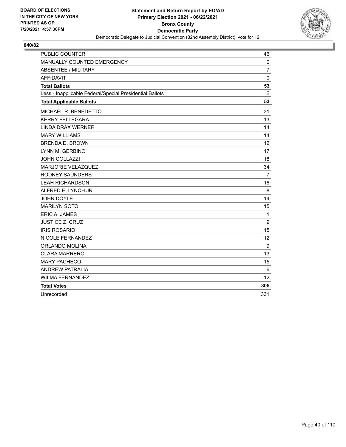

| <b>PUBLIC COUNTER</b>                                    | 46             |
|----------------------------------------------------------|----------------|
| MANUALLY COUNTED EMERGENCY                               | $\Omega$       |
| <b>ABSENTEE / MILITARY</b>                               | $\overline{7}$ |
| <b>AFFIDAVIT</b>                                         | $\mathbf 0$    |
| <b>Total Ballots</b>                                     | 53             |
| Less - Inapplicable Federal/Special Presidential Ballots | 0              |
| <b>Total Applicable Ballots</b>                          | 53             |
| MICHAEL R. BENEDETTO                                     | 31             |
| <b>KERRY FELLEGARA</b>                                   | 13             |
| <b>LINDA DRAX WERNER</b>                                 | 14             |
| <b>MARY WILLIAMS</b>                                     | 14             |
| <b>BRENDA D. BROWN</b>                                   | 12             |
| LYNN M. GERBINO                                          | 17             |
| <b>JOHN COLLAZZI</b>                                     | 18             |
| <b>MARJORIE VELAZQUEZ</b>                                | 34             |
| <b>RODNEY SAUNDERS</b>                                   | $\overline{7}$ |
| <b>LEAH RICHARDSON</b>                                   | 16             |
| ALFRED E. LYNCH JR.                                      | 8              |
| JOHN DOYLE                                               | 14             |
| <b>MARILYN SOTO</b>                                      | 15             |
| ERIC A. JAMES                                            | $\mathbf 1$    |
| <b>JUSTICE Z. CRUZ</b>                                   | 9              |
| <b>IRIS ROSARIO</b>                                      | 15             |
| NICOLE FERNANDEZ                                         | 12             |
| ORLANDO MOLINA                                           | 9              |
| <b>CLARA MARRERO</b>                                     | 13             |
| <b>MARY PACHECO</b>                                      | 15             |
| <b>ANDREW PATRALIA</b>                                   | 6              |
| <b>WILMA FERNANDEZ</b>                                   | 12             |
| <b>Total Votes</b>                                       | 305            |
| Unrecorded                                               | 331            |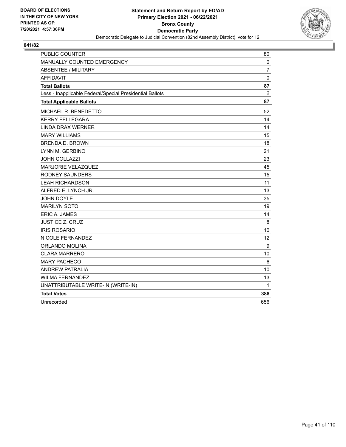

| <b>PUBLIC COUNTER</b>                                    | 80             |
|----------------------------------------------------------|----------------|
| MANUALLY COUNTED EMERGENCY                               | 0              |
| <b>ABSENTEE / MILITARY</b>                               | $\overline{7}$ |
| <b>AFFIDAVIT</b>                                         | $\mathbf 0$    |
| <b>Total Ballots</b>                                     | 87             |
| Less - Inapplicable Federal/Special Presidential Ballots | $\mathbf{0}$   |
| <b>Total Applicable Ballots</b>                          | 87             |
| MICHAEL R. BENEDETTO                                     | 52             |
| <b>KERRY FELLEGARA</b>                                   | 14             |
| <b>LINDA DRAX WERNER</b>                                 | 14             |
| <b>MARY WILLIAMS</b>                                     | 15             |
| <b>BRENDA D. BROWN</b>                                   | 18             |
| LYNN M. GERBINO                                          | 21             |
| <b>JOHN COLLAZZI</b>                                     | 23             |
| MARJORIE VELAZQUEZ                                       | 45             |
| <b>RODNEY SAUNDERS</b>                                   | 15             |
| <b>LEAH RICHARDSON</b>                                   | 11             |
| ALFRED E. LYNCH JR.                                      | 13             |
| <b>JOHN DOYLE</b>                                        | 35             |
| <b>MARILYN SOTO</b>                                      | 19             |
| <b>ERIC A. JAMES</b>                                     | 14             |
| <b>JUSTICE Z. CRUZ</b>                                   | 8              |
| <b>IRIS ROSARIO</b>                                      | 10             |
| NICOLE FERNANDEZ                                         | 12             |
| ORLANDO MOLINA                                           | 9              |
| <b>CLARA MARRERO</b>                                     | 10             |
| <b>MARY PACHECO</b>                                      | 6              |
| <b>ANDREW PATRALIA</b>                                   | 10             |
| <b>WILMA FERNANDEZ</b>                                   | 13             |
| UNATTRIBUTABLE WRITE-IN (WRITE-IN)                       | 1              |
| <b>Total Votes</b>                                       | 388            |
| Unrecorded                                               | 656            |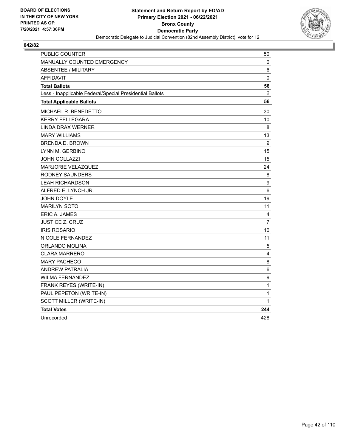

| PUBLIC COUNTER                                           | 50               |
|----------------------------------------------------------|------------------|
| MANUALLY COUNTED EMERGENCY                               | 0                |
| <b>ABSENTEE / MILITARY</b>                               | 6                |
| <b>AFFIDAVIT</b>                                         | 0                |
| <b>Total Ballots</b>                                     | 56               |
| Less - Inapplicable Federal/Special Presidential Ballots | 0                |
| <b>Total Applicable Ballots</b>                          | 56               |
| MICHAEL R. BENEDETTO                                     | 30               |
| <b>KERRY FELLEGARA</b>                                   | 10               |
| <b>LINDA DRAX WERNER</b>                                 | 8                |
| <b>MARY WILLIAMS</b>                                     | 13               |
| <b>BRENDA D. BROWN</b>                                   | 9                |
| LYNN M. GERBINO                                          | 15               |
| <b>JOHN COLLAZZI</b>                                     | 15               |
| MARJORIE VELAZQUEZ                                       | 24               |
| <b>RODNEY SAUNDERS</b>                                   | 8                |
| <b>LEAH RICHARDSON</b>                                   | $\boldsymbol{9}$ |
| ALFRED E. LYNCH JR.                                      | 6                |
| <b>JOHN DOYLE</b>                                        | 19               |
| <b>MARILYN SOTO</b>                                      | 11               |
| <b>ERIC A. JAMES</b>                                     | 4                |
| <b>JUSTICE Z. CRUZ</b>                                   | $\overline{7}$   |
| <b>IRIS ROSARIO</b>                                      | 10               |
| NICOLE FERNANDEZ                                         | 11               |
| ORLANDO MOLINA                                           | 5                |
| <b>CLARA MARRERO</b>                                     | 4                |
| <b>MARY PACHECO</b>                                      | 8                |
| <b>ANDREW PATRALIA</b>                                   | 6                |
| <b>WILMA FERNANDEZ</b>                                   | 9                |
| FRANK REYES (WRITE-IN)                                   | $\mathbf 1$      |
| PAUL PEPETON (WRITE-IN)                                  | 1                |
| SCOTT MILLER (WRITE-IN)                                  | 1                |
| <b>Total Votes</b>                                       | 244              |
| Unrecorded                                               | 428              |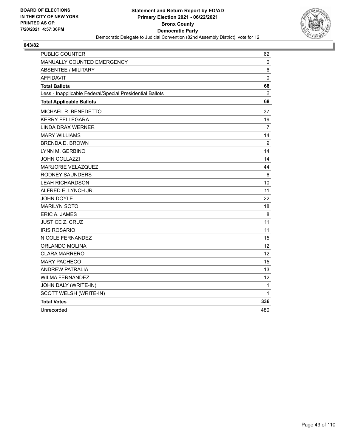

| PUBLIC COUNTER                                           | 62           |
|----------------------------------------------------------|--------------|
| MANUALLY COUNTED EMERGENCY                               | $\mathbf{0}$ |
| <b>ABSENTEE / MILITARY</b>                               | 6            |
| <b>AFFIDAVIT</b>                                         | $\mathbf 0$  |
| <b>Total Ballots</b>                                     | 68           |
| Less - Inapplicable Federal/Special Presidential Ballots | 0            |
| <b>Total Applicable Ballots</b>                          | 68           |
| MICHAEL R. BENEDETTO                                     | 37           |
| <b>KERRY FELLEGARA</b>                                   | 19           |
| <b>LINDA DRAX WERNER</b>                                 | 7            |
| <b>MARY WILLIAMS</b>                                     | 14           |
| <b>BRENDA D. BROWN</b>                                   | 9            |
| LYNN M. GERBINO                                          | 14           |
| <b>JOHN COLLAZZI</b>                                     | 14           |
| MARJORIE VELAZQUEZ                                       | 44           |
| <b>RODNEY SAUNDERS</b>                                   | 6            |
| <b>LEAH RICHARDSON</b>                                   | 10           |
| ALFRED E. LYNCH JR.                                      | 11           |
| JOHN DOYLE                                               | 22           |
| <b>MARILYN SOTO</b>                                      | 18           |
| ERIC A. JAMES                                            | 8            |
| <b>JUSTICE Z. CRUZ</b>                                   | 11           |
| <b>IRIS ROSARIO</b>                                      | 11           |
| NICOLE FERNANDEZ                                         | 15           |
| ORLANDO MOLINA                                           | 12           |
| <b>CLARA MARRERO</b>                                     | 12           |
| <b>MARY PACHECO</b>                                      | 15           |
| <b>ANDREW PATRALIA</b>                                   | 13           |
| <b>WILMA FERNANDEZ</b>                                   | 12           |
| JOHN DALY (WRITE-IN)                                     | 1            |
| SCOTT WELSH (WRITE-IN)                                   | 1            |
| <b>Total Votes</b>                                       | 336          |
| Unrecorded                                               | 480          |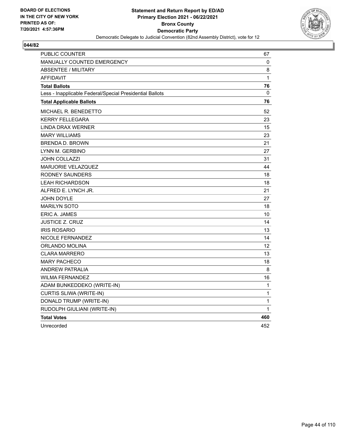

| PUBLIC COUNTER                                           | 67  |
|----------------------------------------------------------|-----|
| <b>MANUALLY COUNTED EMERGENCY</b>                        | 0   |
| ABSENTEE / MILITARY                                      | 8   |
| <b>AFFIDAVIT</b>                                         | 1   |
| <b>Total Ballots</b>                                     | 76  |
| Less - Inapplicable Federal/Special Presidential Ballots | 0   |
| <b>Total Applicable Ballots</b>                          | 76  |
| MICHAEL R. BENEDETTO                                     | 52  |
| <b>KERRY FELLEGARA</b>                                   | 23  |
| <b>LINDA DRAX WERNER</b>                                 | 15  |
| <b>MARY WILLIAMS</b>                                     | 23  |
| <b>BRENDA D. BROWN</b>                                   | 21  |
| LYNN M. GERBINO                                          | 27  |
| JOHN COLLAZZI                                            | 31  |
| <b>MARJORIE VELAZQUEZ</b>                                | 44  |
| RODNEY SAUNDERS                                          | 18  |
| <b>LEAH RICHARDSON</b>                                   | 18  |
| ALFRED E. LYNCH JR.                                      | 21  |
| JOHN DOYLE                                               | 27  |
| <b>MARILYN SOTO</b>                                      | 18  |
| <b>ERIC A. JAMES</b>                                     | 10  |
| <b>JUSTICE Z. CRUZ</b>                                   | 14  |
| <b>IRIS ROSARIO</b>                                      | 13  |
| NICOLE FERNANDEZ                                         | 14  |
| ORLANDO MOLINA                                           | 12  |
| <b>CLARA MARRERO</b>                                     | 13  |
| <b>MARY PACHECO</b>                                      | 18  |
| <b>ANDREW PATRALIA</b>                                   | 8   |
| <b>WILMA FERNANDEZ</b>                                   | 16  |
| ADAM BUNKEDDEKO (WRITE-IN)                               | 1   |
| CURTIS SLIWA (WRITE-IN)                                  | 1   |
| DONALD TRUMP (WRITE-IN)                                  | 1   |
| RUDOLPH GIULIANI (WRITE-IN)                              | 1   |
| <b>Total Votes</b>                                       | 460 |
| Unrecorded                                               | 452 |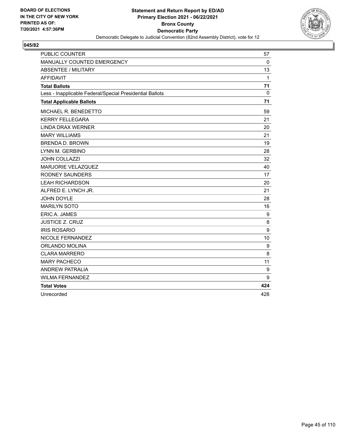

| <b>PUBLIC COUNTER</b>                                    | 57           |
|----------------------------------------------------------|--------------|
| MANUALLY COUNTED EMERGENCY                               | $\Omega$     |
| <b>ABSENTEE / MILITARY</b>                               | 13           |
| <b>AFFIDAVIT</b>                                         | $\mathbf{1}$ |
| <b>Total Ballots</b>                                     | 71           |
| Less - Inapplicable Federal/Special Presidential Ballots | 0            |
| <b>Total Applicable Ballots</b>                          | 71           |
| MICHAEL R. BENEDETTO                                     | 59           |
| <b>KERRY FELLEGARA</b>                                   | 21           |
| <b>LINDA DRAX WERNER</b>                                 | 20           |
| <b>MARY WILLIAMS</b>                                     | 21           |
| <b>BRENDA D. BROWN</b>                                   | 19           |
| LYNN M. GERBINO                                          | 28           |
| JOHN COLLAZZI                                            | 32           |
| MARJORIE VELAZQUEZ                                       | 40           |
| <b>RODNEY SAUNDERS</b>                                   | 17           |
| <b>LEAH RICHARDSON</b>                                   | 20           |
| ALFRED E. LYNCH JR.                                      | 21           |
| <b>JOHN DOYLE</b>                                        | 28           |
| <b>MARILYN SOTO</b>                                      | 16           |
| ERIC A. JAMES                                            | 9            |
| <b>JUSTICE Z. CRUZ</b>                                   | 8            |
| <b>IRIS ROSARIO</b>                                      | 9            |
| NICOLE FERNANDEZ                                         | 10           |
| ORLANDO MOLINA                                           | 9            |
| <b>CLARA MARRERO</b>                                     | 8            |
| <b>MARY PACHECO</b>                                      | 11           |
| <b>ANDREW PATRALIA</b>                                   | 9            |
| <b>WILMA FERNANDEZ</b>                                   | 9            |
| <b>Total Votes</b>                                       | 424          |
| Unrecorded                                               | 428          |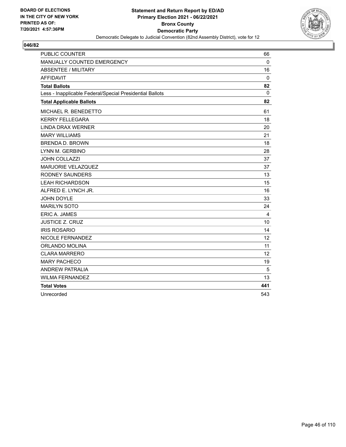

| <b>PUBLIC COUNTER</b>                                    | 66          |
|----------------------------------------------------------|-------------|
| MANUALLY COUNTED EMERGENCY                               | $\Omega$    |
| <b>ABSENTEE / MILITARY</b>                               | 16          |
| <b>AFFIDAVIT</b>                                         | $\mathbf 0$ |
| <b>Total Ballots</b>                                     | 82          |
| Less - Inapplicable Federal/Special Presidential Ballots | 0           |
| <b>Total Applicable Ballots</b>                          | 82          |
| MICHAEL R. BENEDETTO                                     | 61          |
| <b>KERRY FELLEGARA</b>                                   | 18          |
| <b>LINDA DRAX WERNER</b>                                 | 20          |
| <b>MARY WILLIAMS</b>                                     | 21          |
| <b>BRENDA D. BROWN</b>                                   | 18          |
| LYNN M. GERBINO                                          | 28          |
| JOHN COLLAZZI                                            | 37          |
| MARJORIE VELAZQUEZ                                       | 37          |
| <b>RODNEY SAUNDERS</b>                                   | 13          |
| <b>LEAH RICHARDSON</b>                                   | 15          |
| ALFRED E. LYNCH JR.                                      | 16          |
| <b>JOHN DOYLE</b>                                        | 33          |
| <b>MARILYN SOTO</b>                                      | 24          |
| ERIC A. JAMES                                            | 4           |
| <b>JUSTICE Z. CRUZ</b>                                   | 10          |
| <b>IRIS ROSARIO</b>                                      | 14          |
| NICOLE FERNANDEZ                                         | 12          |
| ORLANDO MOLINA                                           | 11          |
| <b>CLARA MARRERO</b>                                     | 12          |
| <b>MARY PACHECO</b>                                      | 19          |
| <b>ANDREW PATRALIA</b>                                   | 5           |
| <b>WILMA FERNANDEZ</b>                                   | 13          |
| <b>Total Votes</b>                                       | 441         |
| Unrecorded                                               | 543         |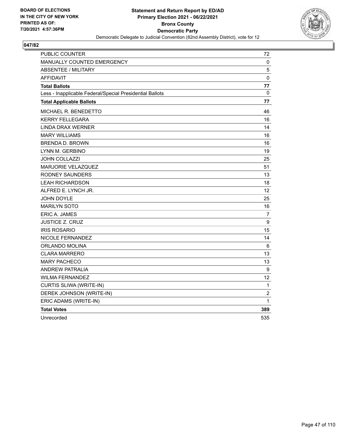

| PUBLIC COUNTER                                           | 72                |
|----------------------------------------------------------|-------------------|
| <b>MANUALLY COUNTED EMERGENCY</b>                        | 0                 |
| <b>ABSENTEE / MILITARY</b>                               | 5                 |
| <b>AFFIDAVIT</b>                                         | 0                 |
| <b>Total Ballots</b>                                     | 77                |
| Less - Inapplicable Federal/Special Presidential Ballots | 0                 |
| <b>Total Applicable Ballots</b>                          | 77                |
| MICHAEL R. BENEDETTO                                     | 46                |
| <b>KERRY FELLEGARA</b>                                   | 16                |
| LINDA DRAX WERNER                                        | 14                |
| <b>MARY WILLIAMS</b>                                     | 16                |
| <b>BRENDA D. BROWN</b>                                   | 16                |
| LYNN M. GERBINO                                          | 19                |
| <b>JOHN COLLAZZI</b>                                     | 25                |
| MARJORIE VELAZQUEZ                                       | 51                |
| RODNEY SAUNDERS                                          | 13                |
| <b>LEAH RICHARDSON</b>                                   | 18                |
| ALFRED E. LYNCH JR.                                      | $12 \overline{ }$ |
| <b>JOHN DOYLE</b>                                        | 25                |
| <b>MARILYN SOTO</b>                                      | 16                |
| ERIC A. JAMES                                            | 7                 |
| <b>JUSTICE Z. CRUZ</b>                                   | 9                 |
| <b>IRIS ROSARIO</b>                                      | 15                |
| NICOLE FERNANDEZ                                         | 14                |
| ORLANDO MOLINA                                           | 6                 |
| <b>CLARA MARRERO</b>                                     | 13                |
| <b>MARY PACHECO</b>                                      | 13                |
| <b>ANDREW PATRALIA</b>                                   | 9                 |
| <b>WILMA FERNANDEZ</b>                                   | 12                |
| CURTIS SLIWA (WRITE-IN)                                  | 1                 |
| DEREK JOHNSON (WRITE-IN)                                 | $\boldsymbol{2}$  |
| ERIC ADAMS (WRITE-IN)                                    | 1                 |
| <b>Total Votes</b>                                       | 389               |
| Unrecorded                                               | 535               |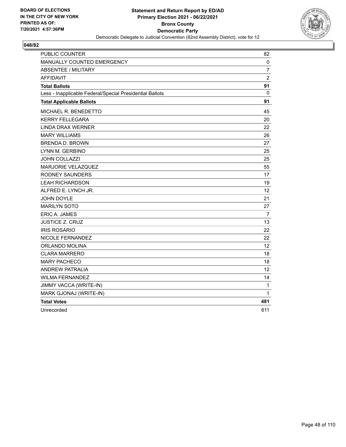

| PUBLIC COUNTER                                           | 82                |
|----------------------------------------------------------|-------------------|
| MANUALLY COUNTED EMERGENCY                               | 0                 |
| <b>ABSENTEE / MILITARY</b>                               | $\overline{7}$    |
| <b>AFFIDAVIT</b>                                         | $\overline{c}$    |
| <b>Total Ballots</b>                                     | 91                |
| Less - Inapplicable Federal/Special Presidential Ballots | 0                 |
| <b>Total Applicable Ballots</b>                          | 91                |
| MICHAEL R. BENEDETTO                                     | 45                |
| <b>KERRY FELLEGARA</b>                                   | 20                |
| <b>LINDA DRAX WERNER</b>                                 | 22                |
| <b>MARY WILLIAMS</b>                                     | 26                |
| <b>BRENDA D. BROWN</b>                                   | 27                |
| LYNN M. GERBINO                                          | 25                |
| <b>JOHN COLLAZZI</b>                                     | 25                |
| MARJORIE VELAZQUEZ                                       | 55                |
| <b>RODNEY SAUNDERS</b>                                   | 17                |
| <b>LEAH RICHARDSON</b>                                   | 19                |
| ALFRED E. LYNCH JR.                                      | 12                |
| <b>JOHN DOYLE</b>                                        | 21                |
| <b>MARILYN SOTO</b>                                      | 27                |
| <b>ERIC A. JAMES</b>                                     | $\overline{7}$    |
| <b>JUSTICE Z. CRUZ</b>                                   | 13                |
| <b>IRIS ROSARIO</b>                                      | 22                |
| NICOLE FERNANDEZ                                         | 22                |
| ORLANDO MOLINA                                           | $12 \overline{ }$ |
| <b>CLARA MARRERO</b>                                     | 18                |
| <b>MARY PACHECO</b>                                      | 18                |
| <b>ANDREW PATRALIA</b>                                   | 12                |
| <b>WILMA FERNANDEZ</b>                                   | 14                |
| JIMMY VACCA (WRITE-IN)                                   | 1                 |
| MARK GJONAJ (WRITE-IN)                                   | 1                 |
| <b>Total Votes</b>                                       | 481               |
| Unrecorded                                               | 611               |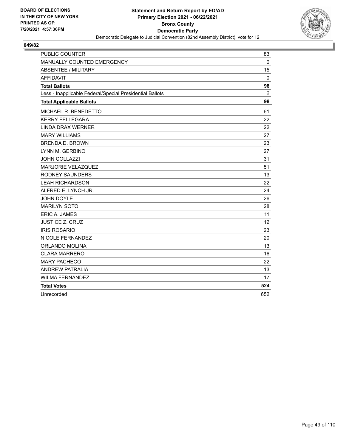

| <b>PUBLIC COUNTER</b>                                    | 83          |
|----------------------------------------------------------|-------------|
| MANUALLY COUNTED EMERGENCY                               | $\Omega$    |
| <b>ABSENTEE / MILITARY</b>                               | 15          |
| <b>AFFIDAVIT</b>                                         | $\mathbf 0$ |
| <b>Total Ballots</b>                                     | 98          |
| Less - Inapplicable Federal/Special Presidential Ballots | 0           |
| <b>Total Applicable Ballots</b>                          | 98          |
| MICHAEL R. BENEDETTO                                     | 61          |
| <b>KERRY FELLEGARA</b>                                   | 22          |
| <b>LINDA DRAX WERNER</b>                                 | 22          |
| <b>MARY WILLIAMS</b>                                     | 27          |
| <b>BRENDA D. BROWN</b>                                   | 23          |
| LYNN M. GERBINO                                          | 27          |
| <b>JOHN COLLAZZI</b>                                     | 31          |
| MARJORIE VELAZQUEZ                                       | 51          |
| <b>RODNEY SAUNDERS</b>                                   | 13          |
| <b>LEAH RICHARDSON</b>                                   | 22          |
| ALFRED E. LYNCH JR.                                      | 24          |
| <b>JOHN DOYLE</b>                                        | 26          |
| <b>MARILYN SOTO</b>                                      | 28          |
| ERIC A. JAMES                                            | 11          |
| <b>JUSTICE Z. CRUZ</b>                                   | 12          |
| <b>IRIS ROSARIO</b>                                      | 23          |
| NICOLE FERNANDEZ                                         | 20          |
| ORLANDO MOLINA                                           | 13          |
| <b>CLARA MARRERO</b>                                     | 16          |
| <b>MARY PACHECO</b>                                      | 22          |
| <b>ANDREW PATRALIA</b>                                   | 13          |
| <b>WILMA FERNANDEZ</b>                                   | 17          |
| <b>Total Votes</b>                                       | 524         |
| Unrecorded                                               | 652         |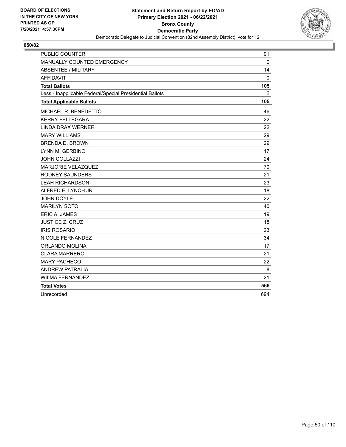

| <b>PUBLIC COUNTER</b>                                    | 91          |
|----------------------------------------------------------|-------------|
| MANUALLY COUNTED EMERGENCY                               | $\Omega$    |
| <b>ABSENTEE / MILITARY</b>                               | 14          |
| <b>AFFIDAVIT</b>                                         | $\mathbf 0$ |
| <b>Total Ballots</b>                                     | 105         |
| Less - Inapplicable Federal/Special Presidential Ballots | 0           |
| <b>Total Applicable Ballots</b>                          | 105         |
| MICHAEL R. BENEDETTO                                     | 46          |
| <b>KERRY FELLEGARA</b>                                   | 22          |
| <b>LINDA DRAX WERNER</b>                                 | 22          |
| <b>MARY WILLIAMS</b>                                     | 29          |
| <b>BRENDA D. BROWN</b>                                   | 29          |
| LYNN M. GERBINO                                          | 17          |
| <b>JOHN COLLAZZI</b>                                     | 24          |
| <b>MARJORIE VELAZQUEZ</b>                                | 70          |
| <b>RODNEY SAUNDERS</b>                                   | 21          |
| <b>LEAH RICHARDSON</b>                                   | 23          |
| ALFRED E. LYNCH JR.                                      | 18          |
| JOHN DOYLE                                               | 22          |
| <b>MARILYN SOTO</b>                                      | 40          |
| ERIC A. JAMES                                            | 19          |
| <b>JUSTICE Z. CRUZ</b>                                   | 18          |
| <b>IRIS ROSARIO</b>                                      | 23          |
| NICOLE FERNANDEZ                                         | 34          |
| ORLANDO MOLINA                                           | 17          |
| <b>CLARA MARRERO</b>                                     | 21          |
| <b>MARY PACHECO</b>                                      | 22          |
| <b>ANDREW PATRALIA</b>                                   | 8           |
| <b>WILMA FERNANDEZ</b>                                   | 21          |
| <b>Total Votes</b>                                       | 566         |
| Unrecorded                                               | 694         |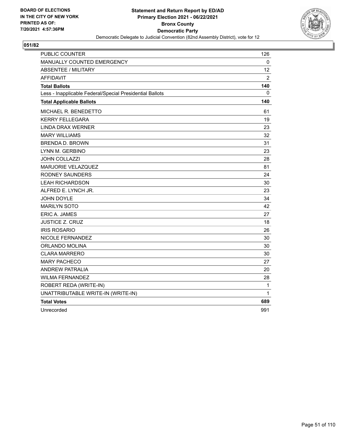

| <b>PUBLIC COUNTER</b>                                    | 126            |
|----------------------------------------------------------|----------------|
| MANUALLY COUNTED EMERGENCY                               | 0              |
| <b>ABSENTEE / MILITARY</b>                               | 12             |
| <b>AFFIDAVIT</b>                                         | $\overline{2}$ |
| <b>Total Ballots</b>                                     | 140            |
| Less - Inapplicable Federal/Special Presidential Ballots | 0              |
| <b>Total Applicable Ballots</b>                          | 140            |
| <b>MICHAEL R. BENEDETTO</b>                              | 61             |
| <b>KERRY FELLEGARA</b>                                   | 19             |
| <b>LINDA DRAX WERNER</b>                                 | 23             |
| <b>MARY WILLIAMS</b>                                     | 32             |
| <b>BRENDA D. BROWN</b>                                   | 31             |
| LYNN M. GERBINO                                          | 23             |
| JOHN COLLAZZI                                            | 28             |
| MARJORIE VELAZQUEZ                                       | 81             |
| <b>RODNEY SAUNDERS</b>                                   | 24             |
| <b>LEAH RICHARDSON</b>                                   | 30             |
| ALFRED E. LYNCH JR.                                      | 23             |
| <b>JOHN DOYLE</b>                                        | 34             |
| <b>MARILYN SOTO</b>                                      | 42             |
| <b>ERIC A. JAMES</b>                                     | 27             |
| <b>JUSTICE Z. CRUZ</b>                                   | 18             |
| <b>IRIS ROSARIO</b>                                      | 26             |
| NICOLE FERNANDEZ                                         | 30             |
| ORLANDO MOLINA                                           | 30             |
| <b>CLARA MARRERO</b>                                     | 30             |
| <b>MARY PACHECO</b>                                      | 27             |
| <b>ANDREW PATRALIA</b>                                   | 20             |
| <b>WILMA FERNANDEZ</b>                                   | 28             |
| ROBERT REDA (WRITE-IN)                                   | $\mathbf{1}$   |
| UNATTRIBUTABLE WRITE-IN (WRITE-IN)                       | 1              |
| <b>Total Votes</b>                                       | 689            |
| Unrecorded                                               | 991            |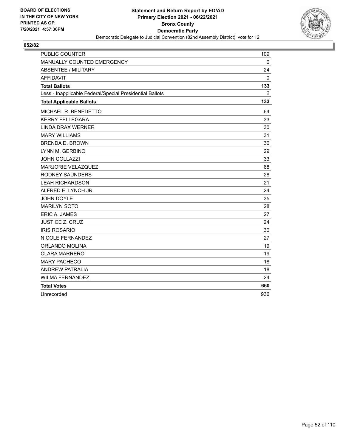

| <b>PUBLIC COUNTER</b>                                    | 109          |
|----------------------------------------------------------|--------------|
| MANUALLY COUNTED EMERGENCY                               | $\Omega$     |
| <b>ABSENTEE / MILITARY</b>                               | 24           |
| <b>AFFIDAVIT</b>                                         | $\mathbf{0}$ |
| <b>Total Ballots</b>                                     | 133          |
| Less - Inapplicable Federal/Special Presidential Ballots | 0            |
| <b>Total Applicable Ballots</b>                          | 133          |
| MICHAEL R. BENEDETTO                                     | 64           |
| <b>KERRY FELLEGARA</b>                                   | 33           |
| <b>LINDA DRAX WERNER</b>                                 | 30           |
| <b>MARY WILLIAMS</b>                                     | 31           |
| <b>BRENDA D. BROWN</b>                                   | 30           |
| LYNN M. GERBINO                                          | 29           |
| JOHN COLLAZZI                                            | 33           |
| MARJORIE VELAZQUEZ                                       | 68           |
| <b>RODNEY SAUNDERS</b>                                   | 28           |
| <b>LEAH RICHARDSON</b>                                   | 21           |
| ALFRED E. LYNCH JR.                                      | 24           |
| <b>JOHN DOYLE</b>                                        | 35           |
| <b>MARILYN SOTO</b>                                      | 28           |
| <b>ERIC A. JAMES</b>                                     | 27           |
| <b>JUSTICE Z. CRUZ</b>                                   | 24           |
| <b>IRIS ROSARIO</b>                                      | 30           |
| NICOLE FERNANDEZ                                         | 27           |
| ORLANDO MOLINA                                           | 19           |
| <b>CLARA MARRERO</b>                                     | 19           |
| <b>MARY PACHECO</b>                                      | 18           |
| <b>ANDREW PATRALIA</b>                                   | 18           |
| <b>WILMA FERNANDEZ</b>                                   | 24           |
| <b>Total Votes</b>                                       | 660          |
| Unrecorded                                               | 936          |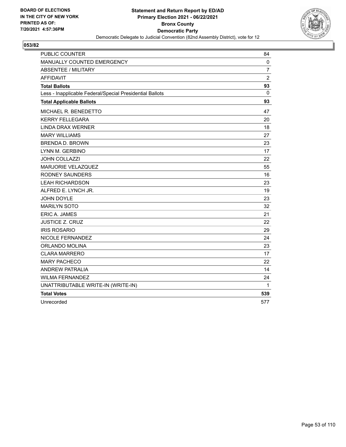

| <b>PUBLIC COUNTER</b>                                    | 84             |
|----------------------------------------------------------|----------------|
| MANUALLY COUNTED EMERGENCY                               | 0              |
| ABSENTEE / MILITARY                                      | $\overline{7}$ |
| <b>AFFIDAVIT</b>                                         | $\overline{c}$ |
| <b>Total Ballots</b>                                     | 93             |
| Less - Inapplicable Federal/Special Presidential Ballots | $\mathbf{0}$   |
| <b>Total Applicable Ballots</b>                          | 93             |
| MICHAEL R. BENEDETTO                                     | 47             |
| <b>KERRY FELLEGARA</b>                                   | 20             |
| <b>LINDA DRAX WERNER</b>                                 | 18             |
| <b>MARY WILLIAMS</b>                                     | 27             |
| <b>BRENDA D. BROWN</b>                                   | 23             |
| LYNN M. GERBINO                                          | 17             |
| <b>JOHN COLLAZZI</b>                                     | 22             |
| MARJORIE VELAZQUEZ                                       | 55             |
| <b>RODNEY SAUNDERS</b>                                   | 16             |
| <b>LEAH RICHARDSON</b>                                   | 23             |
| ALFRED E. LYNCH JR.                                      | 19             |
| <b>JOHN DOYLE</b>                                        | 23             |
| <b>MARILYN SOTO</b>                                      | 32             |
| <b>ERIC A. JAMES</b>                                     | 21             |
| <b>JUSTICE Z. CRUZ</b>                                   | 22             |
| <b>IRIS ROSARIO</b>                                      | 29             |
| NICOLE FERNANDEZ                                         | 24             |
| ORLANDO MOLINA                                           | 23             |
| <b>CLARA MARRERO</b>                                     | 17             |
| <b>MARY PACHECO</b>                                      | 22             |
| <b>ANDREW PATRALIA</b>                                   | 14             |
| <b>WILMA FERNANDEZ</b>                                   | 24             |
| UNATTRIBUTABLE WRITE-IN (WRITE-IN)                       | 1              |
| <b>Total Votes</b>                                       | 539            |
| Unrecorded                                               | 577            |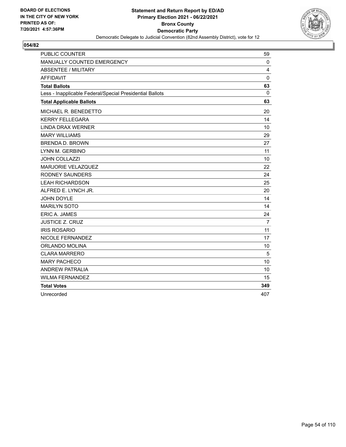

| <b>PUBLIC COUNTER</b>                                    | 59             |
|----------------------------------------------------------|----------------|
| MANUALLY COUNTED EMERGENCY                               | 0              |
| <b>ABSENTEE / MILITARY</b>                               | 4              |
| <b>AFFIDAVIT</b>                                         | $\mathbf{0}$   |
| <b>Total Ballots</b>                                     | 63             |
| Less - Inapplicable Federal/Special Presidential Ballots | 0              |
| <b>Total Applicable Ballots</b>                          | 63             |
| MICHAEL R. BENEDETTO                                     | 20             |
| <b>KERRY FELLEGARA</b>                                   | 14             |
| <b>LINDA DRAX WERNER</b>                                 | 10             |
| <b>MARY WILLIAMS</b>                                     | 29             |
| <b>BRENDA D. BROWN</b>                                   | 27             |
| LYNN M. GERBINO                                          | 11             |
| <b>JOHN COLLAZZI</b>                                     | 10             |
| MARJORIE VELAZQUEZ                                       | 22             |
| <b>RODNEY SAUNDERS</b>                                   | 24             |
| <b>LEAH RICHARDSON</b>                                   | 25             |
| ALFRED E. LYNCH JR.                                      | 20             |
| JOHN DOYLE                                               | 14             |
| <b>MARILYN SOTO</b>                                      | 14             |
| ERIC A. JAMES                                            | 24             |
| <b>JUSTICE Z. CRUZ</b>                                   | $\overline{7}$ |
| <b>IRIS ROSARIO</b>                                      | 11             |
| NICOLE FERNANDEZ                                         | 17             |
| ORLANDO MOLINA                                           | 10             |
| <b>CLARA MARRERO</b>                                     | 5              |
| <b>MARY PACHECO</b>                                      | 10             |
| <b>ANDREW PATRALIA</b>                                   | 10             |
| <b>WILMA FERNANDEZ</b>                                   | 15             |
| <b>Total Votes</b>                                       | 349            |
| Unrecorded                                               | 407            |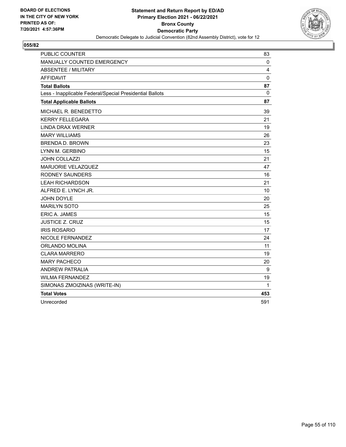

| <b>PUBLIC COUNTER</b>                                    | 83          |
|----------------------------------------------------------|-------------|
| MANUALLY COUNTED EMERGENCY                               | 0           |
| <b>ABSENTEE / MILITARY</b>                               | 4           |
| <b>AFFIDAVIT</b>                                         | $\mathbf 0$ |
| <b>Total Ballots</b>                                     | 87          |
| Less - Inapplicable Federal/Special Presidential Ballots | $\Omega$    |
| <b>Total Applicable Ballots</b>                          | 87          |
| MICHAEL R. BENEDETTO                                     | 39          |
| <b>KERRY FELLEGARA</b>                                   | 21          |
| <b>LINDA DRAX WERNER</b>                                 | 19          |
| <b>MARY WILLIAMS</b>                                     | 26          |
| <b>BRENDA D. BROWN</b>                                   | 23          |
| LYNN M. GERBINO                                          | 15          |
| JOHN COLLAZZI                                            | 21          |
| MARJORIE VELAZQUEZ                                       | 47          |
| <b>RODNEY SAUNDERS</b>                                   | 16          |
| <b>LEAH RICHARDSON</b>                                   | 21          |
| ALFRED E. LYNCH JR.                                      | 10          |
| <b>JOHN DOYLE</b>                                        | 20          |
| <b>MARILYN SOTO</b>                                      | 25          |
| <b>ERIC A. JAMES</b>                                     | 15          |
| <b>JUSTICE Z. CRUZ</b>                                   | 15          |
| <b>IRIS ROSARIO</b>                                      | 17          |
| <b>NICOLE FERNANDEZ</b>                                  | 24          |
| <b>ORLANDO MOLINA</b>                                    | 11          |
| <b>CLARA MARRERO</b>                                     | 19          |
| <b>MARY PACHECO</b>                                      | 20          |
| <b>ANDREW PATRALIA</b>                                   | 9           |
| <b>WILMA FERNANDEZ</b>                                   | 19          |
| SIMONAS ZMOIZINAS (WRITE-IN)                             | 1           |
| <b>Total Votes</b>                                       | 453         |
| Unrecorded                                               | 591         |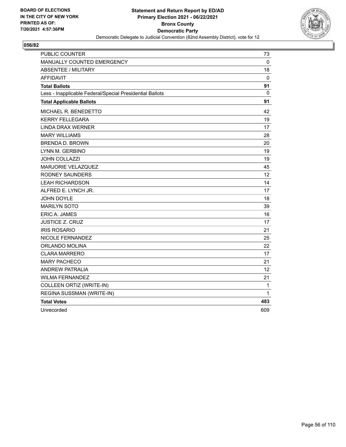

| <b>PUBLIC COUNTER</b>                                    | 73  |
|----------------------------------------------------------|-----|
| MANUALLY COUNTED EMERGENCY                               | 0   |
| <b>ABSENTEE / MILITARY</b>                               | 18  |
| AFFIDAVIT                                                | 0   |
| <b>Total Ballots</b>                                     | 91  |
| Less - Inapplicable Federal/Special Presidential Ballots | 0   |
| <b>Total Applicable Ballots</b>                          | 91  |
| MICHAEL R. BENEDETTO                                     | 42  |
| <b>KERRY FELLEGARA</b>                                   | 19  |
| <b>LINDA DRAX WERNER</b>                                 | 17  |
| <b>MARY WILLIAMS</b>                                     | 28  |
| <b>BRENDA D. BROWN</b>                                   | 20  |
| LYNN M. GERBINO                                          | 19  |
| <b>JOHN COLLAZZI</b>                                     | 19  |
| <b>MARJORIE VELAZQUEZ</b>                                | 45  |
| RODNEY SAUNDERS                                          | 12  |
| <b>LEAH RICHARDSON</b>                                   | 14  |
| ALFRED E. LYNCH JR.                                      | 17  |
| <b>JOHN DOYLE</b>                                        | 18  |
| <b>MARILYN SOTO</b>                                      | 39  |
| ERIC A. JAMES                                            | 16  |
| JUSTICE Z. CRUZ                                          | 17  |
| <b>IRIS ROSARIO</b>                                      | 21  |
| NICOLE FERNANDEZ                                         | 25  |
| ORLANDO MOLINA                                           | 22  |
| <b>CLARA MARRERO</b>                                     | 17  |
| <b>MARY PACHECO</b>                                      | 21  |
| <b>ANDREW PATRALIA</b>                                   | 12  |
| <b>WILMA FERNANDEZ</b>                                   | 21  |
| COLLEEN ORTIZ (WRITE-IN)                                 | 1   |
| REGINA SUSSMAN (WRITE-IN)                                | 1   |
| <b>Total Votes</b>                                       | 483 |
| Unrecorded                                               | 609 |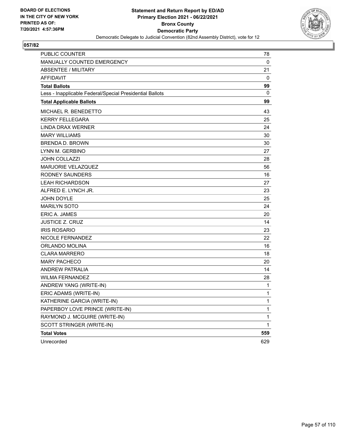

| PUBLIC COUNTER                                           | 78          |
|----------------------------------------------------------|-------------|
| MANUALLY COUNTED EMERGENCY                               | 0           |
| <b>ABSENTEE / MILITARY</b>                               | 21          |
| <b>AFFIDAVIT</b>                                         | 0           |
| <b>Total Ballots</b>                                     | 99          |
| Less - Inapplicable Federal/Special Presidential Ballots | 0           |
| <b>Total Applicable Ballots</b>                          | 99          |
| MICHAEL R. BENEDETTO                                     | 43          |
| <b>KERRY FELLEGARA</b>                                   | 25          |
| <b>LINDA DRAX WERNER</b>                                 | 24          |
| <b>MARY WILLIAMS</b>                                     | 30          |
| <b>BRENDA D. BROWN</b>                                   | 30          |
| LYNN M. GERBINO                                          | 27          |
| JOHN COLLAZZI                                            | 28          |
| MARJORIE VELAZQUEZ                                       | 56          |
| RODNEY SAUNDERS                                          | 16          |
| <b>LEAH RICHARDSON</b>                                   | 27          |
| ALFRED E. LYNCH JR.                                      | 23          |
| JOHN DOYLE                                               | 25          |
| <b>MARILYN SOTO</b>                                      | 24          |
| ERIC A. JAMES                                            | 20          |
| <b>JUSTICE Z. CRUZ</b>                                   | 14          |
| <b>IRIS ROSARIO</b>                                      | 23          |
| NICOLE FERNANDEZ                                         | 22          |
| ORLANDO MOLINA                                           | 16          |
| CLARA MARRERO                                            | 18          |
| <b>MARY PACHECO</b>                                      | 20          |
| <b>ANDREW PATRALIA</b>                                   | 14          |
| <b>WILMA FERNANDEZ</b>                                   | 28          |
| ANDREW YANG (WRITE-IN)                                   | 1           |
| ERIC ADAMS (WRITE-IN)                                    | 1           |
| KATHERINE GARCIA (WRITE-IN)                              | 1           |
| PAPERBOY LOVE PRINCE (WRITE-IN)                          | 1           |
| RAYMOND J. MCGUIRE (WRITE-IN)                            | 1           |
| SCOTT STRINGER (WRITE-IN)                                | $\mathbf 1$ |
| <b>Total Votes</b>                                       | 559         |
| Unrecorded                                               | 629         |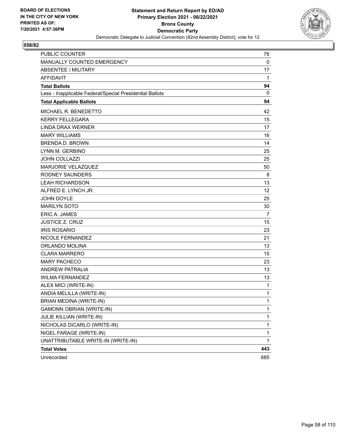

| <b>PUBLIC COUNTER</b>                                    | 76           |
|----------------------------------------------------------|--------------|
| MANUALLY COUNTED EMERGENCY                               | $\mathbf 0$  |
| ABSENTEE / MILITARY                                      | 17           |
| <b>AFFIDAVIT</b>                                         | 1            |
| <b>Total Ballots</b>                                     | 94           |
| Less - Inapplicable Federal/Special Presidential Ballots | 0            |
| <b>Total Applicable Ballots</b>                          | 94           |
| MICHAEL R. BENEDETTO                                     | 42           |
| <b>KERRY FELLEGARA</b>                                   | 15           |
| <b>LINDA DRAX WERNER</b>                                 | 17           |
| <b>MARY WILLIAMS</b>                                     | 16           |
| <b>BRENDA D. BROWN</b>                                   | 14           |
| LYNN M. GERBINO                                          | 25           |
| JOHN COLLAZZI                                            | 25           |
| MARJORIE VELAZQUEZ                                       | 50           |
| <b>RODNEY SAUNDERS</b>                                   | 8            |
| <b>LEAH RICHARDSON</b>                                   | 13           |
| ALFRED E. LYNCH JR.                                      | 12           |
| <b>JOHN DOYLE</b>                                        | 25           |
| <b>MARILYN SOTO</b>                                      | 30           |
| <b>ERIC A. JAMES</b>                                     | 7            |
| <b>JUSTICE Z. CRUZ</b>                                   | 15           |
| <b>IRIS ROSARIO</b>                                      | 23           |
| NICOLE FERNANDEZ                                         | 21           |
| <b>ORLANDO MOLINA</b>                                    | 13           |
| <b>CLARA MARRERO</b>                                     | 15           |
| <b>MARY PACHECO</b>                                      | 23           |
| <b>ANDREW PATRALIA</b>                                   | 13           |
| <b>WILMA FERNANDEZ</b>                                   | 13           |
| ALEX MICI (WRITE-IN)                                     | $\mathbf{1}$ |
| ANDIA MELILLA (WRITE-IN)                                 | 1            |
| BRIAN MEDINA (WRITE-IN)                                  | 1            |
| GAMONN OBRIAN (WRITE-IN)                                 | 1            |
| JULIE KILLIAN (WRITE-IN)                                 | $\mathbf{1}$ |
| NICHOLAS DICARLO (WRITE-IN)                              | 1            |
| NIGEL FARAGE (WRITE-IN)                                  | $\mathbf{1}$ |
| UNATTRIBUTABLE WRITE-IN (WRITE-IN)                       | $\mathbf{1}$ |
| <b>Total Votes</b>                                       | 443          |
| Unrecorded                                               | 685          |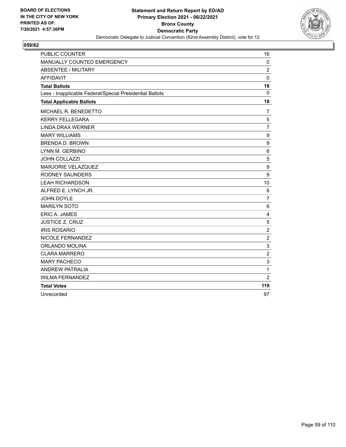

| <b>PUBLIC COUNTER</b>                                    | 16             |
|----------------------------------------------------------|----------------|
| MANUALLY COUNTED EMERGENCY                               | $\mathbf 0$    |
| <b>ABSENTEE / MILITARY</b>                               | $\overline{c}$ |
| <b>AFFIDAVIT</b>                                         | $\mathbf 0$    |
| <b>Total Ballots</b>                                     | 18             |
| Less - Inapplicable Federal/Special Presidential Ballots | 0              |
| <b>Total Applicable Ballots</b>                          | 18             |
| MICHAEL R. BENEDETTO                                     | $\overline{7}$ |
| <b>KERRY FELLEGARA</b>                                   | 5              |
| <b>LINDA DRAX WERNER</b>                                 | $\overline{7}$ |
| <b>MARY WILLIAMS</b>                                     | 9              |
| <b>BRENDA D. BROWN</b>                                   | 9              |
| LYNN M. GERBINO                                          | 6              |
| <b>JOHN COLLAZZI</b>                                     | 5              |
| <b>MARJORIE VELAZQUEZ</b>                                | 9              |
| <b>RODNEY SAUNDERS</b>                                   | 9              |
| <b>LEAH RICHARDSON</b>                                   | 10             |
| ALFRED E. LYNCH JR.                                      | 6              |
| JOHN DOYLE                                               | $\overline{7}$ |
| <b>MARILYN SOTO</b>                                      | 6              |
| ERIC A. JAMES                                            | $\overline{4}$ |
| <b>JUSTICE Z. CRUZ</b>                                   | 5              |
| <b>IRIS ROSARIO</b>                                      | $\overline{c}$ |
| NICOLE FERNANDEZ                                         | $\overline{2}$ |
| ORLANDO MOLINA                                           | 3              |
| <b>CLARA MARRERO</b>                                     | $\overline{c}$ |
| <b>MARY PACHECO</b>                                      | 3              |
| <b>ANDREW PATRALIA</b>                                   | 1              |
| <b>WILMA FERNANDEZ</b>                                   | $\overline{2}$ |
| <b>Total Votes</b>                                       | 119            |
| Unrecorded                                               | 97             |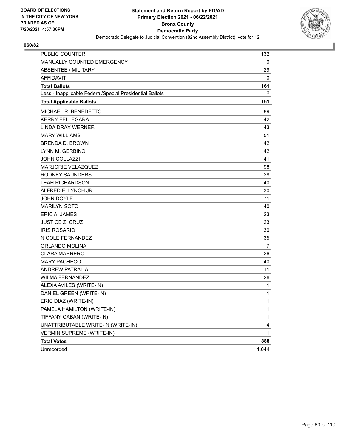

| PUBLIC COUNTER                                           | 132          |
|----------------------------------------------------------|--------------|
| MANUALLY COUNTED EMERGENCY                               | 0            |
| <b>ABSENTEE / MILITARY</b>                               | 29           |
| <b>AFFIDAVIT</b>                                         | 0            |
| <b>Total Ballots</b>                                     | 161          |
| Less - Inapplicable Federal/Special Presidential Ballots | 0            |
| <b>Total Applicable Ballots</b>                          | 161          |
| MICHAEL R. BENEDETTO                                     | 89           |
| <b>KERRY FELLEGARA</b>                                   | 42           |
| <b>LINDA DRAX WERNER</b>                                 | 43           |
| <b>MARY WILLIAMS</b>                                     | 51           |
| <b>BRENDA D. BROWN</b>                                   | 42           |
| LYNN M. GERBINO                                          | 42           |
| <b>JOHN COLLAZZI</b>                                     | 41           |
| MARJORIE VELAZQUEZ                                       | 98           |
| <b>RODNEY SAUNDERS</b>                                   | 28           |
| <b>LEAH RICHARDSON</b>                                   | 40           |
| ALFRED E. LYNCH JR.                                      | 30           |
| <b>JOHN DOYLE</b>                                        | 71           |
| <b>MARILYN SOTO</b>                                      | 40           |
| <b>ERIC A. JAMES</b>                                     | 23           |
| <b>JUSTICE Z. CRUZ</b>                                   | 23           |
| <b>IRIS ROSARIO</b>                                      | 30           |
| NICOLE FERNANDEZ                                         | 35           |
| ORLANDO MOLINA                                           | 7            |
| <b>CLARA MARRERO</b>                                     | 26           |
| <b>MARY PACHECO</b>                                      | 40           |
| ANDREW PATRALIA                                          | 11           |
| <b>WILMA FERNANDEZ</b>                                   | 26           |
| ALEXA AVILES (WRITE-IN)                                  | 1            |
| DANIEL GREEN (WRITE-IN)                                  | 1            |
| ERIC DIAZ (WRITE-IN)                                     | 1            |
| PAMELA HAMILTON (WRITE-IN)                               | $\mathbf{1}$ |
| TIFFANY CABAN (WRITE-IN)                                 | $\mathbf{1}$ |
| UNATTRIBUTABLE WRITE-IN (WRITE-IN)                       | 4            |
| <b>VERMIN SUPREME (WRITE-IN)</b>                         | 1            |
| <b>Total Votes</b>                                       | 888          |
| Unrecorded                                               | 1,044        |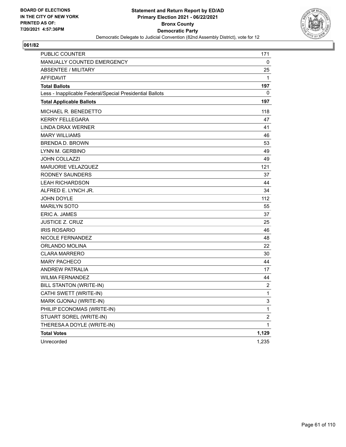

| PUBLIC COUNTER                                           | 171              |
|----------------------------------------------------------|------------------|
| <b>MANUALLY COUNTED EMERGENCY</b>                        | 0                |
| <b>ABSENTEE / MILITARY</b>                               | 25               |
| <b>AFFIDAVIT</b>                                         | 1                |
| <b>Total Ballots</b>                                     | 197              |
| Less - Inapplicable Federal/Special Presidential Ballots | 0                |
| <b>Total Applicable Ballots</b>                          | 197              |
| MICHAEL R. BENEDETTO                                     | 118              |
| <b>KERRY FELLEGARA</b>                                   | 47               |
| LINDA DRAX WERNER                                        | 41               |
| <b>MARY WILLIAMS</b>                                     | 46               |
| <b>BRENDA D. BROWN</b>                                   | 53               |
| LYNN M. GERBINO                                          | 49               |
| <b>JOHN COLLAZZI</b>                                     | 49               |
| <b>MARJORIE VELAZQUEZ</b>                                | 121              |
| RODNEY SAUNDERS                                          | 37               |
| <b>LEAH RICHARDSON</b>                                   | 44               |
| ALFRED E. LYNCH JR.                                      | 34               |
| <b>JOHN DOYLE</b>                                        | 112              |
| <b>MARILYN SOTO</b>                                      | 55               |
| ERIC A. JAMES                                            | 37               |
| JUSTICE Z. CRUZ                                          | 25               |
| <b>IRIS ROSARIO</b>                                      | 46               |
| <b>NICOLE FERNANDEZ</b>                                  | 48               |
| ORLANDO MOLINA                                           | 22               |
| <b>CLARA MARRERO</b>                                     | 30               |
| <b>MARY PACHECO</b>                                      | 44               |
| <b>ANDREW PATRALIA</b>                                   | 17               |
| <b>WILMA FERNANDEZ</b>                                   | 44               |
| <b>BILL STANTON (WRITE-IN)</b>                           | $\boldsymbol{2}$ |
| CATHI SWETT (WRITE-IN)                                   | 1                |
| MARK GJONAJ (WRITE-IN)                                   | 3                |
| PHILIP ECONOMAS (WRITE-IN)                               | 1                |
| STUART SOREL (WRITE-IN)                                  | $\boldsymbol{2}$ |
| THERESA A DOYLE (WRITE-IN)                               | $\mathbf 1$      |
| <b>Total Votes</b>                                       | 1,129            |
| Unrecorded                                               | 1,235            |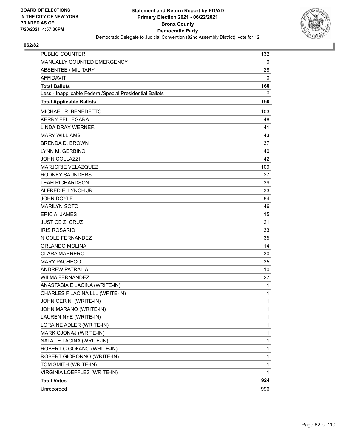

| <b>PUBLIC COUNTER</b>                                    | 132          |
|----------------------------------------------------------|--------------|
| MANUALLY COUNTED EMERGENCY                               | 0            |
| <b>ABSENTEE / MILITARY</b>                               | 28           |
| <b>AFFIDAVIT</b>                                         | 0            |
| <b>Total Ballots</b>                                     | 160          |
| Less - Inapplicable Federal/Special Presidential Ballots | 0            |
| <b>Total Applicable Ballots</b>                          | 160          |
| MICHAEL R. BENEDETTO                                     | 103          |
| <b>KERRY FELLEGARA</b>                                   | 48           |
| <b>LINDA DRAX WERNER</b>                                 | 41           |
| <b>MARY WILLIAMS</b>                                     | 43           |
| <b>BRENDA D. BROWN</b>                                   | 37           |
| LYNN M. GERBINO                                          | 40           |
| <b>JOHN COLLAZZI</b>                                     | 42           |
| MARJORIE VELAZQUEZ                                       | 109          |
| <b>RODNEY SAUNDERS</b>                                   | 27           |
| <b>LEAH RICHARDSON</b>                                   | 39           |
| ALFRED E. LYNCH JR.                                      | 33           |
| <b>JOHN DOYLE</b>                                        | 84           |
| <b>MARILYN SOTO</b>                                      | 46           |
| <b>ERIC A. JAMES</b>                                     | 15           |
| <b>JUSTICE Z. CRUZ</b>                                   | 21           |
| <b>IRIS ROSARIO</b>                                      | 33           |
| NICOLE FERNANDEZ                                         | 35           |
| ORLANDO MOLINA                                           | 14           |
| <b>CLARA MARRERO</b>                                     | 30           |
| <b>MARY PACHECO</b>                                      | 35           |
| <b>ANDREW PATRALIA</b>                                   | 10           |
| <b>WILMA FERNANDEZ</b>                                   | 27           |
| ANASTASIA E LACINA (WRITE-IN)                            | $\mathbf 1$  |
| CHARLES F LACINA LLL (WRITE-IN)                          | 1            |
| JOHN CERINI (WRITE-IN)                                   | 1            |
| JOHN MARANO (WRITE-IN)                                   | $\mathbf{1}$ |
| LAUREN NYE (WRITE-IN)                                    | 1            |
| LORAINE ADLER (WRITE-IN)                                 | 1            |
| MARK GJONAJ (WRITE-IN)                                   | $\mathbf 1$  |
| NATALIE LACINA (WRITE-IN)                                | $\mathbf{1}$ |
| ROBERT C GOFANO (WRITE-IN)                               | 1            |
| ROBERT GIORONNO (WRITE-IN)                               | $\mathbf{1}$ |
| TOM SMITH (WRITE-IN)                                     | 1            |
| VIRGINIA LOEFFLES (WRITE-IN)                             | 1            |
| <b>Total Votes</b>                                       | 924          |
| Unrecorded                                               | 996          |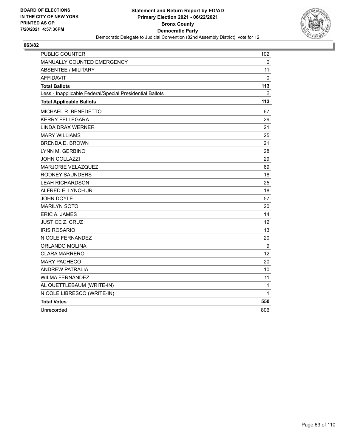

| PUBLIC COUNTER                                           | 102 |
|----------------------------------------------------------|-----|
| MANUALLY COUNTED EMERGENCY                               | 0   |
| <b>ABSENTEE / MILITARY</b>                               | 11  |
| <b>AFFIDAVIT</b>                                         | 0   |
| <b>Total Ballots</b>                                     | 113 |
| Less - Inapplicable Federal/Special Presidential Ballots | 0   |
| <b>Total Applicable Ballots</b>                          | 113 |
| MICHAEL R. BENEDETTO                                     | 67  |
| <b>KERRY FELLEGARA</b>                                   | 29  |
| LINDA DRAX WERNER                                        | 21  |
| <b>MARY WILLIAMS</b>                                     | 25  |
| <b>BRENDA D. BROWN</b>                                   | 21  |
| LYNN M. GERBINO                                          | 28  |
| <b>JOHN COLLAZZI</b>                                     | 29  |
| MARJORIE VELAZQUEZ                                       | 69  |
| RODNEY SAUNDERS                                          | 18  |
| <b>LEAH RICHARDSON</b>                                   | 25  |
| ALFRED E. LYNCH JR.                                      | 18  |
| JOHN DOYLE                                               | 57  |
| <b>MARILYN SOTO</b>                                      | 20  |
| ERIC A. JAMES                                            | 14  |
| <b>JUSTICE Z. CRUZ</b>                                   | 12  |
| <b>IRIS ROSARIO</b>                                      | 13  |
| NICOLE FERNANDEZ                                         | 20  |
| ORLANDO MOLINA                                           | 9   |
| <b>CLARA MARRERO</b>                                     | 12  |
| <b>MARY PACHECO</b>                                      | 20  |
| <b>ANDREW PATRALIA</b>                                   | 10  |
| <b>WILMA FERNANDEZ</b>                                   | 11  |
| AL QUETTLEBAUM (WRITE-IN)                                | 1   |
| NICOLE LIBRESCO (WRITE-IN)                               | 1   |
| <b>Total Votes</b>                                       | 550 |
| Unrecorded                                               | 806 |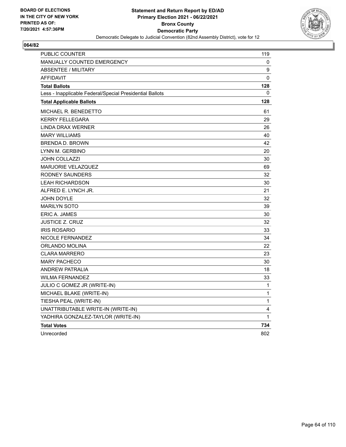

| <b>PUBLIC COUNTER</b>                                    | 119          |
|----------------------------------------------------------|--------------|
| MANUALLY COUNTED EMERGENCY                               | 0            |
| <b>ABSENTEE / MILITARY</b>                               | 9            |
| <b>AFFIDAVIT</b>                                         | 0            |
| <b>Total Ballots</b>                                     | 128          |
| Less - Inapplicable Federal/Special Presidential Ballots | 0            |
| <b>Total Applicable Ballots</b>                          | 128          |
| MICHAEL R. BENEDETTO                                     | 61           |
| <b>KERRY FELLEGARA</b>                                   | 29           |
| <b>LINDA DRAX WERNER</b>                                 | 26           |
| <b>MARY WILLIAMS</b>                                     | 40           |
| <b>BRENDA D. BROWN</b>                                   | 42           |
| LYNN M. GERBINO                                          | 20           |
| <b>JOHN COLLAZZI</b>                                     | 30           |
| MARJORIE VELAZQUEZ                                       | 69           |
| RODNEY SAUNDERS                                          | 32           |
| <b>LEAH RICHARDSON</b>                                   | 30           |
| ALFRED E. LYNCH JR.                                      | 21           |
| <b>JOHN DOYLE</b>                                        | 32           |
| <b>MARILYN SOTO</b>                                      | 39           |
| <b>ERIC A. JAMES</b>                                     | 30           |
| <b>JUSTICE Z. CRUZ</b>                                   | 32           |
| <b>IRIS ROSARIO</b>                                      | 33           |
| NICOLE FERNANDEZ                                         | 34           |
| ORLANDO MOLINA                                           | 22           |
| <b>CLARA MARRERO</b>                                     | 23           |
| <b>MARY PACHECO</b>                                      | 30           |
| <b>ANDREW PATRALIA</b>                                   | 18           |
| <b>WILMA FERNANDEZ</b>                                   | 33           |
| JULIO C GOMEZ JR (WRITE-IN)                              | $\mathbf{1}$ |
| MICHAEL BLAKE (WRITE-IN)                                 | 1            |
| TIESHA PEAL (WRITE-IN)                                   | $\mathbf{1}$ |
| UNATTRIBUTABLE WRITE-IN (WRITE-IN)                       | 4            |
| YADHIRA GONZALEZ-TAYLOR (WRITE-IN)                       | 1            |
| <b>Total Votes</b>                                       | 734          |
| Unrecorded                                               | 802          |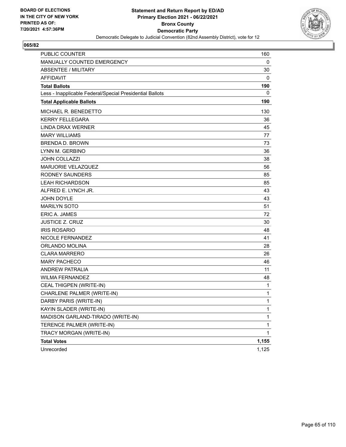

| PUBLIC COUNTER                                           | 160   |
|----------------------------------------------------------|-------|
| MANUALLY COUNTED EMERGENCY                               | 0     |
| <b>ABSENTEE / MILITARY</b>                               | 30    |
| <b>AFFIDAVIT</b>                                         | 0     |
| <b>Total Ballots</b>                                     | 190   |
| Less - Inapplicable Federal/Special Presidential Ballots | 0     |
| <b>Total Applicable Ballots</b>                          | 190   |
| MICHAEL R. BENEDETTO                                     | 130   |
| <b>KERRY FELLEGARA</b>                                   | 36    |
| <b>LINDA DRAX WERNER</b>                                 | 45    |
| <b>MARY WILLIAMS</b>                                     | 77    |
| <b>BRENDA D. BROWN</b>                                   | 73    |
| LYNN M. GERBINO                                          | 36    |
| <b>JOHN COLLAZZI</b>                                     | 38    |
| MARJORIE VELAZQUEZ                                       | 56    |
| <b>RODNEY SAUNDERS</b>                                   | 85    |
| <b>LEAH RICHARDSON</b>                                   | 85    |
| ALFRED E. LYNCH JR.                                      | 43    |
| <b>JOHN DOYLE</b>                                        | 43    |
| <b>MARILYN SOTO</b>                                      | 51    |
| <b>ERIC A. JAMES</b>                                     | 72    |
| <b>JUSTICE Z. CRUZ</b>                                   | 30    |
| <b>IRIS ROSARIO</b>                                      | 48    |
| NICOLE FERNANDEZ                                         | 41    |
| ORLANDO MOLINA                                           | 28    |
| <b>CLARA MARRERO</b>                                     | 26    |
| <b>MARY PACHECO</b>                                      | 46    |
| <b>ANDREW PATRALIA</b>                                   | 11    |
| <b>WILMA FERNANDEZ</b>                                   | 48    |
| CEAL THIGPEN (WRITE-IN)                                  | 1     |
| CHARLENE PALMER (WRITE-IN)                               | 1     |
| DARBY PARIS (WRITE-IN)                                   | 1     |
| KAYIN SLADER (WRITE-IN)                                  | 1     |
| MADISON GARLAND-TIRADO (WRITE-IN)                        | 1     |
| TERENCE PALMER (WRITE-IN)                                | 1     |
| TRACY MORGAN (WRITE-IN)                                  | 1     |
| <b>Total Votes</b>                                       | 1,155 |
| Unrecorded                                               | 1,125 |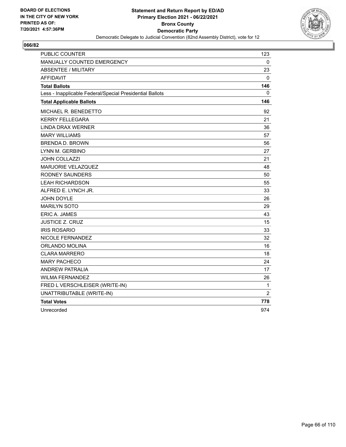

| <b>PUBLIC COUNTER</b>                                    | 123            |
|----------------------------------------------------------|----------------|
| <b>MANUALLY COUNTED EMERGENCY</b>                        | 0              |
| <b>ABSENTEE / MILITARY</b>                               | 23             |
| AFFIDAVIT                                                | 0              |
| <b>Total Ballots</b>                                     | 146            |
| Less - Inapplicable Federal/Special Presidential Ballots | 0              |
| <b>Total Applicable Ballots</b>                          | 146            |
| MICHAEL R. BENEDETTO                                     | 92             |
| <b>KERRY FELLEGARA</b>                                   | 21             |
| <b>LINDA DRAX WERNER</b>                                 | 36             |
| <b>MARY WILLIAMS</b>                                     | 57             |
| <b>BRENDA D. BROWN</b>                                   | 56             |
| LYNN M. GERBINO                                          | 27             |
| <b>JOHN COLLAZZI</b>                                     | 21             |
| MARJORIE VELAZQUEZ                                       | 48             |
| RODNEY SAUNDERS                                          | 50             |
| <b>LEAH RICHARDSON</b>                                   | 55             |
| ALFRED E. LYNCH JR.                                      | 33             |
| <b>JOHN DOYLE</b>                                        | 26             |
| <b>MARILYN SOTO</b>                                      | 29             |
| <b>ERIC A. JAMES</b>                                     | 43             |
| <b>JUSTICE Z. CRUZ</b>                                   | 15             |
| <b>IRIS ROSARIO</b>                                      | 33             |
| NICOLE FERNANDEZ                                         | 32             |
| ORLANDO MOLINA                                           | 16             |
| <b>CLARA MARRERO</b>                                     | 18             |
| <b>MARY PACHECO</b>                                      | 24             |
| <b>ANDREW PATRALIA</b>                                   | 17             |
| <b>WILMA FERNANDEZ</b>                                   | 26             |
| FRED L VERSCHLEISER (WRITE-IN)                           | $\mathbf{1}$   |
| UNATTRIBUTABLE (WRITE-IN)                                | $\overline{2}$ |
| <b>Total Votes</b>                                       | 778            |
| Unrecorded                                               | 974            |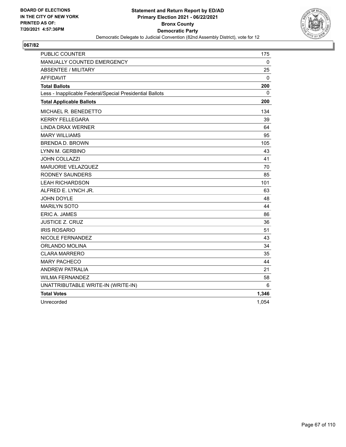

| <b>PUBLIC COUNTER</b>                                    | 175          |
|----------------------------------------------------------|--------------|
| MANUALLY COUNTED EMERGENCY                               | $\mathbf{0}$ |
| <b>ABSENTEE / MILITARY</b>                               | 25           |
| <b>AFFIDAVIT</b>                                         | 0            |
| <b>Total Ballots</b>                                     | 200          |
| Less - Inapplicable Federal/Special Presidential Ballots | $\Omega$     |
| <b>Total Applicable Ballots</b>                          | 200          |
| MICHAEL R. BENEDETTO                                     | 134          |
| <b>KERRY FELLEGARA</b>                                   | 39           |
| <b>LINDA DRAX WERNER</b>                                 | 64           |
| <b>MARY WILLIAMS</b>                                     | 95           |
| <b>BRENDA D. BROWN</b>                                   | 105          |
| LYNN M. GERBINO                                          | 43           |
| JOHN COLLAZZI                                            | 41           |
| MARJORIE VELAZQUEZ                                       | 70           |
| <b>RODNEY SAUNDERS</b>                                   | 85           |
| <b>LEAH RICHARDSON</b>                                   | 101          |
| ALFRED E. LYNCH JR.                                      | 63           |
| <b>JOHN DOYLE</b>                                        | 48           |
| <b>MARILYN SOTO</b>                                      | 44           |
| <b>ERIC A. JAMES</b>                                     | 86           |
| <b>JUSTICE Z. CRUZ</b>                                   | 36           |
| <b>IRIS ROSARIO</b>                                      | 51           |
| <b>NICOLE FERNANDEZ</b>                                  | 43           |
| ORLANDO MOLINA                                           | 34           |
| <b>CLARA MARRERO</b>                                     | 35           |
| <b>MARY PACHECO</b>                                      | 44           |
| <b>ANDREW PATRALIA</b>                                   | 21           |
| <b>WILMA FERNANDEZ</b>                                   | 58           |
| UNATTRIBUTABLE WRITE-IN (WRITE-IN)                       | 6            |
| <b>Total Votes</b>                                       | 1,346        |
| Unrecorded                                               | 1,054        |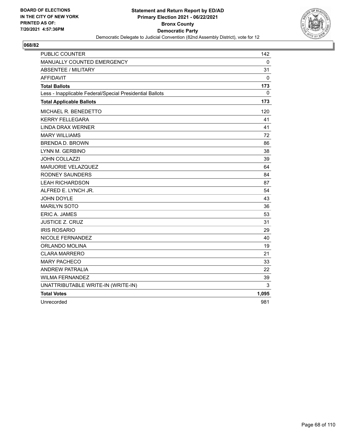

| <b>PUBLIC COUNTER</b>                                    | 142          |
|----------------------------------------------------------|--------------|
| MANUALLY COUNTED EMERGENCY                               | $\mathbf{0}$ |
| <b>ABSENTEE / MILITARY</b>                               | 31           |
| <b>AFFIDAVIT</b>                                         | 0            |
| <b>Total Ballots</b>                                     | 173          |
| Less - Inapplicable Federal/Special Presidential Ballots | $\Omega$     |
| <b>Total Applicable Ballots</b>                          | 173          |
| MICHAEL R. BENEDETTO                                     | 120          |
| <b>KERRY FELLEGARA</b>                                   | 41           |
| <b>LINDA DRAX WERNER</b>                                 | 41           |
| <b>MARY WILLIAMS</b>                                     | 72           |
| <b>BRENDA D. BROWN</b>                                   | 86           |
| LYNN M. GERBINO                                          | 38           |
| <b>JOHN COLLAZZI</b>                                     | 39           |
| MARJORIE VELAZQUEZ                                       | 64           |
| <b>RODNEY SAUNDERS</b>                                   | 84           |
| <b>LEAH RICHARDSON</b>                                   | 87           |
| ALFRED E. LYNCH JR.                                      | 54           |
| JOHN DOYLE                                               | 43           |
| <b>MARILYN SOTO</b>                                      | 36           |
| <b>ERIC A. JAMES</b>                                     | 53           |
| <b>JUSTICE Z. CRUZ</b>                                   | 31           |
| <b>IRIS ROSARIO</b>                                      | 29           |
| <b>NICOLE FERNANDEZ</b>                                  | 40           |
| ORLANDO MOLINA                                           | 19           |
| <b>CLARA MARRERO</b>                                     | 21           |
| <b>MARY PACHECO</b>                                      | 33           |
| <b>ANDREW PATRALIA</b>                                   | 22           |
| <b>WILMA FERNANDEZ</b>                                   | 39           |
| UNATTRIBUTABLE WRITE-IN (WRITE-IN)                       | 3            |
| <b>Total Votes</b>                                       | 1,095        |
| Unrecorded                                               | 981          |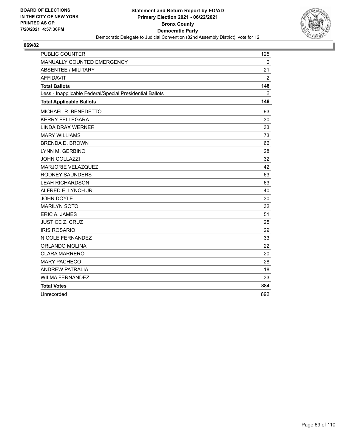

| <b>PUBLIC COUNTER</b>                                    | 125            |
|----------------------------------------------------------|----------------|
| MANUALLY COUNTED EMERGENCY                               | $\mathbf{0}$   |
| <b>ABSENTEE / MILITARY</b>                               | 21             |
| <b>AFFIDAVIT</b>                                         | $\overline{2}$ |
| <b>Total Ballots</b>                                     | 148            |
| Less - Inapplicable Federal/Special Presidential Ballots | 0              |
| <b>Total Applicable Ballots</b>                          | 148            |
| MICHAEL R. BENEDETTO                                     | 93             |
| <b>KERRY FELLEGARA</b>                                   | 30             |
| <b>LINDA DRAX WERNER</b>                                 | 33             |
| <b>MARY WILLIAMS</b>                                     | 73             |
| <b>BRENDA D. BROWN</b>                                   | 66             |
| LYNN M. GERBINO                                          | 28             |
| <b>JOHN COLLAZZI</b>                                     | 32             |
| <b>MARJORIE VELAZQUEZ</b>                                | 42             |
| <b>RODNEY SAUNDERS</b>                                   | 63             |
| <b>LEAH RICHARDSON</b>                                   | 63             |
| ALFRED E. LYNCH JR.                                      | 40             |
| JOHN DOYLE                                               | 30             |
| <b>MARILYN SOTO</b>                                      | 32             |
| ERIC A. JAMES                                            | 51             |
| <b>JUSTICE Z. CRUZ</b>                                   | 25             |
| <b>IRIS ROSARIO</b>                                      | 29             |
| NICOLE FERNANDEZ                                         | 33             |
| ORLANDO MOLINA                                           | 22             |
| <b>CLARA MARRERO</b>                                     | 20             |
| <b>MARY PACHECO</b>                                      | 28             |
| <b>ANDREW PATRALIA</b>                                   | 18             |
| <b>WILMA FERNANDEZ</b>                                   | 33             |
| <b>Total Votes</b>                                       | 884            |
| Unrecorded                                               | 892            |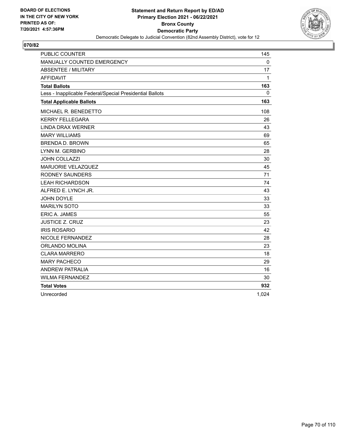

| <b>PUBLIC COUNTER</b>                                    | 145   |
|----------------------------------------------------------|-------|
| MANUALLY COUNTED EMERGENCY                               | 0     |
| <b>ABSENTEE / MILITARY</b>                               | 17    |
| <b>AFFIDAVIT</b>                                         | 1     |
| <b>Total Ballots</b>                                     | 163   |
| Less - Inapplicable Federal/Special Presidential Ballots | 0     |
| <b>Total Applicable Ballots</b>                          | 163   |
| MICHAEL R. BENEDETTO                                     | 108   |
| <b>KERRY FELLEGARA</b>                                   | 26    |
| <b>LINDA DRAX WERNER</b>                                 | 43    |
| <b>MARY WILLIAMS</b>                                     | 69    |
| <b>BRENDA D. BROWN</b>                                   | 65    |
| LYNN M. GERBINO                                          | 28    |
| <b>JOHN COLLAZZI</b>                                     | 30    |
| MARJORIE VELAZQUEZ                                       | 45    |
| <b>RODNEY SAUNDERS</b>                                   | 71    |
| <b>LEAH RICHARDSON</b>                                   | 74    |
| ALFRED E. LYNCH JR.                                      | 43    |
| JOHN DOYLE                                               | 33    |
| <b>MARILYN SOTO</b>                                      | 33    |
| ERIC A. JAMES                                            | 55    |
| <b>JUSTICE Z. CRUZ</b>                                   | 23    |
| <b>IRIS ROSARIO</b>                                      | 42    |
| NICOLE FERNANDEZ                                         | 28    |
| ORLANDO MOLINA                                           | 23    |
| <b>CLARA MARRERO</b>                                     | 18    |
| <b>MARY PACHECO</b>                                      | 29    |
| <b>ANDREW PATRALIA</b>                                   | 16    |
| <b>WILMA FERNANDEZ</b>                                   | 30    |
| <b>Total Votes</b>                                       | 932   |
| Unrecorded                                               | 1,024 |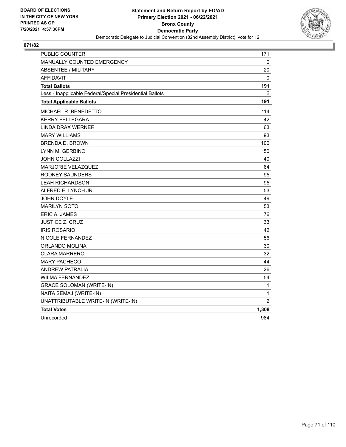

| PUBLIC COUNTER                                           | 171            |
|----------------------------------------------------------|----------------|
| MANUALLY COUNTED EMERGENCY                               | 0              |
| <b>ABSENTEE / MILITARY</b>                               | 20             |
| <b>AFFIDAVIT</b>                                         | 0              |
| <b>Total Ballots</b>                                     | 191            |
| Less - Inapplicable Federal/Special Presidential Ballots | 0              |
| <b>Total Applicable Ballots</b>                          | 191            |
| MICHAEL R. BENEDETTO                                     | 114            |
| <b>KERRY FELLEGARA</b>                                   | 42             |
| <b>LINDA DRAX WERNER</b>                                 | 63             |
| <b>MARY WILLIAMS</b>                                     | 93             |
| <b>BRENDA D. BROWN</b>                                   | 100            |
| LYNN M. GERBINO                                          | 50             |
| <b>JOHN COLLAZZI</b>                                     | 40             |
| MARJORIE VELAZQUEZ                                       | 64             |
| <b>RODNEY SAUNDERS</b>                                   | 95             |
| <b>LEAH RICHARDSON</b>                                   | 95             |
| ALFRED E. LYNCH JR.                                      | 53             |
| JOHN DOYLE                                               | 49             |
| <b>MARILYN SOTO</b>                                      | 53             |
| ERIC A. JAMES                                            | 76             |
| <b>JUSTICE Z. CRUZ</b>                                   | 33             |
| <b>IRIS ROSARIO</b>                                      | 42             |
| NICOLE FERNANDEZ                                         | 56             |
| ORLANDO MOLINA                                           | 30             |
| CLARA MARRERO                                            | 32             |
| <b>MARY PACHECO</b>                                      | 44             |
| <b>ANDREW PATRALIA</b>                                   | 26             |
| <b>WILMA FERNANDEZ</b>                                   | 54             |
| <b>GRACE SOLOMAN (WRITE-IN)</b>                          | 1              |
| NAITA SEMAJ (WRITE-IN)                                   | $\mathbf{1}$   |
| UNATTRIBUTABLE WRITE-IN (WRITE-IN)                       | $\overline{2}$ |
| <b>Total Votes</b>                                       | 1,308          |
| Unrecorded                                               | 984            |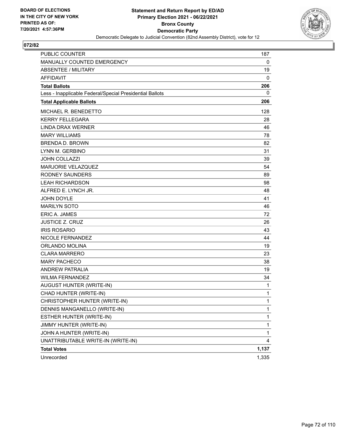

| <b>PUBLIC COUNTER</b>                                    | 187   |
|----------------------------------------------------------|-------|
| MANUALLY COUNTED EMERGENCY                               | 0     |
| ABSENTEE / MILITARY                                      | 19    |
| <b>AFFIDAVIT</b>                                         | 0     |
| <b>Total Ballots</b>                                     | 206   |
| Less - Inapplicable Federal/Special Presidential Ballots | 0     |
| <b>Total Applicable Ballots</b>                          | 206   |
| MICHAEL R. BENEDETTO                                     | 128   |
| <b>KERRY FELLEGARA</b>                                   | 28    |
| <b>LINDA DRAX WERNER</b>                                 | 46    |
| <b>MARY WILLIAMS</b>                                     | 78    |
| <b>BRENDA D. BROWN</b>                                   | 82    |
| LYNN M. GERBINO                                          | 31    |
| <b>JOHN COLLAZZI</b>                                     | 39    |
| MARJORIE VELAZQUEZ                                       | 54    |
| <b>RODNEY SAUNDERS</b>                                   | 89    |
| <b>LEAH RICHARDSON</b>                                   | 98    |
| ALFRED E. LYNCH JR.                                      | 48    |
| JOHN DOYLE                                               | 41    |
| <b>MARILYN SOTO</b>                                      | 46    |
| <b>ERIC A. JAMES</b>                                     | 72    |
| <b>JUSTICE Z. CRUZ</b>                                   | 26    |
| <b>IRIS ROSARIO</b>                                      | 43    |
| NICOLE FERNANDEZ                                         | 44    |
| <b>ORLANDO MOLINA</b>                                    | 19    |
| <b>CLARA MARRERO</b>                                     | 23    |
| <b>MARY PACHECO</b>                                      | 38    |
| <b>ANDREW PATRALIA</b>                                   | 19    |
| <b>WILMA FERNANDEZ</b>                                   | 34    |
| AUGUST HUNTER (WRITE-IN)                                 | 1     |
| CHAD HUNTER (WRITE-IN)                                   | 1     |
| CHRISTOPHER HUNTER (WRITE-IN)                            | 1     |
| DENNIS MANGANELLO (WRITE-IN)                             | 1     |
| ESTHER HUNTER (WRITE-IN)                                 | 1     |
| JIMMY HUNTER (WRITE-IN)                                  | 1     |
| JOHN A HUNTER (WRITE-IN)                                 | 1     |
| UNATTRIBUTABLE WRITE-IN (WRITE-IN)                       | 4     |
| <b>Total Votes</b>                                       | 1,137 |
| Unrecorded                                               | 1,335 |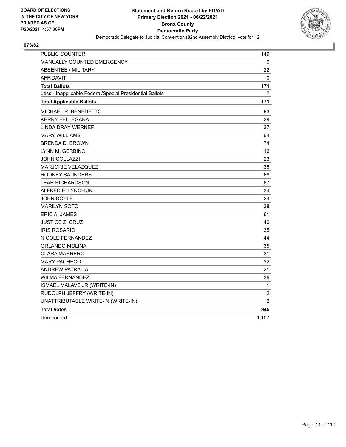

| PUBLIC COUNTER                                           | 149            |
|----------------------------------------------------------|----------------|
| <b>MANUALLY COUNTED EMERGENCY</b>                        | 0              |
| <b>ABSENTEE / MILITARY</b>                               | 22             |
| <b>AFFIDAVIT</b>                                         | $\Omega$       |
| <b>Total Ballots</b>                                     | 171            |
| Less - Inapplicable Federal/Special Presidential Ballots | 0              |
| <b>Total Applicable Ballots</b>                          | 171            |
| MICHAEL R. BENEDETTO                                     | 93             |
| <b>KERRY FELLEGARA</b>                                   | 29             |
| LINDA DRAX WERNER                                        | 37             |
| <b>MARY WILLIAMS</b>                                     | 64             |
| <b>BRENDA D. BROWN</b>                                   | 74             |
| LYNN M. GERBINO                                          | 16             |
| JOHN COLLAZZI                                            | 23             |
| MARJORIE VELAZQUEZ                                       | 38             |
| <b>RODNEY SAUNDERS</b>                                   | 68             |
| <b>LEAH RICHARDSON</b>                                   | 67             |
| ALFRED E. LYNCH JR.                                      | 34             |
| <b>JOHN DOYLE</b>                                        | 24             |
| <b>MARILYN SOTO</b>                                      | 38             |
| ERIC A. JAMES                                            | 61             |
| <b>JUSTICE Z. CRUZ</b>                                   | 40             |
| <b>IRIS ROSARIO</b>                                      | 35             |
| NICOLE FERNANDEZ                                         | 44             |
| ORLANDO MOLINA                                           | 35             |
| CLARA MARRERO                                            | 31             |
| <b>MARY PACHECO</b>                                      | 32             |
| <b>ANDREW PATRALIA</b>                                   | 21             |
| <b>WILMA FERNANDEZ</b>                                   | 36             |
| ISMAEL MALAVE JR (WRITE-IN)                              | 1              |
| RUDOLPH JEFFRY (WRITE-IN)                                | $\overline{c}$ |
| UNATTRIBUTABLE WRITE-IN (WRITE-IN)                       | $\overline{2}$ |
| <b>Total Votes</b>                                       | 945            |
| Unrecorded                                               | 1,107          |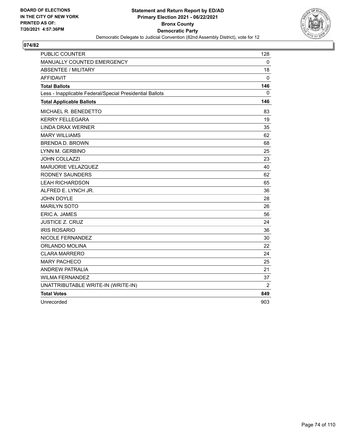

| <b>PUBLIC COUNTER</b>                                    | 128          |
|----------------------------------------------------------|--------------|
| MANUALLY COUNTED EMERGENCY                               | $\mathbf{0}$ |
| <b>ABSENTEE / MILITARY</b>                               | 18           |
| <b>AFFIDAVIT</b>                                         | 0            |
| <b>Total Ballots</b>                                     | 146          |
| Less - Inapplicable Federal/Special Presidential Ballots | 0            |
| <b>Total Applicable Ballots</b>                          | 146          |
| MICHAEL R. BENEDETTO                                     | 83           |
| <b>KERRY FELLEGARA</b>                                   | 19           |
| <b>LINDA DRAX WERNER</b>                                 | 35           |
| <b>MARY WILLIAMS</b>                                     | 62           |
| <b>BRENDA D. BROWN</b>                                   | 68           |
| LYNN M. GERBINO                                          | 25           |
| <b>JOHN COLLAZZI</b>                                     | 23           |
| MARJORIE VELAZQUEZ                                       | 40           |
| <b>RODNEY SAUNDERS</b>                                   | 62           |
| <b>LEAH RICHARDSON</b>                                   | 65           |
| ALFRED E. LYNCH JR.                                      | 36           |
| JOHN DOYLE                                               | 28           |
| <b>MARILYN SOTO</b>                                      | 26           |
| ERIC A. JAMES                                            | 56           |
| <b>JUSTICE Z. CRUZ</b>                                   | 24           |
| <b>IRIS ROSARIO</b>                                      | 36           |
| NICOLE FERNANDEZ                                         | 30           |
| <b>ORLANDO MOLINA</b>                                    | 22           |
| <b>CLARA MARRERO</b>                                     | 24           |
| <b>MARY PACHECO</b>                                      | 25           |
| <b>ANDREW PATRALIA</b>                                   | 21           |
| <b>WILMA FERNANDEZ</b>                                   | 37           |
| UNATTRIBUTABLE WRITE-IN (WRITE-IN)                       | 2            |
| <b>Total Votes</b>                                       | 849          |
| Unrecorded                                               | 903          |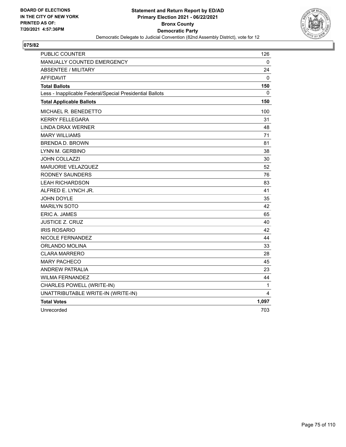

| PUBLIC COUNTER                                           | 126   |
|----------------------------------------------------------|-------|
| MANUALLY COUNTED EMERGENCY                               | 0     |
| <b>ABSENTEE / MILITARY</b>                               | 24    |
| <b>AFFIDAVIT</b>                                         | 0     |
| <b>Total Ballots</b>                                     | 150   |
| Less - Inapplicable Federal/Special Presidential Ballots | 0     |
| <b>Total Applicable Ballots</b>                          | 150   |
| MICHAEL R. BENEDETTO                                     | 100   |
| <b>KERRY FELLEGARA</b>                                   | 31    |
| <b>LINDA DRAX WERNER</b>                                 | 48    |
| <b>MARY WILLIAMS</b>                                     | 71    |
| <b>BRENDA D. BROWN</b>                                   | 81    |
| LYNN M. GERBINO                                          | 38    |
| <b>JOHN COLLAZZI</b>                                     | 30    |
| <b>MARJORIE VELAZQUEZ</b>                                | 52    |
| <b>RODNEY SAUNDERS</b>                                   | 76    |
| <b>LEAH RICHARDSON</b>                                   | 83    |
| ALFRED E. LYNCH JR.                                      | 41    |
| <b>JOHN DOYLE</b>                                        | 35    |
| <b>MARILYN SOTO</b>                                      | 42    |
| ERIC A. JAMES                                            | 65    |
| <b>JUSTICE Z. CRUZ</b>                                   | 40    |
| <b>IRIS ROSARIO</b>                                      | 42    |
| NICOLE FERNANDEZ                                         | 44    |
| ORLANDO MOLINA                                           | 33    |
| <b>CLARA MARRERO</b>                                     | 28    |
| <b>MARY PACHECO</b>                                      | 45    |
| <b>ANDREW PATRALIA</b>                                   | 23    |
| <b>WILMA FERNANDEZ</b>                                   | 44    |
| CHARLES POWELL (WRITE-IN)                                | 1     |
| UNATTRIBUTABLE WRITE-IN (WRITE-IN)                       | 4     |
| <b>Total Votes</b>                                       | 1,097 |
| Unrecorded                                               | 703   |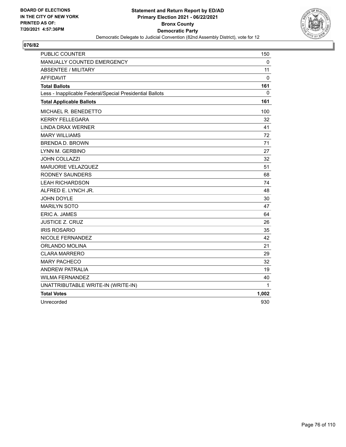

| <b>PUBLIC COUNTER</b>                                    | 150      |
|----------------------------------------------------------|----------|
| MANUALLY COUNTED EMERGENCY                               | 0        |
| <b>ABSENTEE / MILITARY</b>                               | 11       |
| <b>AFFIDAVIT</b>                                         | 0        |
| <b>Total Ballots</b>                                     | 161      |
| Less - Inapplicable Federal/Special Presidential Ballots | $\Omega$ |
| <b>Total Applicable Ballots</b>                          | 161      |
| <b>MICHAEL R. BENEDETTO</b>                              | 100      |
| <b>KERRY FELLEGARA</b>                                   | 32       |
| <b>LINDA DRAX WERNER</b>                                 | 41       |
| <b>MARY WILLIAMS</b>                                     | 72       |
| <b>BRENDA D. BROWN</b>                                   | 71       |
| LYNN M. GERBINO                                          | 27       |
| <b>JOHN COLLAZZI</b>                                     | 32       |
| MARJORIE VELAZQUEZ                                       | 51       |
| <b>RODNEY SAUNDERS</b>                                   | 68       |
| <b>LEAH RICHARDSON</b>                                   | 74       |
| ALFRED E. LYNCH JR.                                      | 48       |
| JOHN DOYLE                                               | 30       |
| <b>MARILYN SOTO</b>                                      | 47       |
| <b>ERIC A. JAMES</b>                                     | 64       |
| <b>JUSTICE Z. CRUZ</b>                                   | 26       |
| <b>IRIS ROSARIO</b>                                      | 35       |
| <b>NICOLE FERNANDEZ</b>                                  | 42       |
| <b>ORLANDO MOLINA</b>                                    | 21       |
| <b>CLARA MARRERO</b>                                     | 29       |
| <b>MARY PACHECO</b>                                      | 32       |
| <b>ANDREW PATRALIA</b>                                   | 19       |
| <b>WILMA FERNANDEZ</b>                                   | 40       |
| UNATTRIBUTABLE WRITE-IN (WRITE-IN)                       | 1        |
| <b>Total Votes</b>                                       | 1,002    |
| Unrecorded                                               | 930      |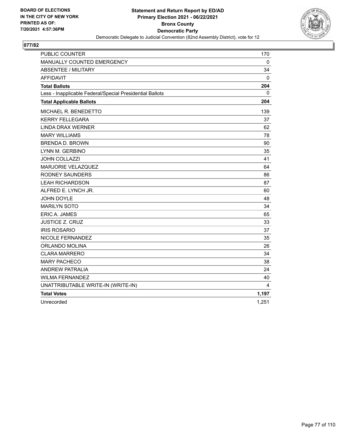

| <b>PUBLIC COUNTER</b>                                    | 170          |
|----------------------------------------------------------|--------------|
| MANUALLY COUNTED EMERGENCY                               | $\mathbf{0}$ |
| <b>ABSENTEE / MILITARY</b>                               | 34           |
| <b>AFFIDAVIT</b>                                         | 0            |
| <b>Total Ballots</b>                                     | 204          |
| Less - Inapplicable Federal/Special Presidential Ballots | 0            |
| <b>Total Applicable Ballots</b>                          | 204          |
| MICHAEL R. BENEDETTO                                     | 139          |
| <b>KERRY FELLEGARA</b>                                   | 37           |
| <b>LINDA DRAX WERNER</b>                                 | 62           |
| <b>MARY WILLIAMS</b>                                     | 78           |
| <b>BRENDA D. BROWN</b>                                   | 90           |
| LYNN M. GERBINO                                          | 35           |
| JOHN COLLAZZI                                            | 41           |
| MARJORIE VELAZQUEZ                                       | 64           |
| <b>RODNEY SAUNDERS</b>                                   | 86           |
| <b>LEAH RICHARDSON</b>                                   | 87           |
| ALFRED E. LYNCH JR.                                      | 60           |
| <b>JOHN DOYLE</b>                                        | 48           |
| <b>MARILYN SOTO</b>                                      | 34           |
| <b>ERIC A. JAMES</b>                                     | 65           |
| <b>JUSTICE Z. CRUZ</b>                                   | 33           |
| <b>IRIS ROSARIO</b>                                      | 37           |
| <b>NICOLE FERNANDEZ</b>                                  | 35           |
| ORLANDO MOLINA                                           | 26           |
| <b>CLARA MARRERO</b>                                     | 34           |
| <b>MARY PACHECO</b>                                      | 38           |
| <b>ANDREW PATRALIA</b>                                   | 24           |
| <b>WILMA FERNANDEZ</b>                                   | 40           |
| UNATTRIBUTABLE WRITE-IN (WRITE-IN)                       | 4            |
| <b>Total Votes</b>                                       | 1,197        |
| Unrecorded                                               | 1,251        |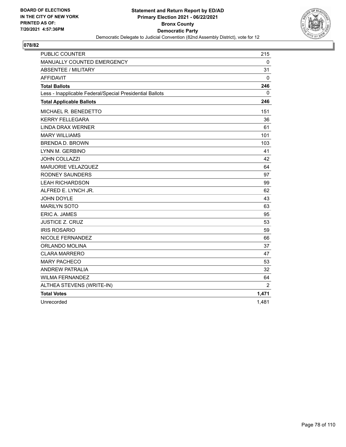

| <b>PUBLIC COUNTER</b>                                    | 215            |
|----------------------------------------------------------|----------------|
| MANUALLY COUNTED EMERGENCY                               | $\mathbf{0}$   |
| <b>ABSENTEE / MILITARY</b>                               | 31             |
| <b>AFFIDAVIT</b>                                         | 0              |
| <b>Total Ballots</b>                                     | 246            |
| Less - Inapplicable Federal/Special Presidential Ballots | 0              |
| <b>Total Applicable Ballots</b>                          | 246            |
| MICHAEL R. BENEDETTO                                     | 151            |
| <b>KERRY FELLEGARA</b>                                   | 36             |
| <b>LINDA DRAX WERNER</b>                                 | 61             |
| <b>MARY WILLIAMS</b>                                     | 101            |
| <b>BRENDA D. BROWN</b>                                   | 103            |
| LYNN M. GERBINO                                          | 41             |
| <b>JOHN COLLAZZI</b>                                     | 42             |
| MARJORIE VELAZQUEZ                                       | 64             |
| <b>RODNEY SAUNDERS</b>                                   | 97             |
| <b>LEAH RICHARDSON</b>                                   | 99             |
| ALFRED E. LYNCH JR.                                      | 62             |
| <b>JOHN DOYLE</b>                                        | 43             |
| <b>MARILYN SOTO</b>                                      | 63             |
| ERIC A. JAMES                                            | 95             |
| <b>JUSTICE Z. CRUZ</b>                                   | 53             |
| <b>IRIS ROSARIO</b>                                      | 59             |
| NICOLE FERNANDEZ                                         | 66             |
| ORLANDO MOLINA                                           | 37             |
| <b>CLARA MARRERO</b>                                     | 47             |
| <b>MARY PACHECO</b>                                      | 53             |
| <b>ANDREW PATRALIA</b>                                   | 32             |
| <b>WILMA FERNANDEZ</b>                                   | 64             |
| ALTHEA STEVENS (WRITE-IN)                                | $\overline{2}$ |
| <b>Total Votes</b>                                       | 1,471          |
| Unrecorded                                               | 1.481          |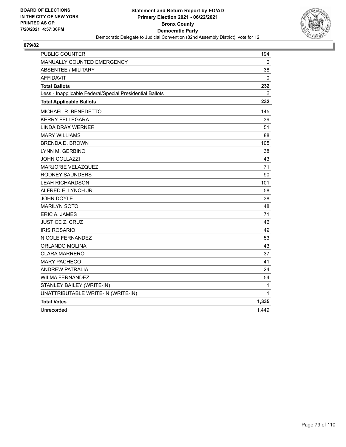

| <b>PUBLIC COUNTER</b>                                    | 194   |
|----------------------------------------------------------|-------|
| <b>MANUALLY COUNTED EMERGENCY</b>                        | 0     |
| <b>ABSENTEE / MILITARY</b>                               | 38    |
| <b>AFFIDAVIT</b>                                         | 0     |
| <b>Total Ballots</b>                                     | 232   |
| Less - Inapplicable Federal/Special Presidential Ballots | 0     |
| <b>Total Applicable Ballots</b>                          | 232   |
| MICHAEL R. BENEDETTO                                     | 145   |
| <b>KERRY FELLEGARA</b>                                   | 39    |
| <b>LINDA DRAX WERNER</b>                                 | 51    |
| <b>MARY WILLIAMS</b>                                     | 88    |
| <b>BRENDA D. BROWN</b>                                   | 105   |
| LYNN M. GERBINO                                          | 38    |
| <b>JOHN COLLAZZI</b>                                     | 43    |
| <b>MARJORIE VELAZQUEZ</b>                                | 71    |
| RODNEY SAUNDERS                                          | 90    |
| <b>LEAH RICHARDSON</b>                                   | 101   |
| ALFRED E. LYNCH JR.                                      | 58    |
| <b>JOHN DOYLE</b>                                        | 38    |
| <b>MARILYN SOTO</b>                                      | 48    |
| ERIC A. JAMES                                            | 71    |
| JUSTICE Z. CRUZ                                          | 46    |
| <b>IRIS ROSARIO</b>                                      | 49    |
| NICOLE FERNANDEZ                                         | 53    |
| ORLANDO MOLINA                                           | 43    |
| <b>CLARA MARRERO</b>                                     | 37    |
| <b>MARY PACHECO</b>                                      | 41    |
| <b>ANDREW PATRALIA</b>                                   | 24    |
| <b>WILMA FERNANDEZ</b>                                   | 54    |
| STANLEY BAILEY (WRITE-IN)                                | 1     |
| UNATTRIBUTABLE WRITE-IN (WRITE-IN)                       | 1     |
| <b>Total Votes</b>                                       | 1,335 |
| Unrecorded                                               | 1,449 |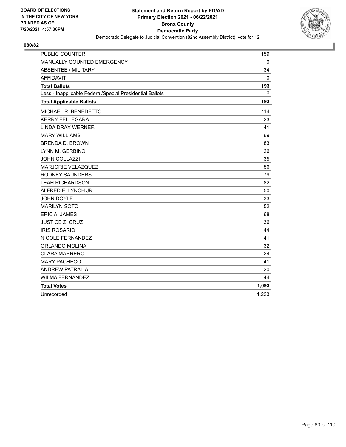

| <b>PUBLIC COUNTER</b>                                    | 159      |
|----------------------------------------------------------|----------|
| MANUALLY COUNTED EMERGENCY                               | $\Omega$ |
| <b>ABSENTEE / MILITARY</b>                               | 34       |
| <b>AFFIDAVIT</b>                                         | 0        |
| <b>Total Ballots</b>                                     | 193      |
| Less - Inapplicable Federal/Special Presidential Ballots | 0        |
| <b>Total Applicable Ballots</b>                          | 193      |
| MICHAEL R. BENEDETTO                                     | 114      |
| <b>KERRY FELLEGARA</b>                                   | 23       |
| <b>LINDA DRAX WERNER</b>                                 | 41       |
| <b>MARY WILLIAMS</b>                                     | 69       |
| <b>BRENDA D. BROWN</b>                                   | 83       |
| LYNN M. GERBINO                                          | 26       |
| JOHN COLLAZZI                                            | 35       |
| MARJORIE VELAZQUEZ                                       | 56       |
| <b>RODNEY SAUNDERS</b>                                   | 79       |
| <b>LEAH RICHARDSON</b>                                   | 82       |
| ALFRED E. LYNCH JR.                                      | 50       |
| <b>JOHN DOYLE</b>                                        | 33       |
| <b>MARILYN SOTO</b>                                      | 52       |
| ERIC A. JAMES                                            | 68       |
| <b>JUSTICE Z. CRUZ</b>                                   | 36       |
| <b>IRIS ROSARIO</b>                                      | 44       |
| NICOLE FERNANDEZ                                         | 41       |
| ORLANDO MOLINA                                           | 32       |
| <b>CLARA MARRERO</b>                                     | 24       |
| <b>MARY PACHECO</b>                                      | 41       |
| <b>ANDREW PATRALIA</b>                                   | 20       |
| <b>WILMA FERNANDEZ</b>                                   | 44       |
| <b>Total Votes</b>                                       | 1,093    |
| Unrecorded                                               | 1,223    |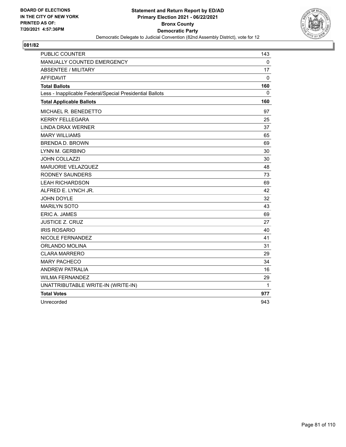

| <b>PUBLIC COUNTER</b>                                    | 143          |
|----------------------------------------------------------|--------------|
| MANUALLY COUNTED EMERGENCY                               | $\mathbf{0}$ |
| <b>ABSENTEE / MILITARY</b>                               | 17           |
| <b>AFFIDAVIT</b>                                         | 0            |
| <b>Total Ballots</b>                                     | 160          |
| Less - Inapplicable Federal/Special Presidential Ballots | 0            |
| <b>Total Applicable Ballots</b>                          | 160          |
| MICHAEL R. BENEDETTO                                     | 97           |
| <b>KERRY FELLEGARA</b>                                   | 25           |
| <b>LINDA DRAX WERNER</b>                                 | 37           |
| <b>MARY WILLIAMS</b>                                     | 65           |
| <b>BRENDA D. BROWN</b>                                   | 69           |
| LYNN M. GERBINO                                          | 30           |
| <b>JOHN COLLAZZI</b>                                     | 30           |
| MARJORIE VELAZQUEZ                                       | 48           |
| <b>RODNEY SAUNDERS</b>                                   | 73           |
| <b>LEAH RICHARDSON</b>                                   | 69           |
| ALFRED E. LYNCH JR.                                      | 42           |
| JOHN DOYLE                                               | 32           |
| <b>MARILYN SOTO</b>                                      | 43           |
| <b>ERIC A. JAMES</b>                                     | 69           |
| <b>JUSTICE Z. CRUZ</b>                                   | 27           |
| <b>IRIS ROSARIO</b>                                      | 40           |
| NICOLE FERNANDEZ                                         | 41           |
| ORLANDO MOLINA                                           | 31           |
| <b>CLARA MARRERO</b>                                     | 29           |
| <b>MARY PACHECO</b>                                      | 34           |
| <b>ANDREW PATRALIA</b>                                   | 16           |
| <b>WILMA FERNANDEZ</b>                                   | 29           |
| UNATTRIBUTABLE WRITE-IN (WRITE-IN)                       | 1            |
| <b>Total Votes</b>                                       | 977          |
| Unrecorded                                               | 943          |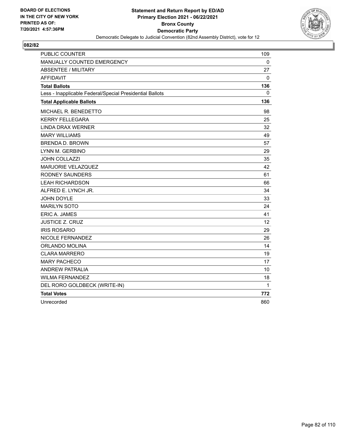

| <b>PUBLIC COUNTER</b>                                    | 109         |
|----------------------------------------------------------|-------------|
| MANUALLY COUNTED EMERGENCY                               | $\mathbf 0$ |
| <b>ABSENTEE / MILITARY</b>                               | 27          |
| <b>AFFIDAVIT</b>                                         | 0           |
| <b>Total Ballots</b>                                     | 136         |
| Less - Inapplicable Federal/Special Presidential Ballots | 0           |
| <b>Total Applicable Ballots</b>                          | 136         |
| MICHAEL R. BENEDETTO                                     | 98          |
| <b>KERRY FELLEGARA</b>                                   | 25          |
| <b>LINDA DRAX WERNER</b>                                 | 32          |
| <b>MARY WILLIAMS</b>                                     | 49          |
| <b>BRENDA D. BROWN</b>                                   | 57          |
| LYNN M. GERBINO                                          | 29          |
| <b>JOHN COLLAZZI</b>                                     | 35          |
| MARJORIE VELAZQUEZ                                       | 42          |
| <b>RODNEY SAUNDERS</b>                                   | 61          |
| <b>LEAH RICHARDSON</b>                                   | 66          |
| ALFRED E. LYNCH JR.                                      | 34          |
| <b>JOHN DOYLE</b>                                        | 33          |
| <b>MARILYN SOTO</b>                                      | 24          |
| <b>ERIC A. JAMES</b>                                     | 41          |
| <b>JUSTICE Z. CRUZ</b>                                   | 12          |
| <b>IRIS ROSARIO</b>                                      | 29          |
| NICOLE FERNANDEZ                                         | 26          |
| ORLANDO MOLINA                                           | 14          |
| <b>CLARA MARRERO</b>                                     | 19          |
| <b>MARY PACHECO</b>                                      | 17          |
| <b>ANDREW PATRALIA</b>                                   | 10          |
| <b>WILMA FERNANDEZ</b>                                   | 18          |
| DEL RORO GOLDBECK (WRITE-IN)                             | 1           |
| <b>Total Votes</b>                                       | 772         |
| Unrecorded                                               | 860         |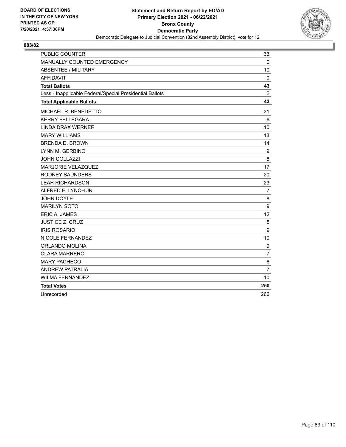

| <b>PUBLIC COUNTER</b>                                    | 33             |
|----------------------------------------------------------|----------------|
| MANUALLY COUNTED EMERGENCY                               | 0              |
| ABSENTEE / MILITARY                                      | 10             |
| <b>AFFIDAVIT</b>                                         | $\mathbf 0$    |
| <b>Total Ballots</b>                                     | 43             |
| Less - Inapplicable Federal/Special Presidential Ballots | 0              |
| <b>Total Applicable Ballots</b>                          | 43             |
| MICHAEL R. BENEDETTO                                     | 31             |
| <b>KERRY FELLEGARA</b>                                   | 6              |
| <b>LINDA DRAX WERNER</b>                                 | 10             |
| <b>MARY WILLIAMS</b>                                     | 13             |
| <b>BRENDA D. BROWN</b>                                   | 14             |
| LYNN M. GERBINO                                          | 9              |
| <b>JOHN COLLAZZI</b>                                     | 8              |
| <b>MARJORIE VELAZQUEZ</b>                                | 17             |
| <b>RODNEY SAUNDERS</b>                                   | 20             |
| <b>LEAH RICHARDSON</b>                                   | 23             |
| ALFRED E. LYNCH JR.                                      | 7              |
| JOHN DOYLE                                               | 8              |
| <b>MARILYN SOTO</b>                                      | 9              |
| ERIC A. JAMES                                            | 12             |
| <b>JUSTICE Z. CRUZ</b>                                   | 5              |
| <b>IRIS ROSARIO</b>                                      | 9              |
| NICOLE FERNANDEZ                                         | 10             |
| ORLANDO MOLINA                                           | 9              |
| <b>CLARA MARRERO</b>                                     | $\overline{7}$ |
| <b>MARY PACHECO</b>                                      | 6              |
| <b>ANDREW PATRALIA</b>                                   | $\overline{7}$ |
| <b>WILMA FERNANDEZ</b>                                   | 10             |
| <b>Total Votes</b>                                       | 250            |
| Unrecorded                                               | 266            |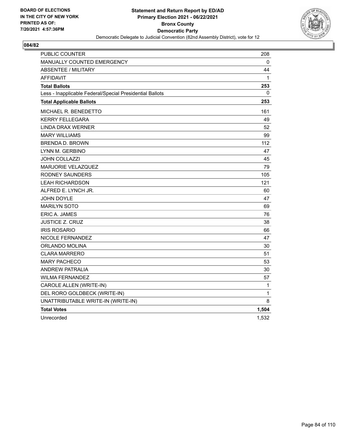

| PUBLIC COUNTER                                           | 208          |
|----------------------------------------------------------|--------------|
| MANUALLY COUNTED EMERGENCY                               | 0            |
| <b>ABSENTEE / MILITARY</b>                               | 44           |
| <b>AFFIDAVIT</b>                                         | $\mathbf{1}$ |
| <b>Total Ballots</b>                                     | 253          |
| Less - Inapplicable Federal/Special Presidential Ballots | 0            |
| <b>Total Applicable Ballots</b>                          | 253          |
| MICHAEL R. BENEDETTO                                     | 161          |
| KERRY FELLEGARA                                          | 49           |
| <b>LINDA DRAX WERNER</b>                                 | 52           |
| <b>MARY WILLIAMS</b>                                     | 99           |
| <b>BRENDA D. BROWN</b>                                   | 112          |
| LYNN M. GERBINO                                          | 47           |
| <b>JOHN COLLAZZI</b>                                     | 45           |
| <b>MARJORIE VELAZQUEZ</b>                                | 79           |
| RODNEY SAUNDERS                                          | 105          |
| <b>LEAH RICHARDSON</b>                                   | 121          |
| ALFRED E. LYNCH JR.                                      | 60           |
| <b>JOHN DOYLE</b>                                        | 47           |
| <b>MARILYN SOTO</b>                                      | 69           |
| ERIC A. JAMES                                            | 76           |
| JUSTICE Z. CRUZ                                          | 38           |
| <b>IRIS ROSARIO</b>                                      | 66           |
| NICOLE FERNANDEZ                                         | 47           |
| <b>ORLANDO MOLINA</b>                                    | 30           |
| <b>CLARA MARRERO</b>                                     | 51           |
| <b>MARY PACHECO</b>                                      | 53           |
| <b>ANDREW PATRALIA</b>                                   | 30           |
| <b>WILMA FERNANDEZ</b>                                   | 57           |
| CAROLE ALLEN (WRITE-IN)                                  | 1            |
| DEL RORO GOLDBECK (WRITE-IN)                             | 1            |
| UNATTRIBUTABLE WRITE-IN (WRITE-IN)                       | 8            |
| <b>Total Votes</b>                                       | 1,504        |
| Unrecorded                                               | 1,532        |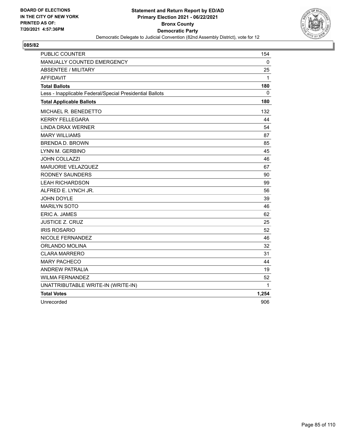

| <b>PUBLIC COUNTER</b>                                    | 154          |
|----------------------------------------------------------|--------------|
| MANUALLY COUNTED EMERGENCY                               | $\mathbf{0}$ |
| <b>ABSENTEE / MILITARY</b>                               | 25           |
| <b>AFFIDAVIT</b>                                         | 1            |
| <b>Total Ballots</b>                                     | 180          |
| Less - Inapplicable Federal/Special Presidential Ballots | 0            |
| <b>Total Applicable Ballots</b>                          | 180          |
| MICHAEL R. BENEDETTO                                     | 132          |
| <b>KERRY FELLEGARA</b>                                   | 44           |
| <b>LINDA DRAX WERNER</b>                                 | 54           |
| <b>MARY WILLIAMS</b>                                     | 87           |
| <b>BRENDA D. BROWN</b>                                   | 85           |
| LYNN M. GERBINO                                          | 45           |
| <b>JOHN COLLAZZI</b>                                     | 46           |
| <b>MARJORIE VELAZQUEZ</b>                                | 67           |
| <b>RODNEY SAUNDERS</b>                                   | 90           |
| <b>LEAH RICHARDSON</b>                                   | 99           |
| ALFRED E. LYNCH JR.                                      | 56           |
| <b>JOHN DOYLE</b>                                        | 39           |
| <b>MARILYN SOTO</b>                                      | 46           |
| <b>ERIC A. JAMES</b>                                     | 62           |
| <b>JUSTICE Z. CRUZ</b>                                   | 25           |
| <b>IRIS ROSARIO</b>                                      | 52           |
| NICOLE FERNANDEZ                                         | 46           |
| ORLANDO MOLINA                                           | 32           |
| <b>CLARA MARRERO</b>                                     | 31           |
| <b>MARY PACHECO</b>                                      | 44           |
| <b>ANDREW PATRALIA</b>                                   | 19           |
| <b>WILMA FERNANDEZ</b>                                   | 52           |
| UNATTRIBUTABLE WRITE-IN (WRITE-IN)                       | 1            |
| <b>Total Votes</b>                                       | 1,254        |
| Unrecorded                                               | 906          |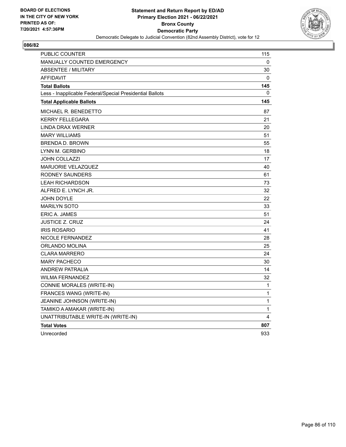

| <b>PUBLIC COUNTER</b>                                    | 115          |
|----------------------------------------------------------|--------------|
| MANUALLY COUNTED EMERGENCY                               | 0            |
| <b>ABSENTEE / MILITARY</b>                               | 30           |
| <b>AFFIDAVIT</b>                                         | 0            |
| <b>Total Ballots</b>                                     | 145          |
| Less - Inapplicable Federal/Special Presidential Ballots | 0            |
| <b>Total Applicable Ballots</b>                          | 145          |
| MICHAEL R. BENEDETTO                                     | 87           |
| <b>KERRY FELLEGARA</b>                                   | 21           |
| LINDA DRAX WERNER                                        | 20           |
| <b>MARY WILLIAMS</b>                                     | 51           |
| <b>BRENDA D. BROWN</b>                                   | 55           |
| LYNN M. GERBINO                                          | 18           |
| <b>JOHN COLLAZZI</b>                                     | 17           |
| MARJORIE VELAZQUEZ                                       | 40           |
| RODNEY SAUNDERS                                          | 61           |
| <b>LEAH RICHARDSON</b>                                   | 73           |
| ALFRED E. LYNCH JR.                                      | 32           |
| <b>JOHN DOYLE</b>                                        | 22           |
| <b>MARILYN SOTO</b>                                      | 33           |
| <b>ERIC A. JAMES</b>                                     | 51           |
| <b>JUSTICE Z. CRUZ</b>                                   | 24           |
| <b>IRIS ROSARIO</b>                                      | 41           |
| NICOLE FERNANDEZ                                         | 28           |
| ORLANDO MOLINA                                           | 25           |
| <b>CLARA MARRERO</b>                                     | 24           |
| <b>MARY PACHECO</b>                                      | 30           |
| <b>ANDREW PATRALIA</b>                                   | 14           |
| WILMA FERNANDEZ                                          | 32           |
| CONNIE MORALES (WRITE-IN)                                | 1            |
| FRANCES WANG (WRITE-IN)                                  | 1            |
| JEANINE JOHNSON (WRITE-IN)                               | $\mathbf 1$  |
| TAMIKO A AMAKAR (WRITE-IN)                               | $\mathbf{1}$ |
| UNATTRIBUTABLE WRITE-IN (WRITE-IN)                       | 4            |
| <b>Total Votes</b>                                       | 807          |
| Unrecorded                                               | 933          |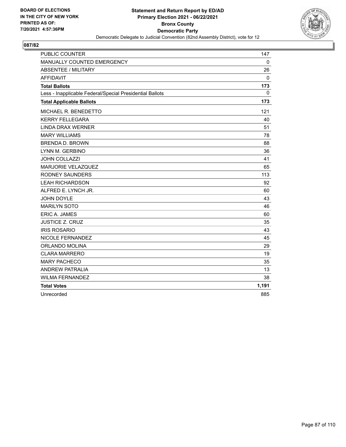

| <b>PUBLIC COUNTER</b>                                    | 147   |
|----------------------------------------------------------|-------|
| MANUALLY COUNTED EMERGENCY                               | 0     |
| <b>ABSENTEE / MILITARY</b>                               | 26    |
| <b>AFFIDAVIT</b>                                         | 0     |
| <b>Total Ballots</b>                                     | 173   |
| Less - Inapplicable Federal/Special Presidential Ballots | 0     |
| <b>Total Applicable Ballots</b>                          | 173   |
| MICHAEL R. BENEDETTO                                     | 121   |
| <b>KERRY FELLEGARA</b>                                   | 40    |
| <b>LINDA DRAX WERNER</b>                                 | 51    |
| <b>MARY WILLIAMS</b>                                     | 78    |
| <b>BRENDA D. BROWN</b>                                   | 88    |
| LYNN M. GERBINO                                          | 36    |
| JOHN COLLAZZI                                            | 41    |
| MARJORIE VELAZQUEZ                                       | 65    |
| <b>RODNEY SAUNDERS</b>                                   | 113   |
| <b>LEAH RICHARDSON</b>                                   | 92    |
| ALFRED E. LYNCH JR.                                      | 60    |
| <b>JOHN DOYLE</b>                                        | 43    |
| <b>MARILYN SOTO</b>                                      | 46    |
| ERIC A. JAMES                                            | 60    |
| <b>JUSTICE Z. CRUZ</b>                                   | 35    |
| <b>IRIS ROSARIO</b>                                      | 43    |
| NICOLE FERNANDEZ                                         | 45    |
| ORLANDO MOLINA                                           | 29    |
| <b>CLARA MARRERO</b>                                     | 19    |
| <b>MARY PACHECO</b>                                      | 35    |
| <b>ANDREW PATRALIA</b>                                   | 13    |
| <b>WILMA FERNANDEZ</b>                                   | 38    |
| <b>Total Votes</b>                                       | 1,191 |
| Unrecorded                                               | 885   |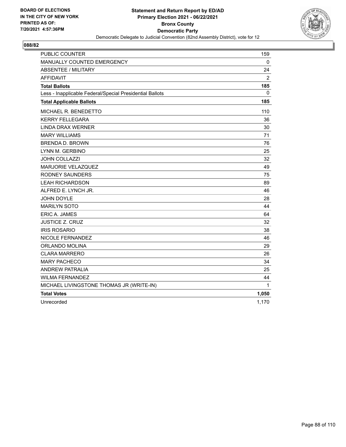

| <b>PUBLIC COUNTER</b>                                    | 159          |
|----------------------------------------------------------|--------------|
| MANUALLY COUNTED EMERGENCY                               | $\mathbf{0}$ |
| <b>ABSENTEE / MILITARY</b>                               | 24           |
| <b>AFFIDAVIT</b>                                         | 2            |
| <b>Total Ballots</b>                                     | 185          |
| Less - Inapplicable Federal/Special Presidential Ballots | $\mathbf{0}$ |
| <b>Total Applicable Ballots</b>                          | 185          |
| MICHAEL R. BENEDETTO                                     | 110          |
| <b>KERRY FELLEGARA</b>                                   | 36           |
| <b>LINDA DRAX WERNER</b>                                 | 30           |
| <b>MARY WILLIAMS</b>                                     | 71           |
| <b>BRENDA D. BROWN</b>                                   | 76           |
| LYNN M. GERBINO                                          | 25           |
| <b>JOHN COLLAZZI</b>                                     | 32           |
| MARJORIE VELAZQUEZ                                       | 49           |
| <b>RODNEY SAUNDERS</b>                                   | 75           |
| <b>LEAH RICHARDSON</b>                                   | 89           |
| ALFRED E. LYNCH JR.                                      | 46           |
| <b>JOHN DOYLE</b>                                        | 28           |
| <b>MARILYN SOTO</b>                                      | 44           |
| <b>ERIC A. JAMES</b>                                     | 64           |
| <b>JUSTICE Z. CRUZ</b>                                   | 32           |
| <b>IRIS ROSARIO</b>                                      | 38           |
| NICOLE FERNANDEZ                                         | 46           |
| ORLANDO MOLINA                                           | 29           |
| CLARA MARRERO                                            | 26           |
| <b>MARY PACHECO</b>                                      | 34           |
| <b>ANDREW PATRALIA</b>                                   | 25           |
| <b>WILMA FERNANDEZ</b>                                   | 44           |
| MICHAEL LIVINGSTONE THOMAS JR (WRITE-IN)                 | 1            |
| <b>Total Votes</b>                                       | 1,050        |
| Unrecorded                                               | 1,170        |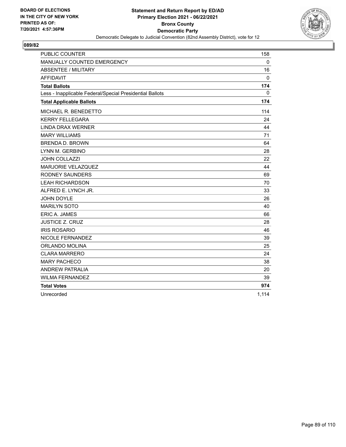

| <b>PUBLIC COUNTER</b>                                    | 158      |
|----------------------------------------------------------|----------|
| MANUALLY COUNTED EMERGENCY                               | $\Omega$ |
| <b>ABSENTEE / MILITARY</b>                               | 16       |
| <b>AFFIDAVIT</b>                                         | 0        |
| <b>Total Ballots</b>                                     | 174      |
| Less - Inapplicable Federal/Special Presidential Ballots | 0        |
| <b>Total Applicable Ballots</b>                          | 174      |
| MICHAEL R. BENEDETTO                                     | 114      |
| <b>KERRY FELLEGARA</b>                                   | 24       |
| <b>LINDA DRAX WERNER</b>                                 | 44       |
| <b>MARY WILLIAMS</b>                                     | 71       |
| <b>BRENDA D. BROWN</b>                                   | 64       |
| LYNN M. GERBINO                                          | 28       |
| <b>JOHN COLLAZZI</b>                                     | 22       |
| <b>MARJORIE VELAZQUEZ</b>                                | 44       |
| <b>RODNEY SAUNDERS</b>                                   | 69       |
| <b>LEAH RICHARDSON</b>                                   | 70       |
| ALFRED E. LYNCH JR.                                      | 33       |
| JOHN DOYLE                                               | 26       |
| <b>MARILYN SOTO</b>                                      | 40       |
| <b>ERIC A. JAMES</b>                                     | 66       |
| <b>JUSTICE Z. CRUZ</b>                                   | 28       |
| <b>IRIS ROSARIO</b>                                      | 46       |
| NICOLE FERNANDEZ                                         | 39       |
| ORLANDO MOLINA                                           | 25       |
| <b>CLARA MARRERO</b>                                     | 24       |
| <b>MARY PACHECO</b>                                      | 38       |
| <b>ANDREW PATRALIA</b>                                   | 20       |
| <b>WILMA FERNANDEZ</b>                                   | 39       |
| <b>Total Votes</b>                                       | 974      |
| Unrecorded                                               | 1,114    |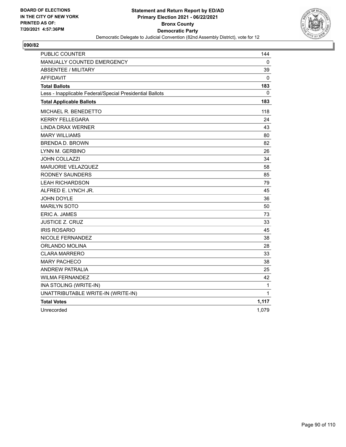

| <b>PUBLIC COUNTER</b>                                    | 144          |
|----------------------------------------------------------|--------------|
| MANUALLY COUNTED EMERGENCY                               | 0            |
| <b>ABSENTEE / MILITARY</b>                               | 39           |
| <b>AFFIDAVIT</b>                                         | 0            |
| <b>Total Ballots</b>                                     | 183          |
| Less - Inapplicable Federal/Special Presidential Ballots | 0            |
| <b>Total Applicable Ballots</b>                          | 183          |
| <b>MICHAEL R. BENEDETTO</b>                              | 118          |
| <b>KERRY FELLEGARA</b>                                   | 24           |
| <b>LINDA DRAX WERNER</b>                                 | 43           |
| <b>MARY WILLIAMS</b>                                     | 80           |
| <b>BRENDA D. BROWN</b>                                   | 82           |
| LYNN M. GERBINO                                          | 26           |
| <b>JOHN COLLAZZI</b>                                     | 34           |
| MARJORIE VELAZQUEZ                                       | 58           |
| RODNEY SAUNDERS                                          | 85           |
| <b>LEAH RICHARDSON</b>                                   | 79           |
| ALFRED E. LYNCH JR.                                      | 45           |
| <b>JOHN DOYLE</b>                                        | 36           |
| <b>MARILYN SOTO</b>                                      | 50           |
| <b>ERIC A. JAMES</b>                                     | 73           |
| <b>JUSTICE Z. CRUZ</b>                                   | 33           |
| <b>IRIS ROSARIO</b>                                      | 45           |
| NICOLE FERNANDEZ                                         | 38           |
| ORLANDO MOLINA                                           | 28           |
| <b>CLARA MARRERO</b>                                     | 33           |
| <b>MARY PACHECO</b>                                      | 38           |
| <b>ANDREW PATRALIA</b>                                   | 25           |
| <b>WILMA FERNANDEZ</b>                                   | 42           |
| INA STOLING (WRITE-IN)                                   | $\mathbf{1}$ |
| UNATTRIBUTABLE WRITE-IN (WRITE-IN)                       | 1            |
| <b>Total Votes</b>                                       | 1,117        |
| Unrecorded                                               | 1,079        |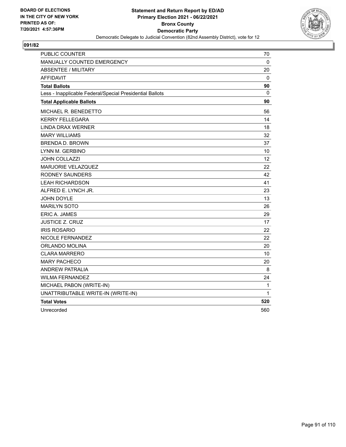

| PUBLIC COUNTER                                           | 70           |
|----------------------------------------------------------|--------------|
| MANUALLY COUNTED EMERGENCY                               | 0            |
| <b>ABSENTEE / MILITARY</b>                               | 20           |
| <b>AFFIDAVIT</b>                                         | 0            |
| <b>Total Ballots</b>                                     | 90           |
| Less - Inapplicable Federal/Special Presidential Ballots | 0            |
| <b>Total Applicable Ballots</b>                          | 90           |
| MICHAEL R. BENEDETTO                                     | 56           |
| <b>KERRY FELLEGARA</b>                                   | 14           |
| <b>LINDA DRAX WERNER</b>                                 | 18           |
| <b>MARY WILLIAMS</b>                                     | 32           |
| <b>BRENDA D. BROWN</b>                                   | 37           |
| LYNN M. GERBINO                                          | 10           |
| <b>JOHN COLLAZZI</b>                                     | 12           |
| MARJORIE VELAZQUEZ                                       | 22           |
| <b>RODNEY SAUNDERS</b>                                   | 42           |
| <b>LEAH RICHARDSON</b>                                   | 41           |
| ALFRED E. LYNCH JR.                                      | 23           |
| <b>JOHN DOYLE</b>                                        | 13           |
| <b>MARILYN SOTO</b>                                      | 26           |
| <b>ERIC A. JAMES</b>                                     | 29           |
| <b>JUSTICE Z. CRUZ</b>                                   | 17           |
| <b>IRIS ROSARIO</b>                                      | 22           |
| NICOLE FERNANDEZ                                         | 22           |
| ORLANDO MOLINA                                           | 20           |
| <b>CLARA MARRERO</b>                                     | 10           |
| <b>MARY PACHECO</b>                                      | 20           |
| <b>ANDREW PATRALIA</b>                                   | 8            |
| <b>WILMA FERNANDEZ</b>                                   | 24           |
| MICHAEL PABON (WRITE-IN)                                 | $\mathbf{1}$ |
| UNATTRIBUTABLE WRITE-IN (WRITE-IN)                       | 1            |
| <b>Total Votes</b>                                       | 520          |
| Unrecorded                                               | 560          |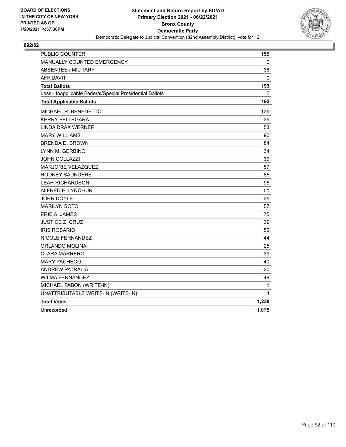

| <b>PUBLIC COUNTER</b>                                    | 155          |
|----------------------------------------------------------|--------------|
| MANUALLY COUNTED EMERGENCY                               | 0            |
| <b>ABSENTEE / MILITARY</b>                               | 38           |
| <b>AFFIDAVIT</b>                                         | 0            |
| <b>Total Ballots</b>                                     | 193          |
| Less - Inapplicable Federal/Special Presidential Ballots | 0            |
| <b>Total Applicable Ballots</b>                          | 193          |
| MICHAEL R. BENEDETTO                                     | 135          |
| <b>KERRY FELLEGARA</b>                                   | 35           |
| <b>LINDA DRAX WERNER</b>                                 | 53           |
| <b>MARY WILLIAMS</b>                                     | 90           |
| <b>BRENDA D. BROWN</b>                                   | 84           |
| LYNN M. GERBINO                                          | 34           |
| <b>JOHN COLLAZZI</b>                                     | 39           |
| <b>MARJORIE VELAZQUEZ</b>                                | 57           |
| RODNEY SAUNDERS                                          | 85           |
| <b>LEAH RICHARDSON</b>                                   | 95           |
| ALFRED E. LYNCH JR.                                      | 51           |
| <b>JOHN DOYLE</b>                                        | 35           |
| <b>MARILYN SOTO</b>                                      | 57           |
| <b>ERIC A. JAMES</b>                                     | 75           |
| <b>JUSTICE Z. CRUZ</b>                                   | 39           |
| <b>IRIS ROSARIO</b>                                      | 52           |
| NICOLE FERNANDEZ                                         | 44           |
| ORLANDO MOLINA                                           | 25           |
| <b>CLARA MARRERO</b>                                     | 39           |
| <b>MARY PACHECO</b>                                      | 40           |
| <b>ANDREW PATRALIA</b>                                   | 20           |
| <b>WILMA FERNANDEZ</b>                                   | 49           |
| MICHAEL PABON (WRITE-IN)                                 | $\mathbf{1}$ |
| UNATTRIBUTABLE WRITE-IN (WRITE-IN)                       | 4            |
| <b>Total Votes</b>                                       | 1,238        |
| Unrecorded                                               | 1,078        |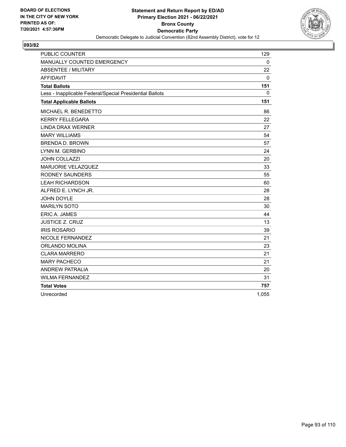

| <b>PUBLIC COUNTER</b>                                    | 129      |
|----------------------------------------------------------|----------|
| MANUALLY COUNTED EMERGENCY                               | $\Omega$ |
| <b>ABSENTEE / MILITARY</b>                               | 22       |
| <b>AFFIDAVIT</b>                                         | 0        |
| <b>Total Ballots</b>                                     | 151      |
| Less - Inapplicable Federal/Special Presidential Ballots | 0        |
| <b>Total Applicable Ballots</b>                          | 151      |
| MICHAEL R. BENEDETTO                                     | 86       |
| <b>KERRY FELLEGARA</b>                                   | 22       |
| <b>LINDA DRAX WERNER</b>                                 | 27       |
| <b>MARY WILLIAMS</b>                                     | 54       |
| <b>BRENDA D. BROWN</b>                                   | 57       |
| LYNN M. GERBINO                                          | 24       |
| <b>JOHN COLLAZZI</b>                                     | 20       |
| <b>MARJORIE VELAZQUEZ</b>                                | 33       |
| <b>RODNEY SAUNDERS</b>                                   | 55       |
| <b>LEAH RICHARDSON</b>                                   | 60       |
| ALFRED E. LYNCH JR.                                      | 28       |
| JOHN DOYLE                                               | 28       |
| <b>MARILYN SOTO</b>                                      | 30       |
| <b>ERIC A. JAMES</b>                                     | 44       |
| <b>JUSTICE Z. CRUZ</b>                                   | 13       |
| <b>IRIS ROSARIO</b>                                      | 39       |
| NICOLE FERNANDEZ                                         | 21       |
| ORLANDO MOLINA                                           | 23       |
| <b>CLARA MARRERO</b>                                     | 21       |
| <b>MARY PACHECO</b>                                      | 21       |
| <b>ANDREW PATRALIA</b>                                   | 20       |
| <b>WILMA FERNANDEZ</b>                                   | 31       |
| <b>Total Votes</b>                                       | 757      |
| Unrecorded                                               | 1,055    |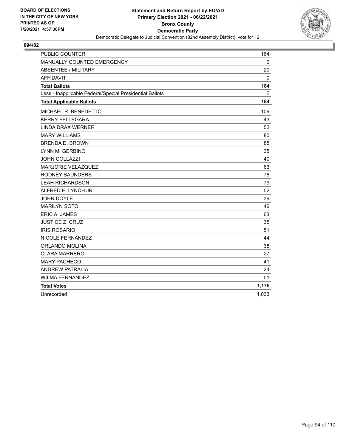

| <b>PUBLIC COUNTER</b>                                    | 164   |
|----------------------------------------------------------|-------|
| MANUALLY COUNTED EMERGENCY                               | 0     |
| <b>ABSENTEE / MILITARY</b>                               | 20    |
| <b>AFFIDAVIT</b>                                         | 0     |
| <b>Total Ballots</b>                                     | 184   |
| Less - Inapplicable Federal/Special Presidential Ballots | 0     |
| <b>Total Applicable Ballots</b>                          | 184   |
| MICHAEL R. BENEDETTO                                     | 109   |
| <b>KERRY FELLEGARA</b>                                   | 43    |
| <b>LINDA DRAX WERNER</b>                                 | 52    |
| <b>MARY WILLIAMS</b>                                     | 80    |
| <b>BRENDA D. BROWN</b>                                   | 85    |
| LYNN M. GERBINO                                          | 35    |
| JOHN COLLAZZI                                            | 40    |
| MARJORIE VELAZQUEZ                                       | 63    |
| <b>RODNEY SAUNDERS</b>                                   | 78    |
| <b>LEAH RICHARDSON</b>                                   | 79    |
| ALFRED E. LYNCH JR.                                      | 52    |
| <b>JOHN DOYLE</b>                                        | 39    |
| <b>MARILYN SOTO</b>                                      | 46    |
| ERIC A. JAMES                                            | 63    |
| <b>JUSTICE Z. CRUZ</b>                                   | 35    |
| <b>IRIS ROSARIO</b>                                      | 51    |
| NICOLE FERNANDEZ                                         | 44    |
| ORLANDO MOLINA                                           | 38    |
| <b>CLARA MARRERO</b>                                     | 27    |
| <b>MARY PACHECO</b>                                      | 41    |
| <b>ANDREW PATRALIA</b>                                   | 24    |
| <b>WILMA FERNANDEZ</b>                                   | 51    |
| <b>Total Votes</b>                                       | 1,175 |
| Unrecorded                                               | 1,033 |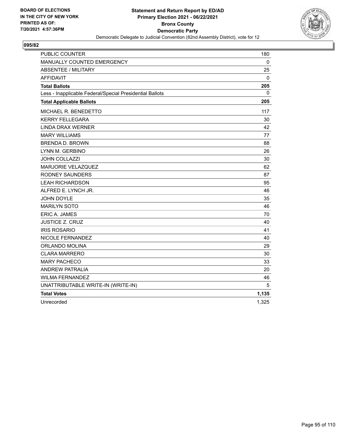

| <b>PUBLIC COUNTER</b>                                    | 180          |
|----------------------------------------------------------|--------------|
| MANUALLY COUNTED EMERGENCY                               | $\mathbf{0}$ |
| <b>ABSENTEE / MILITARY</b>                               | 25           |
| <b>AFFIDAVIT</b>                                         | 0            |
| <b>Total Ballots</b>                                     | 205          |
| Less - Inapplicable Federal/Special Presidential Ballots | $\Omega$     |
| <b>Total Applicable Ballots</b>                          | 205          |
| MICHAEL R. BENEDETTO                                     | 117          |
| <b>KERRY FELLEGARA</b>                                   | 30           |
| <b>LINDA DRAX WERNER</b>                                 | 42           |
| <b>MARY WILLIAMS</b>                                     | 77           |
| <b>BRENDA D. BROWN</b>                                   | 88           |
| LYNN M. GERBINO                                          | 26           |
| <b>JOHN COLLAZZI</b>                                     | 30           |
| MARJORIE VELAZQUEZ                                       | 62           |
| <b>RODNEY SAUNDERS</b>                                   | 87           |
| <b>LEAH RICHARDSON</b>                                   | 95           |
| ALFRED E. LYNCH JR.                                      | 46           |
| <b>JOHN DOYLE</b>                                        | 35           |
| <b>MARILYN SOTO</b>                                      | 46           |
| <b>ERIC A. JAMES</b>                                     | 70           |
| <b>JUSTICE Z. CRUZ</b>                                   | 40           |
| <b>IRIS ROSARIO</b>                                      | 41           |
| <b>NICOLE FERNANDEZ</b>                                  | 40           |
| ORLANDO MOLINA                                           | 29           |
| <b>CLARA MARRERO</b>                                     | 30           |
| <b>MARY PACHECO</b>                                      | 33           |
| <b>ANDREW PATRALIA</b>                                   | 20           |
| <b>WILMA FERNANDEZ</b>                                   | 46           |
| UNATTRIBUTABLE WRITE-IN (WRITE-IN)                       | 5            |
| <b>Total Votes</b>                                       | 1,135        |
| Unrecorded                                               | 1,325        |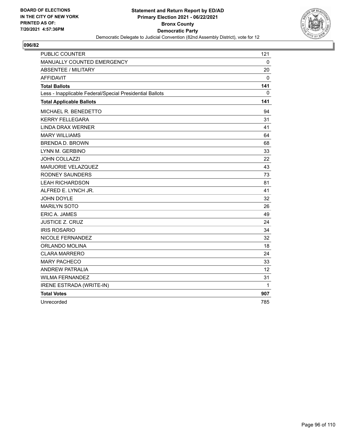

| <b>PUBLIC COUNTER</b>                                    | 121 |
|----------------------------------------------------------|-----|
| MANUALLY COUNTED EMERGENCY                               | 0   |
| <b>ABSENTEE / MILITARY</b>                               | 20  |
| <b>AFFIDAVIT</b>                                         | 0   |
| <b>Total Ballots</b>                                     | 141 |
| Less - Inapplicable Federal/Special Presidential Ballots | 0   |
| <b>Total Applicable Ballots</b>                          | 141 |
| MICHAEL R. BENEDETTO                                     | 94  |
| <b>KERRY FELLEGARA</b>                                   | 31  |
| <b>LINDA DRAX WERNER</b>                                 | 41  |
| <b>MARY WILLIAMS</b>                                     | 64  |
| <b>BRENDA D. BROWN</b>                                   | 68  |
| LYNN M. GERBINO                                          | 33  |
| <b>JOHN COLLAZZI</b>                                     | 22  |
| MARJORIE VELAZQUEZ                                       | 43  |
| <b>RODNEY SAUNDERS</b>                                   | 73  |
| <b>LEAH RICHARDSON</b>                                   | 81  |
| ALFRED E. LYNCH JR.                                      | 41  |
| JOHN DOYLE                                               | 32  |
| <b>MARILYN SOTO</b>                                      | 26  |
| ERIC A. JAMES                                            | 49  |
| <b>JUSTICE Z. CRUZ</b>                                   | 24  |
| <b>IRIS ROSARIO</b>                                      | 34  |
| NICOLE FERNANDEZ                                         | 32  |
| ORLANDO MOLINA                                           | 18  |
| <b>CLARA MARRERO</b>                                     | 24  |
| <b>MARY PACHECO</b>                                      | 33  |
| <b>ANDREW PATRALIA</b>                                   | 12  |
| <b>WILMA FERNANDEZ</b>                                   | 31  |
| IRENE ESTRADA (WRITE-IN)                                 | 1   |
| <b>Total Votes</b>                                       | 907 |
| Unrecorded                                               | 785 |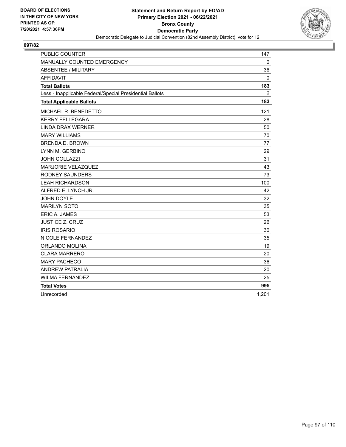

| <b>PUBLIC COUNTER</b>                                    | 147      |
|----------------------------------------------------------|----------|
| MANUALLY COUNTED EMERGENCY                               | $\Omega$ |
| <b>ABSENTEE / MILITARY</b>                               | 36       |
| <b>AFFIDAVIT</b>                                         | 0        |
| <b>Total Ballots</b>                                     | 183      |
| Less - Inapplicable Federal/Special Presidential Ballots | $\Omega$ |
| <b>Total Applicable Ballots</b>                          | 183      |
| MICHAEL R. BENEDETTO                                     | 121      |
| <b>KERRY FELLEGARA</b>                                   | 28       |
| <b>LINDA DRAX WERNER</b>                                 | 50       |
| <b>MARY WILLIAMS</b>                                     | 70       |
| <b>BRENDA D. BROWN</b>                                   | 77       |
| LYNN M. GERBINO                                          | 29       |
| <b>JOHN COLLAZZI</b>                                     | 31       |
| MARJORIE VELAZQUEZ                                       | 43       |
| <b>RODNEY SAUNDERS</b>                                   | 73       |
| <b>LEAH RICHARDSON</b>                                   | 100      |
| ALFRED E. LYNCH JR.                                      | 42       |
| <b>JOHN DOYLE</b>                                        | 32       |
| <b>MARILYN SOTO</b>                                      | 35       |
| ERIC A. JAMES                                            | 53       |
| <b>JUSTICE Z. CRUZ</b>                                   | 26       |
| <b>IRIS ROSARIO</b>                                      | 30       |
| NICOLE FERNANDEZ                                         | 35       |
| ORLANDO MOLINA                                           | 19       |
| <b>CLARA MARRERO</b>                                     | 20       |
| <b>MARY PACHECO</b>                                      | 36       |
| <b>ANDREW PATRALIA</b>                                   | 20       |
| <b>WILMA FERNANDEZ</b>                                   | 25       |
| <b>Total Votes</b>                                       | 995      |
| Unrecorded                                               | 1,201    |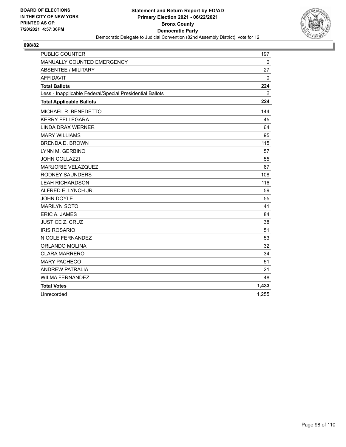

| <b>PUBLIC COUNTER</b>                                    | 197      |
|----------------------------------------------------------|----------|
| MANUALLY COUNTED EMERGENCY                               | $\Omega$ |
| <b>ABSENTEE / MILITARY</b>                               | 27       |
| <b>AFFIDAVIT</b>                                         | 0        |
| <b>Total Ballots</b>                                     | 224      |
| Less - Inapplicable Federal/Special Presidential Ballots | 0        |
| <b>Total Applicable Ballots</b>                          | 224      |
| MICHAEL R. BENEDETTO                                     | 144      |
| <b>KERRY FELLEGARA</b>                                   | 45       |
| <b>LINDA DRAX WERNER</b>                                 | 64       |
| <b>MARY WILLIAMS</b>                                     | 95       |
| <b>BRENDA D. BROWN</b>                                   | 115      |
| LYNN M. GERBINO                                          | 57       |
| <b>JOHN COLLAZZI</b>                                     | 55       |
| <b>MARJORIE VELAZQUEZ</b>                                | 67       |
| <b>RODNEY SAUNDERS</b>                                   | 108      |
| <b>LEAH RICHARDSON</b>                                   | 116      |
| ALFRED E. LYNCH JR.                                      | 59       |
| JOHN DOYLE                                               | 55       |
| <b>MARILYN SOTO</b>                                      | 41       |
| <b>ERIC A. JAMES</b>                                     | 84       |
| <b>JUSTICE Z. CRUZ</b>                                   | 38       |
| <b>IRIS ROSARIO</b>                                      | 51       |
| <b>NICOLE FERNANDEZ</b>                                  | 53       |
| ORLANDO MOLINA                                           | 32       |
| <b>CLARA MARRERO</b>                                     | 34       |
| <b>MARY PACHECO</b>                                      | 51       |
| <b>ANDREW PATRALIA</b>                                   | 21       |
| <b>WILMA FERNANDEZ</b>                                   | 48       |
| <b>Total Votes</b>                                       | 1,433    |
| Unrecorded                                               | 1,255    |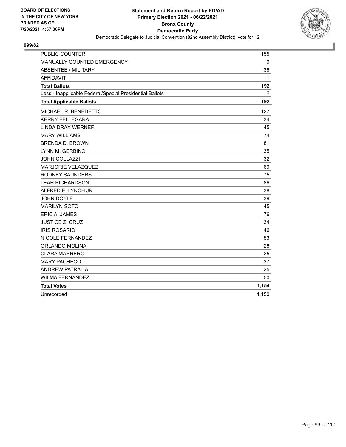

| <b>PUBLIC COUNTER</b>                                    | 155          |
|----------------------------------------------------------|--------------|
| MANUALLY COUNTED EMERGENCY                               | $\Omega$     |
| <b>ABSENTEE / MILITARY</b>                               | 36           |
| <b>AFFIDAVIT</b>                                         | $\mathbf{1}$ |
| <b>Total Ballots</b>                                     | 192          |
| Less - Inapplicable Federal/Special Presidential Ballots | 0            |
| <b>Total Applicable Ballots</b>                          | 192          |
| MICHAEL R. BENEDETTO                                     | 127          |
| <b>KERRY FELLEGARA</b>                                   | 34           |
| <b>LINDA DRAX WERNER</b>                                 | 45           |
| <b>MARY WILLIAMS</b>                                     | 74           |
| <b>BRENDA D. BROWN</b>                                   | 81           |
| LYNN M. GERBINO                                          | 35           |
| JOHN COLLAZZI                                            | 32           |
| MARJORIE VELAZQUEZ                                       | 69           |
| <b>RODNEY SAUNDERS</b>                                   | 75           |
| <b>LEAH RICHARDSON</b>                                   | 86           |
| ALFRED E. LYNCH JR.                                      | 38           |
| <b>JOHN DOYLE</b>                                        | 39           |
| <b>MARILYN SOTO</b>                                      | 45           |
| ERIC A. JAMES                                            | 76           |
| <b>JUSTICE Z. CRUZ</b>                                   | 34           |
| <b>IRIS ROSARIO</b>                                      | 46           |
| NICOLE FERNANDEZ                                         | 53           |
| ORLANDO MOLINA                                           | 28           |
| <b>CLARA MARRERO</b>                                     | 25           |
| <b>MARY PACHECO</b>                                      | 37           |
| <b>ANDREW PATRALIA</b>                                   | 25           |
| <b>WILMA FERNANDEZ</b>                                   | 50           |
| <b>Total Votes</b>                                       | 1,154        |
| Unrecorded                                               | 1,150        |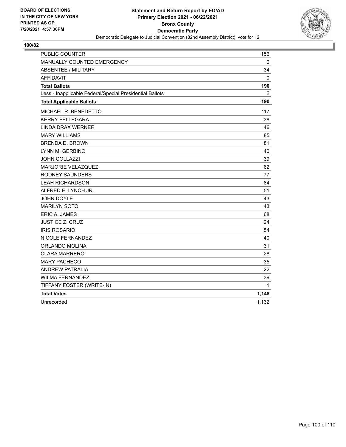

| <b>PUBLIC COUNTER</b>                                    | 156          |
|----------------------------------------------------------|--------------|
| MANUALLY COUNTED EMERGENCY                               | $\mathbf{0}$ |
| ABSENTEE / MILITARY                                      | 34           |
| <b>AFFIDAVIT</b>                                         | 0            |
| <b>Total Ballots</b>                                     | 190          |
| Less - Inapplicable Federal/Special Presidential Ballots | 0            |
| <b>Total Applicable Ballots</b>                          | 190          |
| MICHAEL R. BENEDETTO                                     | 117          |
| <b>KERRY FELLEGARA</b>                                   | 38           |
| <b>LINDA DRAX WERNER</b>                                 | 46           |
| <b>MARY WILLIAMS</b>                                     | 85           |
| <b>BRENDA D. BROWN</b>                                   | 81           |
| LYNN M. GERBINO                                          | 40           |
| <b>JOHN COLLAZZI</b>                                     | 39           |
| MARJORIE VELAZQUEZ                                       | 62           |
| <b>RODNEY SAUNDERS</b>                                   | 77           |
| <b>LEAH RICHARDSON</b>                                   | 84           |
| ALFRED E. LYNCH JR.                                      | 51           |
| JOHN DOYLE                                               | 43           |
| <b>MARILYN SOTO</b>                                      | 43           |
| <b>ERIC A. JAMES</b>                                     | 68           |
| <b>JUSTICE Z. CRUZ</b>                                   | 24           |
| <b>IRIS ROSARIO</b>                                      | 54           |
| NICOLE FERNANDEZ                                         | 40           |
| ORLANDO MOLINA                                           | 31           |
| <b>CLARA MARRERO</b>                                     | 28           |
| <b>MARY PACHECO</b>                                      | 35           |
| <b>ANDREW PATRALIA</b>                                   | 22           |
| <b>WILMA FERNANDEZ</b>                                   | 39           |
| TIFFANY FOSTER (WRITE-IN)                                | 1            |
| <b>Total Votes</b>                                       | 1,148        |
| Unrecorded                                               | 1,132        |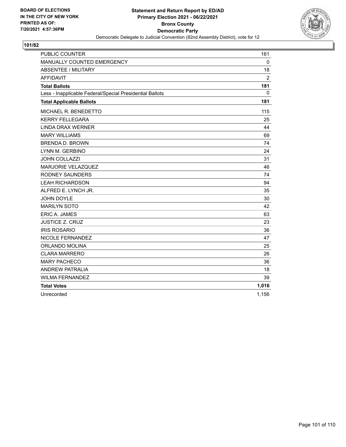

| <b>PUBLIC COUNTER</b>                                    | 161            |
|----------------------------------------------------------|----------------|
| MANUALLY COUNTED EMERGENCY                               | $\Omega$       |
| <b>ABSENTEE / MILITARY</b>                               | 18             |
| <b>AFFIDAVIT</b>                                         | $\overline{2}$ |
| <b>Total Ballots</b>                                     | 181            |
| Less - Inapplicable Federal/Special Presidential Ballots | 0              |
| <b>Total Applicable Ballots</b>                          | 181            |
| MICHAEL R. BENEDETTO                                     | 115            |
| <b>KERRY FELLEGARA</b>                                   | 25             |
| <b>LINDA DRAX WERNER</b>                                 | 44             |
| <b>MARY WILLIAMS</b>                                     | 69             |
| <b>BRENDA D. BROWN</b>                                   | 74             |
| LYNN M. GERBINO                                          | 24             |
| <b>JOHN COLLAZZI</b>                                     | 31             |
| <b>MARJORIE VELAZQUEZ</b>                                | 46             |
| <b>RODNEY SAUNDERS</b>                                   | 74             |
| <b>LEAH RICHARDSON</b>                                   | 94             |
| ALFRED E. LYNCH JR.                                      | 35             |
| JOHN DOYLE                                               | 30             |
| <b>MARILYN SOTO</b>                                      | 42             |
| <b>ERIC A. JAMES</b>                                     | 63             |
| <b>JUSTICE Z. CRUZ</b>                                   | 23             |
| <b>IRIS ROSARIO</b>                                      | 36             |
| NICOLE FERNANDEZ                                         | 47             |
| ORLANDO MOLINA                                           | 25             |
| <b>CLARA MARRERO</b>                                     | 26             |
| <b>MARY PACHECO</b>                                      | 36             |
| <b>ANDREW PATRALIA</b>                                   | 18             |
| <b>WILMA FERNANDEZ</b>                                   | 39             |
| <b>Total Votes</b>                                       | 1,016          |
| Unrecorded                                               | 1,156          |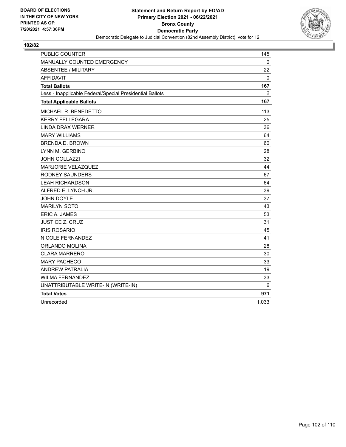

| <b>PUBLIC COUNTER</b>                                    | 145          |
|----------------------------------------------------------|--------------|
| MANUALLY COUNTED EMERGENCY                               | $\mathbf{0}$ |
| <b>ABSENTEE / MILITARY</b>                               | 22           |
| <b>AFFIDAVIT</b>                                         | 0            |
| <b>Total Ballots</b>                                     | 167          |
| Less - Inapplicable Federal/Special Presidential Ballots | 0            |
| <b>Total Applicable Ballots</b>                          | 167          |
| MICHAEL R. BENEDETTO                                     | 113          |
| <b>KERRY FELLEGARA</b>                                   | 25           |
| <b>LINDA DRAX WERNER</b>                                 | 36           |
| <b>MARY WILLIAMS</b>                                     | 64           |
| <b>BRENDA D. BROWN</b>                                   | 60           |
| LYNN M. GERBINO                                          | 28           |
| <b>JOHN COLLAZZI</b>                                     | 32           |
| MARJORIE VELAZQUEZ                                       | 44           |
| <b>RODNEY SAUNDERS</b>                                   | 67           |
| <b>LEAH RICHARDSON</b>                                   | 64           |
| ALFRED E. LYNCH JR.                                      | 39           |
| <b>JOHN DOYLE</b>                                        | 37           |
| <b>MARILYN SOTO</b>                                      | 43           |
| <b>ERIC A. JAMES</b>                                     | 53           |
| <b>JUSTICE Z. CRUZ</b>                                   | 31           |
| <b>IRIS ROSARIO</b>                                      | 45           |
| <b>NICOLE FERNANDEZ</b>                                  | 41           |
| ORLANDO MOLINA                                           | 28           |
| <b>CLARA MARRERO</b>                                     | 30           |
| <b>MARY PACHECO</b>                                      | 33           |
| <b>ANDREW PATRALIA</b>                                   | 19           |
| <b>WILMA FERNANDEZ</b>                                   | 33           |
| UNATTRIBUTABLE WRITE-IN (WRITE-IN)                       | 6            |
| <b>Total Votes</b>                                       | 971          |
| Unrecorded                                               | 1.033        |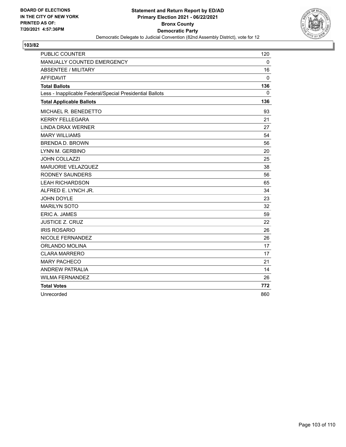

| <b>PUBLIC COUNTER</b>                                    | 120 |
|----------------------------------------------------------|-----|
| MANUALLY COUNTED EMERGENCY                               | 0   |
| <b>ABSENTEE / MILITARY</b>                               | 16  |
| <b>AFFIDAVIT</b>                                         | 0   |
| <b>Total Ballots</b>                                     | 136 |
| Less - Inapplicable Federal/Special Presidential Ballots | 0   |
| <b>Total Applicable Ballots</b>                          | 136 |
| MICHAEL R. BENEDETTO                                     | 93  |
| <b>KERRY FELLEGARA</b>                                   | 21  |
| <b>LINDA DRAX WERNER</b>                                 | 27  |
| <b>MARY WILLIAMS</b>                                     | 54  |
| <b>BRENDA D. BROWN</b>                                   | 56  |
| LYNN M. GERBINO                                          | 20  |
| <b>JOHN COLLAZZI</b>                                     | 25  |
| <b>MARJORIE VELAZQUEZ</b>                                | 38  |
| <b>RODNEY SAUNDERS</b>                                   | 56  |
| <b>LEAH RICHARDSON</b>                                   | 65  |
| ALFRED E. LYNCH JR.                                      | 34  |
| JOHN DOYLE                                               | 23  |
| <b>MARILYN SOTO</b>                                      | 32  |
| ERIC A. JAMES                                            | 59  |
| <b>JUSTICE Z. CRUZ</b>                                   | 22  |
| <b>IRIS ROSARIO</b>                                      | 26  |
| NICOLE FERNANDEZ                                         | 26  |
| ORLANDO MOLINA                                           | 17  |
| <b>CLARA MARRERO</b>                                     | 17  |
| <b>MARY PACHECO</b>                                      | 21  |
| <b>ANDREW PATRALIA</b>                                   | 14  |
| <b>WILMA FERNANDEZ</b>                                   | 26  |
| <b>Total Votes</b>                                       | 772 |
| Unrecorded                                               | 860 |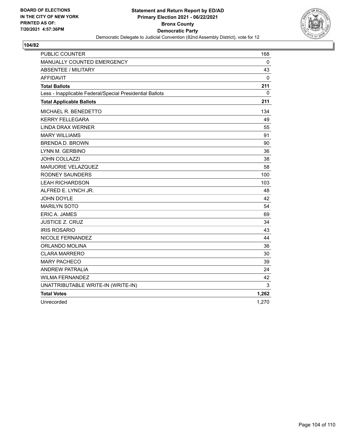

| <b>PUBLIC COUNTER</b>                                    | 168          |
|----------------------------------------------------------|--------------|
| MANUALLY COUNTED EMERGENCY                               | $\mathbf 0$  |
| <b>ABSENTEE / MILITARY</b>                               | 43           |
| <b>AFFIDAVIT</b>                                         | 0            |
| <b>Total Ballots</b>                                     | 211          |
| Less - Inapplicable Federal/Special Presidential Ballots | $\mathbf{0}$ |
| <b>Total Applicable Ballots</b>                          | 211          |
| MICHAEL R. BENEDETTO                                     | 134          |
| <b>KERRY FELLEGARA</b>                                   | 49           |
| <b>LINDA DRAX WERNER</b>                                 | 55           |
| <b>MARY WILLIAMS</b>                                     | 91           |
| <b>BRENDA D. BROWN</b>                                   | 90           |
| LYNN M. GERBINO                                          | 36           |
| JOHN COLLAZZI                                            | 38           |
| MARJORIE VELAZQUEZ                                       | 58           |
| <b>RODNEY SAUNDERS</b>                                   | 100          |
| <b>LEAH RICHARDSON</b>                                   | 103          |
| ALFRED E. LYNCH JR.                                      | 48           |
| <b>JOHN DOYLE</b>                                        | 42           |
| <b>MARILYN SOTO</b>                                      | 54           |
| <b>ERIC A. JAMES</b>                                     | 69           |
| <b>JUSTICE Z. CRUZ</b>                                   | 34           |
| <b>IRIS ROSARIO</b>                                      | 43           |
| <b>NICOLE FERNANDEZ</b>                                  | 44           |
| <b>ORLANDO MOLINA</b>                                    | 36           |
| <b>CLARA MARRERO</b>                                     | 30           |
| <b>MARY PACHECO</b>                                      | 39           |
| <b>ANDREW PATRALIA</b>                                   | 24           |
| <b>WILMA FERNANDEZ</b>                                   | 42           |
| UNATTRIBUTABLE WRITE-IN (WRITE-IN)                       | 3            |
| <b>Total Votes</b>                                       | 1,262        |
| Unrecorded                                               | 1,270        |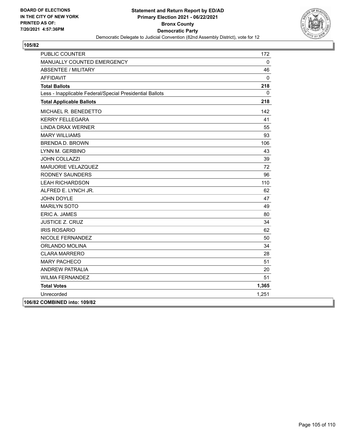

| <b>PUBLIC COUNTER</b>                                    | 172   |
|----------------------------------------------------------|-------|
| MANUALLY COUNTED EMERGENCY                               | 0     |
| <b>ABSENTEE / MILITARY</b>                               | 46    |
| <b>AFFIDAVIT</b>                                         | 0     |
| <b>Total Ballots</b>                                     | 218   |
| Less - Inapplicable Federal/Special Presidential Ballots | 0     |
| <b>Total Applicable Ballots</b>                          | 218   |
| MICHAEL R. BENEDETTO                                     | 142   |
| <b>KERRY FELLEGARA</b>                                   | 41    |
| <b>LINDA DRAX WERNER</b>                                 | 55    |
| <b>MARY WILLIAMS</b>                                     | 93    |
| <b>BRENDA D. BROWN</b>                                   | 106   |
| LYNN M. GERBINO                                          | 43    |
| <b>JOHN COLLAZZI</b>                                     | 39    |
| MARJORIE VELAZQUEZ                                       | 72    |
| <b>RODNEY SAUNDERS</b>                                   | 96    |
| <b>LEAH RICHARDSON</b>                                   | 110   |
| ALFRED E. LYNCH JR.                                      | 62    |
| <b>JOHN DOYLE</b>                                        | 47    |
| <b>MARILYN SOTO</b>                                      | 49    |
| <b>ERIC A. JAMES</b>                                     | 80    |
| <b>JUSTICE Z. CRUZ</b>                                   | 34    |
| <b>IRIS ROSARIO</b>                                      | 62    |
| NICOLE FERNANDEZ                                         | 50    |
| <b>ORLANDO MOLINA</b>                                    | 34    |
| <b>CLARA MARRERO</b>                                     | 28    |
| <b>MARY PACHECO</b>                                      | 51    |
| <b>ANDREW PATRALIA</b>                                   | 20    |
| <b>WILMA FERNANDEZ</b>                                   | 51    |
| <b>Total Votes</b>                                       | 1,365 |
| Unrecorded                                               | 1,251 |
| 106/82 COMBINED into: 109/82                             |       |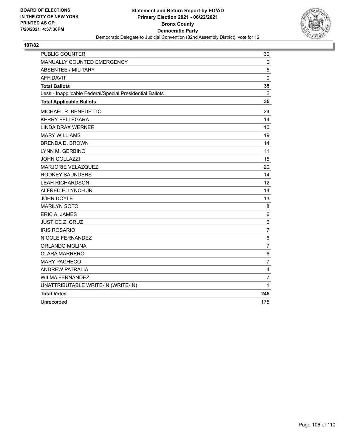

| <b>PUBLIC COUNTER</b>                                    | 30             |
|----------------------------------------------------------|----------------|
| MANUALLY COUNTED EMERGENCY                               | $\mathbf 0$    |
| ABSENTEE / MILITARY                                      | 5              |
| <b>AFFIDAVIT</b>                                         | $\Omega$       |
| <b>Total Ballots</b>                                     | 35             |
| Less - Inapplicable Federal/Special Presidential Ballots | $\mathbf{0}$   |
| <b>Total Applicable Ballots</b>                          | 35             |
| MICHAEL R. BENEDETTO                                     | 24             |
| <b>KERRY FELLEGARA</b>                                   | 14             |
| <b>LINDA DRAX WERNER</b>                                 | 10             |
| <b>MARY WILLIAMS</b>                                     | 19             |
| <b>BRENDA D. BROWN</b>                                   | 14             |
| LYNN M. GERBINO                                          | 11             |
| <b>JOHN COLLAZZI</b>                                     | 15             |
| MARJORIE VELAZQUEZ                                       | 20             |
| <b>RODNEY SAUNDERS</b>                                   | 14             |
| <b>LEAH RICHARDSON</b>                                   | 12             |
| ALFRED E. LYNCH JR.                                      | 14             |
| <b>JOHN DOYLE</b>                                        | 13             |
| <b>MARILYN SOTO</b>                                      | 8              |
| ERIC A. JAMES                                            | 6              |
| <b>JUSTICE Z. CRUZ</b>                                   | 6              |
| <b>IRIS ROSARIO</b>                                      | $\overline{7}$ |
| NICOLE FERNANDEZ                                         | 6              |
| ORLANDO MOLINA                                           | $\overline{7}$ |
| <b>CLARA MARRERO</b>                                     | 6              |
| <b>MARY PACHECO</b>                                      | $\overline{7}$ |
| <b>ANDREW PATRALIA</b>                                   | 4              |
| <b>WILMA FERNANDEZ</b>                                   | 7              |
| UNATTRIBUTABLE WRITE-IN (WRITE-IN)                       | 1              |
| <b>Total Votes</b>                                       | 245            |
| Unrecorded                                               | 175            |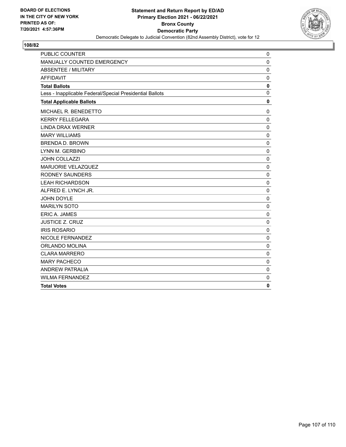

| <b>PUBLIC COUNTER</b>                                    | 0            |
|----------------------------------------------------------|--------------|
| MANUALLY COUNTED EMERGENCY                               | $\mathbf 0$  |
| <b>ABSENTEE / MILITARY</b>                               | $\mathbf 0$  |
| <b>AFFIDAVIT</b>                                         | $\mathbf 0$  |
| <b>Total Ballots</b>                                     | $\mathbf 0$  |
| Less - Inapplicable Federal/Special Presidential Ballots | $\mathbf 0$  |
| <b>Total Applicable Ballots</b>                          | $\mathbf 0$  |
| MICHAEL R. BENEDETTO                                     | 0            |
| <b>KERRY FELLEGARA</b>                                   | 0            |
| <b>LINDA DRAX WERNER</b>                                 | 0            |
| <b>MARY WILLIAMS</b>                                     | $\mathbf 0$  |
| <b>BRENDA D. BROWN</b>                                   | $\mathbf 0$  |
| LYNN M. GERBINO                                          | 0            |
| <b>JOHN COLLAZZI</b>                                     | 0            |
| MARJORIE VELAZQUEZ                                       | $\mathbf 0$  |
| <b>RODNEY SAUNDERS</b>                                   | $\mathbf 0$  |
| <b>LEAH RICHARDSON</b>                                   | $\mathbf 0$  |
| ALFRED E. LYNCH JR.                                      | $\mathbf 0$  |
| <b>JOHN DOYLE</b>                                        | $\mathbf 0$  |
| <b>MARILYN SOTO</b>                                      | $\mathbf 0$  |
| <b>ERIC A. JAMES</b>                                     | $\mathbf 0$  |
| <b>JUSTICE Z. CRUZ</b>                                   | $\mathbf 0$  |
| <b>IRIS ROSARIO</b>                                      | $\mathbf 0$  |
| NICOLE FERNANDEZ                                         | $\mathbf 0$  |
| <b>ORLANDO MOLINA</b>                                    | $\mathbf 0$  |
| <b>CLARA MARRERO</b>                                     | $\mathbf 0$  |
| <b>MARY PACHECO</b>                                      | $\mathbf 0$  |
| <b>ANDREW PATRALIA</b>                                   | $\mathbf 0$  |
| <b>WILMA FERNANDEZ</b>                                   | $\mathbf{0}$ |
| <b>Total Votes</b>                                       | $\mathbf{0}$ |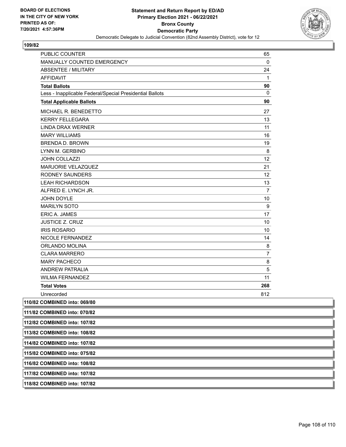

| PUBLIC COUNTER                                           | 65             |
|----------------------------------------------------------|----------------|
| MANUALLY COUNTED EMERGENCY                               | $\mathbf 0$    |
| <b>ABSENTEE / MILITARY</b>                               | 24             |
| <b>AFFIDAVIT</b>                                         | $\mathbf{1}$   |
| <b>Total Ballots</b>                                     | 90             |
| Less - Inapplicable Federal/Special Presidential Ballots | $\mathbf 0$    |
| <b>Total Applicable Ballots</b>                          | 90             |
| MICHAEL R. BENEDETTO                                     | 27             |
| <b>KERRY FELLEGARA</b>                                   | 13             |
| <b>LINDA DRAX WERNER</b>                                 | 11             |
| <b>MARY WILLIAMS</b>                                     | 16             |
| <b>BRENDA D. BROWN</b>                                   | 19             |
| LYNN M. GERBINO                                          | 8              |
| <b>JOHN COLLAZZI</b>                                     | 12             |
| MARJORIE VELAZQUEZ                                       | 21             |
| <b>RODNEY SAUNDERS</b>                                   | 12             |
| <b>LEAH RICHARDSON</b>                                   | 13             |
| ALFRED E. LYNCH JR.                                      | $\overline{7}$ |
| <b>JOHN DOYLE</b>                                        | 10             |
| <b>MARILYN SOTO</b>                                      | 9              |
| <b>ERIC A. JAMES</b>                                     | 17             |
| <b>JUSTICE Z. CRUZ</b>                                   | 10             |
| <b>IRIS ROSARIO</b>                                      | 10             |
| NICOLE FERNANDEZ                                         | 14             |
| ORLANDO MOLINA                                           | 8              |
| <b>CLARA MARRERO</b>                                     | 7              |
| <b>MARY PACHECO</b>                                      | 8              |
| <b>ANDREW PATRALIA</b>                                   | 5              |
| <b>WILMA FERNANDEZ</b>                                   | 11             |
| <b>Total Votes</b>                                       | 268            |
| Unrecorded                                               | 812            |
| 110/82 COMBINED into: 069/80                             |                |
| 111/82 COMBINED into: 070/82                             |                |
| 112/82 COMBINED into: 107/82                             |                |
| 113/82 COMBINED into: 108/82                             |                |
| 114/82 COMBINED into: 107/82                             |                |
| 115/82 COMBINED into: 075/82                             |                |
| 116/82 COMBINED into: 108/82                             |                |
| 117/82 COMBINED into: 107/82                             |                |
| 118/82 COMBINED into: 107/82                             |                |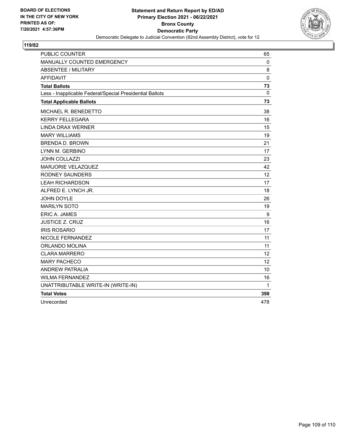

## **119/82**

| <b>PUBLIC COUNTER</b>                                    | 65           |
|----------------------------------------------------------|--------------|
| MANUALLY COUNTED EMERGENCY                               | 0            |
| <b>ABSENTEE / MILITARY</b>                               | 8            |
| <b>AFFIDAVIT</b>                                         | $\pmb{0}$    |
| <b>Total Ballots</b>                                     | 73           |
| Less - Inapplicable Federal/Special Presidential Ballots | $\mathbf{0}$ |
| <b>Total Applicable Ballots</b>                          | 73           |
| MICHAEL R. BENEDETTO                                     | 38           |
| <b>KERRY FELLEGARA</b>                                   | 16           |
| <b>LINDA DRAX WERNER</b>                                 | 15           |
| <b>MARY WILLIAMS</b>                                     | 19           |
| <b>BRENDA D. BROWN</b>                                   | 21           |
| LYNN M. GERBINO                                          | 17           |
| <b>JOHN COLLAZZI</b>                                     | 23           |
| MARJORIE VELAZQUEZ                                       | 42           |
| <b>RODNEY SAUNDERS</b>                                   | 12           |
| <b>LEAH RICHARDSON</b>                                   | 17           |
| ALFRED E. LYNCH JR.                                      | 18           |
| JOHN DOYLE                                               | 26           |
| <b>MARILYN SOTO</b>                                      | 19           |
| <b>ERIC A. JAMES</b>                                     | 9            |
| <b>JUSTICE Z. CRUZ</b>                                   | 16           |
| <b>IRIS ROSARIO</b>                                      | 17           |
| NICOLE FERNANDEZ                                         | 11           |
| <b>ORLANDO MOLINA</b>                                    | 11           |
| <b>CLARA MARRERO</b>                                     | 12           |
| <b>MARY PACHECO</b>                                      | 12           |
| <b>ANDREW PATRALIA</b>                                   | 10           |
| <b>WILMA FERNANDEZ</b>                                   | 16           |
| UNATTRIBUTABLE WRITE-IN (WRITE-IN)                       | 1            |
| <b>Total Votes</b>                                       | 398          |
| Unrecorded                                               | 478          |